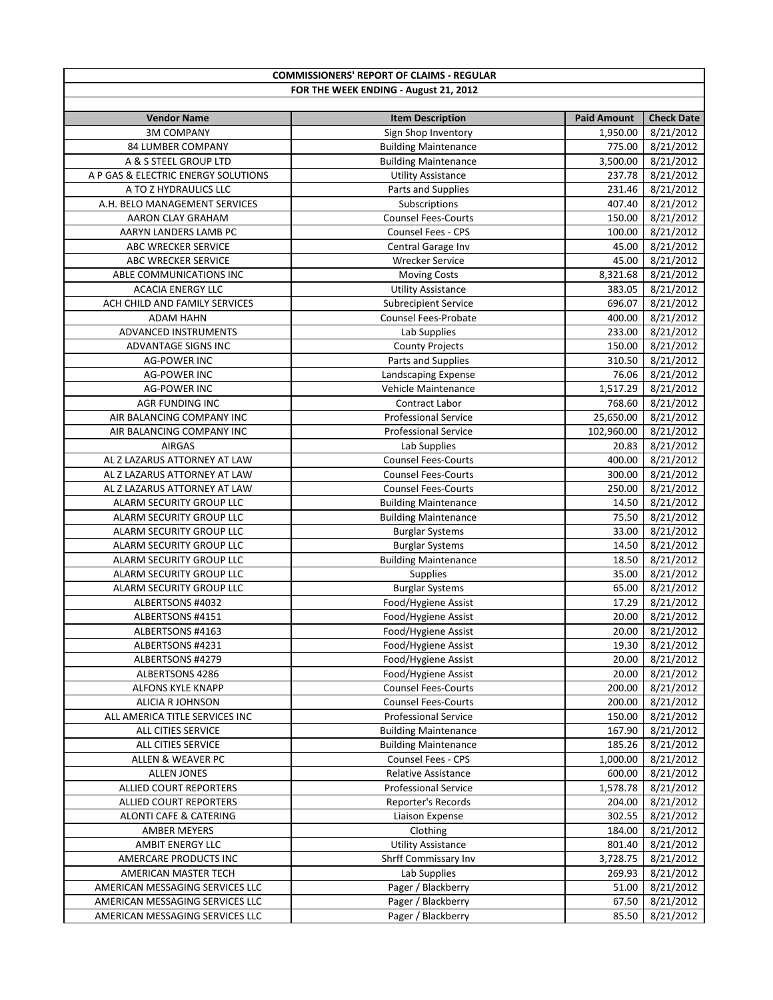| <b>COMMISSIONERS' REPORT OF CLAIMS - REGULAR</b> |                             |                    |                   |
|--------------------------------------------------|-----------------------------|--------------------|-------------------|
| FOR THE WEEK ENDING - August 21, 2012            |                             |                    |                   |
|                                                  |                             |                    |                   |
| <b>Vendor Name</b>                               | <b>Item Description</b>     | <b>Paid Amount</b> | <b>Check Date</b> |
| <b>3M COMPANY</b>                                | Sign Shop Inventory         | 1,950.00           | 8/21/2012         |
| 84 LUMBER COMPANY                                | <b>Building Maintenance</b> | 775.00             | 8/21/2012         |
| A & S STEEL GROUP LTD                            | <b>Building Maintenance</b> | 3,500.00           | 8/21/2012         |
| A P GAS & ELECTRIC ENERGY SOLUTIONS              | <b>Utility Assistance</b>   | 237.78             | 8/21/2012         |
| A TO Z HYDRAULICS LLC                            | Parts and Supplies          | 231.46             | 8/21/2012         |
| A.H. BELO MANAGEMENT SERVICES                    | Subscriptions               | 407.40             | 8/21/2012         |
| AARON CLAY GRAHAM                                | <b>Counsel Fees-Courts</b>  | 150.00             | 8/21/2012         |
| AARYN LANDERS LAMB PC                            | Counsel Fees - CPS          | 100.00             | 8/21/2012         |
| ABC WRECKER SERVICE                              | Central Garage Inv          | 45.00              | 8/21/2012         |
| ABC WRECKER SERVICE                              | <b>Wrecker Service</b>      | 45.00              | 8/21/2012         |
| ABLE COMMUNICATIONS INC                          | <b>Moving Costs</b>         | 8,321.68           | 8/21/2012         |
| <b>ACACIA ENERGY LLC</b>                         | <b>Utility Assistance</b>   | 383.05             | 8/21/2012         |
| ACH CHILD AND FAMILY SERVICES                    | <b>Subrecipient Service</b> | 696.07             | 8/21/2012         |
| <b>ADAM HAHN</b>                                 | <b>Counsel Fees-Probate</b> | 400.00             | 8/21/2012         |
| ADVANCED INSTRUMENTS                             | Lab Supplies                | 233.00             | 8/21/2012         |
| ADVANTAGE SIGNS INC                              | <b>County Projects</b>      | 150.00             | 8/21/2012         |
| <b>AG-POWER INC</b>                              | Parts and Supplies          | 310.50             | 8/21/2012         |
| <b>AG-POWER INC</b>                              | Landscaping Expense         | 76.06              | 8/21/2012         |
| <b>AG-POWER INC</b>                              | Vehicle Maintenance         | 1,517.29           | 8/21/2012         |
| AGR FUNDING INC                                  | Contract Labor              | 768.60             | 8/21/2012         |
| AIR BALANCING COMPANY INC                        | <b>Professional Service</b> | 25,650.00          | 8/21/2012         |
| AIR BALANCING COMPANY INC                        | <b>Professional Service</b> | 102,960.00         | 8/21/2012         |
| <b>AIRGAS</b>                                    | Lab Supplies                | 20.83              | 8/21/2012         |
| AL Z LAZARUS ATTORNEY AT LAW                     | <b>Counsel Fees-Courts</b>  | 400.00             | 8/21/2012         |
| AL Z LAZARUS ATTORNEY AT LAW                     | <b>Counsel Fees-Courts</b>  | 300.00             | 8/21/2012         |
| AL Z LAZARUS ATTORNEY AT LAW                     | <b>Counsel Fees-Courts</b>  | 250.00             | 8/21/2012         |
| ALARM SECURITY GROUP LLC                         | <b>Building Maintenance</b> | 14.50              | 8/21/2012         |
| ALARM SECURITY GROUP LLC                         | <b>Building Maintenance</b> | 75.50              | 8/21/2012         |
| ALARM SECURITY GROUP LLC                         | <b>Burglar Systems</b>      | 33.00              | 8/21/2012         |
| ALARM SECURITY GROUP LLC                         | <b>Burglar Systems</b>      | 14.50              | 8/21/2012         |
| ALARM SECURITY GROUP LLC                         | <b>Building Maintenance</b> | 18.50              | 8/21/2012         |
| ALARM SECURITY GROUP LLC                         | <b>Supplies</b>             | 35.00              | 8/21/2012         |
| ALARM SECURITY GROUP LLC                         | <b>Burglar Systems</b>      | 65.00              | 8/21/2012         |
| ALBERTSONS #4032                                 | Food/Hygiene Assist         | 17.29              | 8/21/2012         |
| ALBERTSONS #4151                                 | Food/Hygiene Assist         | 20.00              | 8/21/2012         |
| ALBERTSONS #4163                                 | Food/Hygiene Assist         | 20.00              | 8/21/2012         |
| ALBERTSONS #4231                                 | Food/Hygiene Assist         | 19.30              | 8/21/2012         |
| ALBERTSONS #4279                                 | Food/Hygiene Assist         | 20.00              | 8/21/2012         |
| ALBERTSONS 4286                                  | Food/Hygiene Assist         | 20.00              | 8/21/2012         |
| ALFONS KYLE KNAPP                                | <b>Counsel Fees-Courts</b>  | 200.00             | 8/21/2012         |
| ALICIA R JOHNSON                                 | <b>Counsel Fees-Courts</b>  | 200.00             | 8/21/2012         |
| ALL AMERICA TITLE SERVICES INC                   | Professional Service        | 150.00             | 8/21/2012         |
| ALL CITIES SERVICE                               | <b>Building Maintenance</b> | 167.90             | 8/21/2012         |
| ALL CITIES SERVICE                               | <b>Building Maintenance</b> | 185.26             | 8/21/2012         |
| ALLEN & WEAVER PC                                | Counsel Fees - CPS          | 1,000.00           | 8/21/2012         |
| <b>ALLEN JONES</b>                               | Relative Assistance         | 600.00             | 8/21/2012         |
| ALLIED COURT REPORTERS                           | <b>Professional Service</b> | 1,578.78           | 8/21/2012         |
| ALLIED COURT REPORTERS                           | Reporter's Records          | 204.00             | 8/21/2012         |
| ALONTI CAFE & CATERING                           | Liaison Expense             | 302.55             | 8/21/2012         |
| AMBER MEYERS                                     | Clothing                    | 184.00             | 8/21/2012         |
| AMBIT ENERGY LLC                                 | <b>Utility Assistance</b>   | 801.40             | 8/21/2012         |
| AMERCARE PRODUCTS INC                            | Shrff Commissary Inv        | 3,728.75           | 8/21/2012         |
| AMERICAN MASTER TECH                             | Lab Supplies                | 269.93             | 8/21/2012         |
| AMERICAN MESSAGING SERVICES LLC                  | Pager / Blackberry          | 51.00              | 8/21/2012         |
| AMERICAN MESSAGING SERVICES LLC                  | Pager / Blackberry          | 67.50              | 8/21/2012         |
| AMERICAN MESSAGING SERVICES LLC                  | Pager / Blackberry          | 85.50              | 8/21/2012         |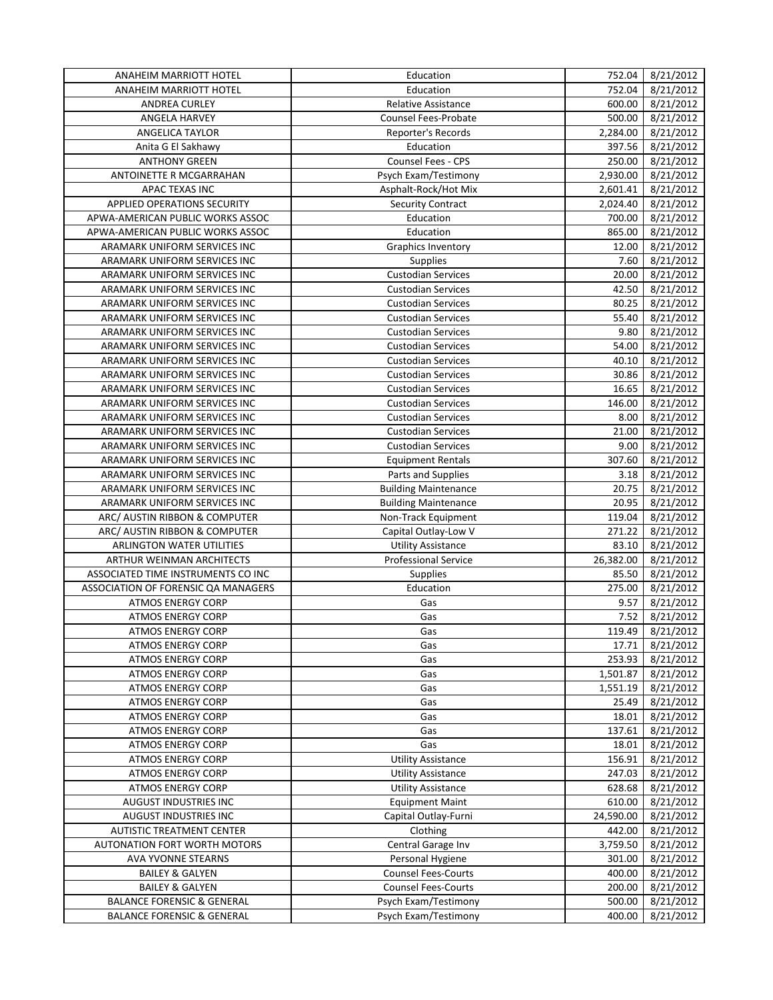| ANAHEIM MARRIOTT HOTEL                | Education                                              | 752.04    | 8/21/2012 |
|---------------------------------------|--------------------------------------------------------|-----------|-----------|
| <b>ANAHEIM MARRIOTT HOTEL</b>         | Education                                              | 752.04    | 8/21/2012 |
| <b>ANDREA CURLEY</b>                  | <b>Relative Assistance</b>                             | 600.00    | 8/21/2012 |
| ANGELA HARVEY                         | Counsel Fees-Probate                                   | 500.00    | 8/21/2012 |
| <b>ANGELICA TAYLOR</b>                | Reporter's Records                                     | 2,284.00  | 8/21/2012 |
| Anita G El Sakhawy                    | Education                                              | 397.56    | 8/21/2012 |
| <b>ANTHONY GREEN</b>                  | Counsel Fees - CPS                                     | 250.00    | 8/21/2012 |
| ANTOINETTE R MCGARRAHAN               | Psych Exam/Testimony                                   | 2,930.00  | 8/21/2012 |
| APAC TEXAS INC                        | Asphalt-Rock/Hot Mix                                   | 2,601.41  | 8/21/2012 |
| APPLIED OPERATIONS SECURITY           | <b>Security Contract</b>                               | 2,024.40  | 8/21/2012 |
| APWA-AMERICAN PUBLIC WORKS ASSOC      | Education                                              | 700.00    | 8/21/2012 |
| APWA-AMERICAN PUBLIC WORKS ASSOC      | Education                                              | 865.00    | 8/21/2012 |
| ARAMARK UNIFORM SERVICES INC          | <b>Graphics Inventory</b>                              | 12.00     | 8/21/2012 |
| ARAMARK UNIFORM SERVICES INC          | <b>Supplies</b>                                        | 7.60      | 8/21/2012 |
| ARAMARK UNIFORM SERVICES INC          | <b>Custodian Services</b>                              | 20.00     | 8/21/2012 |
| ARAMARK UNIFORM SERVICES INC          | <b>Custodian Services</b>                              | 42.50     | 8/21/2012 |
| ARAMARK UNIFORM SERVICES INC          | <b>Custodian Services</b>                              | 80.25     | 8/21/2012 |
| ARAMARK UNIFORM SERVICES INC          | <b>Custodian Services</b>                              | 55.40     | 8/21/2012 |
| ARAMARK UNIFORM SERVICES INC          | <b>Custodian Services</b>                              | 9.80      | 8/21/2012 |
| ARAMARK UNIFORM SERVICES INC          | <b>Custodian Services</b>                              | 54.00     | 8/21/2012 |
| ARAMARK UNIFORM SERVICES INC          | <b>Custodian Services</b>                              | 40.10     | 8/21/2012 |
| ARAMARK UNIFORM SERVICES INC          | <b>Custodian Services</b>                              | 30.86     | 8/21/2012 |
| ARAMARK UNIFORM SERVICES INC          | <b>Custodian Services</b>                              | 16.65     |           |
| ARAMARK UNIFORM SERVICES INC          |                                                        | 146.00    | 8/21/2012 |
|                                       | <b>Custodian Services</b><br><b>Custodian Services</b> |           | 8/21/2012 |
| ARAMARK UNIFORM SERVICES INC          |                                                        | 8.00      | 8/21/2012 |
| ARAMARK UNIFORM SERVICES INC          | <b>Custodian Services</b>                              | 21.00     | 8/21/2012 |
| ARAMARK UNIFORM SERVICES INC          | <b>Custodian Services</b>                              | 9.00      | 8/21/2012 |
| ARAMARK UNIFORM SERVICES INC          | <b>Equipment Rentals</b>                               | 307.60    | 8/21/2012 |
| ARAMARK UNIFORM SERVICES INC          | Parts and Supplies                                     | 3.18      | 8/21/2012 |
| ARAMARK UNIFORM SERVICES INC          | <b>Building Maintenance</b>                            | 20.75     | 8/21/2012 |
| ARAMARK UNIFORM SERVICES INC          | <b>Building Maintenance</b>                            | 20.95     | 8/21/2012 |
| ARC/ AUSTIN RIBBON & COMPUTER         | Non-Track Equipment                                    | 119.04    | 8/21/2012 |
| ARC/ AUSTIN RIBBON & COMPUTER         | Capital Outlay-Low V                                   | 271.22    | 8/21/2012 |
| ARLINGTON WATER UTILITIES             | <b>Utility Assistance</b>                              | 83.10     | 8/21/2012 |
| ARTHUR WEINMAN ARCHITECTS             | <b>Professional Service</b>                            | 26,382.00 | 8/21/2012 |
| ASSOCIATED TIME INSTRUMENTS CO INC    | <b>Supplies</b>                                        | 85.50     | 8/21/2012 |
| ASSOCIATION OF FORENSIC QA MANAGERS   | Education                                              | 275.00    | 8/21/2012 |
| <b>ATMOS ENERGY CORP</b>              | Gas                                                    | 9.57      | 8/21/2012 |
| <b>ATMOS ENERGY CORP</b>              | Gas                                                    | 7.52      | 8/21/2012 |
| <b>ATMOS ENERGY CORP</b>              | Gas                                                    | 119.49    | 8/21/2012 |
| <b>ATMOS ENERGY CORP</b>              | Gas                                                    | 17.71     | 8/21/2012 |
| <b>ATMOS ENERGY CORP</b>              | Gas                                                    | 253.93    | 8/21/2012 |
| <b>ATMOS ENERGY CORP</b>              | Gas                                                    | 1,501.87  | 8/21/2012 |
| <b>ATMOS ENERGY CORP</b>              | Gas                                                    | 1,551.19  | 8/21/2012 |
| <b>ATMOS ENERGY CORP</b>              | Gas                                                    | 25.49     | 8/21/2012 |
| <b>ATMOS ENERGY CORP</b>              | Gas                                                    | 18.01     | 8/21/2012 |
| ATMOS ENERGY CORP                     | Gas                                                    | 137.61    | 8/21/2012 |
| <b>ATMOS ENERGY CORP</b>              | Gas                                                    | 18.01     | 8/21/2012 |
| <b>ATMOS ENERGY CORP</b>              | <b>Utility Assistance</b>                              | 156.91    | 8/21/2012 |
| <b>ATMOS ENERGY CORP</b>              | <b>Utility Assistance</b>                              | 247.03    | 8/21/2012 |
| <b>ATMOS ENERGY CORP</b>              | <b>Utility Assistance</b>                              | 628.68    | 8/21/2012 |
| AUGUST INDUSTRIES INC                 | <b>Equipment Maint</b>                                 | 610.00    | 8/21/2012 |
| AUGUST INDUSTRIES INC                 | Capital Outlay-Furni                                   | 24,590.00 | 8/21/2012 |
| <b>AUTISTIC TREATMENT CENTER</b>      | Clothing                                               | 442.00    | 8/21/2012 |
| <b>AUTONATION FORT WORTH MOTORS</b>   | Central Garage Inv                                     | 3,759.50  | 8/21/2012 |
| <b>AVA YVONNE STEARNS</b>             | Personal Hygiene                                       | 301.00    | 8/21/2012 |
| <b>BAILEY &amp; GALYEN</b>            | <b>Counsel Fees-Courts</b>                             | 400.00    | 8/21/2012 |
| <b>BAILEY &amp; GALYEN</b>            | <b>Counsel Fees-Courts</b>                             | 200.00    | 8/21/2012 |
| <b>BALANCE FORENSIC &amp; GENERAL</b> | Psych Exam/Testimony                                   | 500.00    | 8/21/2012 |
| <b>BALANCE FORENSIC &amp; GENERAL</b> | Psych Exam/Testimony                                   | 400.00    | 8/21/2012 |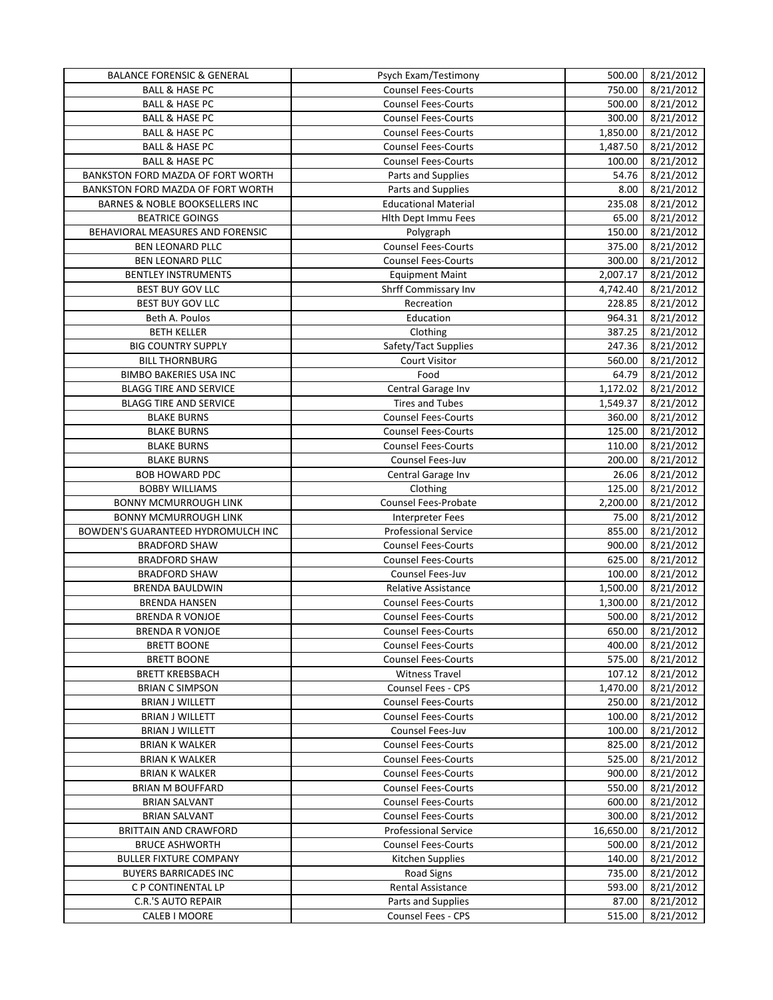| <b>BALANCE FORENSIC &amp; GENERAL</b> | Psych Exam/Testimony        | 500.00    | 8/21/2012 |
|---------------------------------------|-----------------------------|-----------|-----------|
| <b>BALL &amp; HASE PC</b>             | <b>Counsel Fees-Courts</b>  | 750.00    | 8/21/2012 |
| <b>BALL &amp; HASE PC</b>             | <b>Counsel Fees-Courts</b>  | 500.00    | 8/21/2012 |
| <b>BALL &amp; HASE PC</b>             | <b>Counsel Fees-Courts</b>  | 300.00    | 8/21/2012 |
| <b>BALL &amp; HASE PC</b>             | <b>Counsel Fees-Courts</b>  | 1,850.00  | 8/21/2012 |
| <b>BALL &amp; HASE PC</b>             | <b>Counsel Fees-Courts</b>  | 1,487.50  | 8/21/2012 |
| <b>BALL &amp; HASE PC</b>             | <b>Counsel Fees-Courts</b>  | 100.00    | 8/21/2012 |
| BANKSTON FORD MAZDA OF FORT WORTH     | Parts and Supplies          | 54.76     | 8/21/2012 |
| BANKSTON FORD MAZDA OF FORT WORTH     | Parts and Supplies          | 8.00      | 8/21/2012 |
| BARNES & NOBLE BOOKSELLERS INC        | <b>Educational Material</b> | 235.08    | 8/21/2012 |
| <b>BEATRICE GOINGS</b>                | <b>Hlth Dept Immu Fees</b>  | 65.00     | 8/21/2012 |
| BEHAVIORAL MEASURES AND FORENSIC      | Polygraph                   | 150.00    | 8/21/2012 |
| BEN LEONARD PLLC                      | <b>Counsel Fees-Courts</b>  | 375.00    | 8/21/2012 |
| BEN LEONARD PLLC                      | <b>Counsel Fees-Courts</b>  | 300.00    | 8/21/2012 |
|                                       |                             |           |           |
| <b>BENTLEY INSTRUMENTS</b>            | <b>Equipment Maint</b>      | 2,007.17  | 8/21/2012 |
| BEST BUY GOV LLC                      | Shrff Commissary Inv        | 4,742.40  | 8/21/2012 |
| BEST BUY GOV LLC                      | Recreation                  | 228.85    | 8/21/2012 |
| Beth A. Poulos                        | Education                   | 964.31    | 8/21/2012 |
| <b>BETH KELLER</b>                    | Clothing                    | 387.25    | 8/21/2012 |
| <b>BIG COUNTRY SUPPLY</b>             | Safety/Tact Supplies        | 247.36    | 8/21/2012 |
| <b>BILL THORNBURG</b>                 | <b>Court Visitor</b>        | 560.00    | 8/21/2012 |
| <b>BIMBO BAKERIES USA INC</b>         | Food                        | 64.79     | 8/21/2012 |
| <b>BLAGG TIRE AND SERVICE</b>         | Central Garage Inv          | 1,172.02  | 8/21/2012 |
| <b>BLAGG TIRE AND SERVICE</b>         | <b>Tires and Tubes</b>      | 1,549.37  | 8/21/2012 |
| <b>BLAKE BURNS</b>                    | <b>Counsel Fees-Courts</b>  | 360.00    | 8/21/2012 |
| <b>BLAKE BURNS</b>                    | <b>Counsel Fees-Courts</b>  | 125.00    | 8/21/2012 |
| <b>BLAKE BURNS</b>                    | <b>Counsel Fees-Courts</b>  | 110.00    | 8/21/2012 |
| <b>BLAKE BURNS</b>                    | Counsel Fees-Juv            | 200.00    | 8/21/2012 |
| <b>BOB HOWARD PDC</b>                 | Central Garage Inv          | 26.06     | 8/21/2012 |
| <b>BOBBY WILLIAMS</b>                 | Clothing                    | 125.00    | 8/21/2012 |
| <b>BONNY MCMURROUGH LINK</b>          | Counsel Fees-Probate        | 2,200.00  | 8/21/2012 |
| <b>BONNY MCMURROUGH LINK</b>          | Interpreter Fees            | 75.00     | 8/21/2012 |
| BOWDEN'S GUARANTEED HYDROMULCH INC    | <b>Professional Service</b> | 855.00    | 8/21/2012 |
| <b>BRADFORD SHAW</b>                  | <b>Counsel Fees-Courts</b>  | 900.00    | 8/21/2012 |
| <b>BRADFORD SHAW</b>                  | <b>Counsel Fees-Courts</b>  | 625.00    | 8/21/2012 |
|                                       |                             |           |           |
|                                       |                             |           |           |
| <b>BRADFORD SHAW</b>                  | Counsel Fees-Juv            | 100.00    | 8/21/2012 |
| <b>BRENDA BAULDWIN</b>                | <b>Relative Assistance</b>  | 1,500.00  | 8/21/2012 |
| <b>BRENDA HANSEN</b>                  | <b>Counsel Fees-Courts</b>  | 1,300.00  | 8/21/2012 |
| <b>BRENDA R VONJOE</b>                | <b>Counsel Fees-Courts</b>  | 500.00    | 8/21/2012 |
| <b>BRENDA R VONJOE</b>                | Counsel Fees-Courts         | 650.00    | 8/21/2012 |
| <b>BRETT BOONE</b>                    | <b>Counsel Fees-Courts</b>  | 400.00    | 8/21/2012 |
| <b>BRETT BOONE</b>                    | <b>Counsel Fees-Courts</b>  | 575.00    | 8/21/2012 |
| <b>BRETT KREBSBACH</b>                | <b>Witness Travel</b>       | 107.12    | 8/21/2012 |
| <b>BRIAN C SIMPSON</b>                | Counsel Fees - CPS          | 1,470.00  | 8/21/2012 |
| <b>BRIAN J WILLETT</b>                | <b>Counsel Fees-Courts</b>  | 250.00    | 8/21/2012 |
| <b>BRIAN J WILLETT</b>                | <b>Counsel Fees-Courts</b>  | 100.00    | 8/21/2012 |
| <b>BRIAN J WILLETT</b>                | Counsel Fees-Juv            | 100.00    | 8/21/2012 |
| <b>BRIAN K WALKER</b>                 | <b>Counsel Fees-Courts</b>  | 825.00    | 8/21/2012 |
| <b>BRIAN K WALKER</b>                 | <b>Counsel Fees-Courts</b>  | 525.00    | 8/21/2012 |
| <b>BRIAN K WALKER</b>                 | <b>Counsel Fees-Courts</b>  | 900.00    | 8/21/2012 |
| <b>BRIAN M BOUFFARD</b>               | <b>Counsel Fees-Courts</b>  | 550.00    | 8/21/2012 |
| BRIAN SALVANT                         | <b>Counsel Fees-Courts</b>  | 600.00    | 8/21/2012 |
| <b>BRIAN SALVANT</b>                  | <b>Counsel Fees-Courts</b>  | 300.00    | 8/21/2012 |
| <b>BRITTAIN AND CRAWFORD</b>          | Professional Service        | 16,650.00 | 8/21/2012 |
| <b>BRUCE ASHWORTH</b>                 | <b>Counsel Fees-Courts</b>  | 500.00    | 8/21/2012 |
| <b>BULLER FIXTURE COMPANY</b>         | Kitchen Supplies            | 140.00    | 8/21/2012 |
| <b>BUYERS BARRICADES INC</b>          | Road Signs                  | 735.00    | 8/21/2012 |
| C P CONTINENTAL LP                    | Rental Assistance           | 593.00    | 8/21/2012 |
| <b>C.R.'S AUTO REPAIR</b>             | Parts and Supplies          | 87.00     | 8/21/2012 |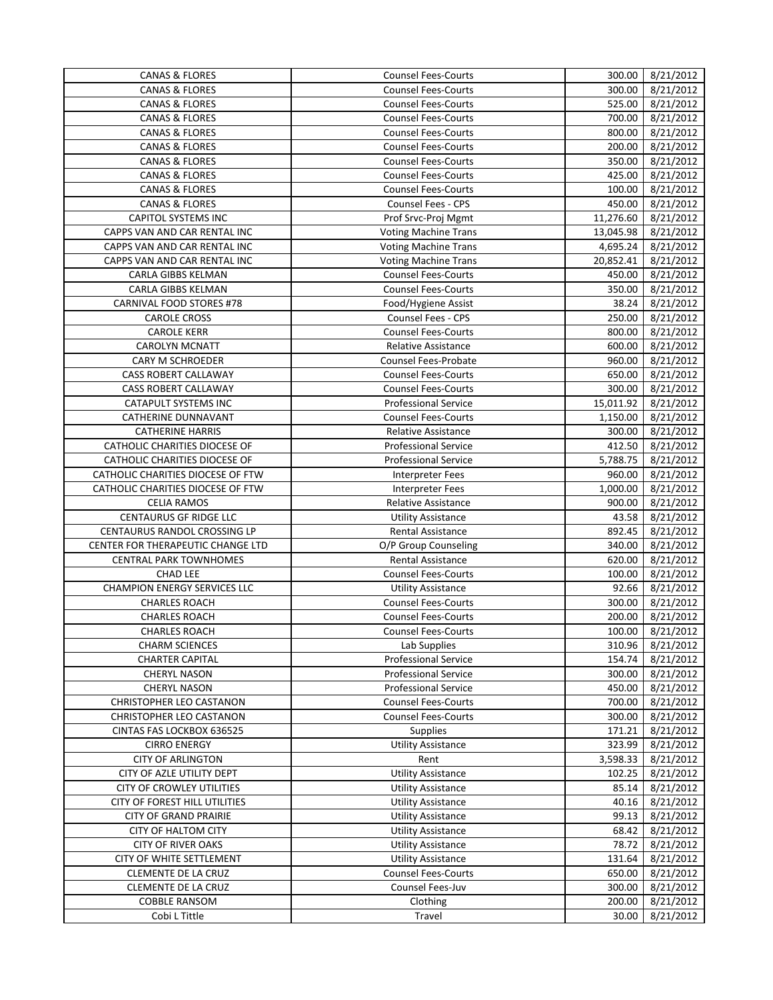| <b>CANAS &amp; FLORES</b>           | <b>Counsel Fees-Courts</b>  | 300.00    | 8/21/2012 |
|-------------------------------------|-----------------------------|-----------|-----------|
| <b>CANAS &amp; FLORES</b>           | <b>Counsel Fees-Courts</b>  | 300.00    | 8/21/2012 |
| <b>CANAS &amp; FLORES</b>           | <b>Counsel Fees-Courts</b>  | 525.00    | 8/21/2012 |
| <b>CANAS &amp; FLORES</b>           | <b>Counsel Fees-Courts</b>  | 700.00    | 8/21/2012 |
| <b>CANAS &amp; FLORES</b>           | <b>Counsel Fees-Courts</b>  | 800.00    | 8/21/2012 |
| <b>CANAS &amp; FLORES</b>           | <b>Counsel Fees-Courts</b>  | 200.00    | 8/21/2012 |
| <b>CANAS &amp; FLORES</b>           | <b>Counsel Fees-Courts</b>  | 350.00    | 8/21/2012 |
| <b>CANAS &amp; FLORES</b>           | <b>Counsel Fees-Courts</b>  | 425.00    | 8/21/2012 |
| <b>CANAS &amp; FLORES</b>           | <b>Counsel Fees-Courts</b>  | 100.00    | 8/21/2012 |
| <b>CANAS &amp; FLORES</b>           | <b>Counsel Fees - CPS</b>   | 450.00    | 8/21/2012 |
| <b>CAPITOL SYSTEMS INC</b>          | Prof Srvc-Proj Mgmt         | 11,276.60 | 8/21/2012 |
| CAPPS VAN AND CAR RENTAL INC        | <b>Voting Machine Trans</b> | 13,045.98 | 8/21/2012 |
| CAPPS VAN AND CAR RENTAL INC        | <b>Voting Machine Trans</b> | 4,695.24  | 8/21/2012 |
| CAPPS VAN AND CAR RENTAL INC        | <b>Voting Machine Trans</b> | 20,852.41 | 8/21/2012 |
| CARLA GIBBS KELMAN                  | <b>Counsel Fees-Courts</b>  | 450.00    | 8/21/2012 |
|                                     |                             |           |           |
| CARLA GIBBS KELMAN                  | <b>Counsel Fees-Courts</b>  | 350.00    | 8/21/2012 |
| CARNIVAL FOOD STORES #78            | Food/Hygiene Assist         | 38.24     | 8/21/2012 |
| <b>CAROLE CROSS</b>                 | Counsel Fees - CPS          | 250.00    | 8/21/2012 |
| <b>CAROLE KERR</b>                  | <b>Counsel Fees-Courts</b>  | 800.00    | 8/21/2012 |
| <b>CAROLYN MCNATT</b>               | <b>Relative Assistance</b>  | 600.00    | 8/21/2012 |
| <b>CARY M SCHROEDER</b>             | Counsel Fees-Probate        | 960.00    | 8/21/2012 |
| CASS ROBERT CALLAWAY                | <b>Counsel Fees-Courts</b>  | 650.00    | 8/21/2012 |
| CASS ROBERT CALLAWAY                | <b>Counsel Fees-Courts</b>  | 300.00    | 8/21/2012 |
| CATAPULT SYSTEMS INC                | <b>Professional Service</b> | 15,011.92 | 8/21/2012 |
| CATHERINE DUNNAVANT                 | <b>Counsel Fees-Courts</b>  | 1,150.00  | 8/21/2012 |
| <b>CATHERINE HARRIS</b>             | <b>Relative Assistance</b>  | 300.00    | 8/21/2012 |
| CATHOLIC CHARITIES DIOCESE OF       | <b>Professional Service</b> | 412.50    | 8/21/2012 |
| CATHOLIC CHARITIES DIOCESE OF       | <b>Professional Service</b> | 5,788.75  | 8/21/2012 |
| CATHOLIC CHARITIES DIOCESE OF FTW   | <b>Interpreter Fees</b>     | 960.00    | 8/21/2012 |
| CATHOLIC CHARITIES DIOCESE OF FTW   | <b>Interpreter Fees</b>     | 1,000.00  | 8/21/2012 |
| <b>CELIA RAMOS</b>                  | Relative Assistance         | 900.00    | 8/21/2012 |
| <b>CENTAURUS GF RIDGE LLC</b>       | <b>Utility Assistance</b>   | 43.58     | 8/21/2012 |
| CENTAURUS RANDOL CROSSING LP        | <b>Rental Assistance</b>    | 892.45    | 8/21/2012 |
| CENTER FOR THERAPEUTIC CHANGE LTD   | O/P Group Counseling        | 340.00    | 8/21/2012 |
| <b>CENTRAL PARK TOWNHOMES</b>       | <b>Rental Assistance</b>    | 620.00    | 8/21/2012 |
| <b>CHAD LEE</b>                     | <b>Counsel Fees-Courts</b>  | 100.00    | 8/21/2012 |
| <b>CHAMPION ENERGY SERVICES LLC</b> | <b>Utility Assistance</b>   | 92.66     | 8/21/2012 |
| <b>CHARLES ROACH</b>                | <b>Counsel Fees-Courts</b>  | 300.00    | 8/21/2012 |
| <b>CHARLES ROACH</b>                | <b>Counsel Fees-Courts</b>  | 200.00    |           |
|                                     |                             |           | 8/21/2012 |
| <b>CHARLES ROACH</b>                | <b>Counsel Fees-Courts</b>  | 100.00    | 8/21/2012 |
| <b>CHARM SCIENCES</b>               | Lab Supplies                | 310.96    | 8/21/2012 |
| <b>CHARTER CAPITAL</b>              | <b>Professional Service</b> | 154.74    | 8/21/2012 |
| <b>CHERYL NASON</b>                 | <b>Professional Service</b> | 300.00    | 8/21/2012 |
| <b>CHERYL NASON</b>                 | <b>Professional Service</b> | 450.00    | 8/21/2012 |
| CHRISTOPHER LEO CASTANON            | <b>Counsel Fees-Courts</b>  | 700.00    | 8/21/2012 |
| CHRISTOPHER LEO CASTANON            | <b>Counsel Fees-Courts</b>  | 300.00    | 8/21/2012 |
| CINTAS FAS LOCKBOX 636525           | Supplies                    | 171.21    | 8/21/2012 |
| <b>CIRRO ENERGY</b>                 | <b>Utility Assistance</b>   | 323.99    | 8/21/2012 |
| <b>CITY OF ARLINGTON</b>            | Rent                        | 3,598.33  | 8/21/2012 |
| CITY OF AZLE UTILITY DEPT           | <b>Utility Assistance</b>   | 102.25    | 8/21/2012 |
| CITY OF CROWLEY UTILITIES           | <b>Utility Assistance</b>   | 85.14     | 8/21/2012 |
| CITY OF FOREST HILL UTILITIES       | <b>Utility Assistance</b>   | 40.16     | 8/21/2012 |
| <b>CITY OF GRAND PRAIRIE</b>        | <b>Utility Assistance</b>   | 99.13     | 8/21/2012 |
| <b>CITY OF HALTOM CITY</b>          | <b>Utility Assistance</b>   | 68.42     | 8/21/2012 |
| CITY OF RIVER OAKS                  | <b>Utility Assistance</b>   | 78.72     | 8/21/2012 |
| CITY OF WHITE SETTLEMENT            | <b>Utility Assistance</b>   | 131.64    | 8/21/2012 |
| CLEMENTE DE LA CRUZ                 | <b>Counsel Fees-Courts</b>  | 650.00    | 8/21/2012 |
| CLEMENTE DE LA CRUZ                 | Counsel Fees-Juv            | 300.00    | 8/21/2012 |
| <b>COBBLE RANSOM</b>                | Clothing                    | 200.00    | 8/21/2012 |
| Cobi L Tittle                       | Travel                      | 30.00     | 8/21/2012 |
|                                     |                             |           |           |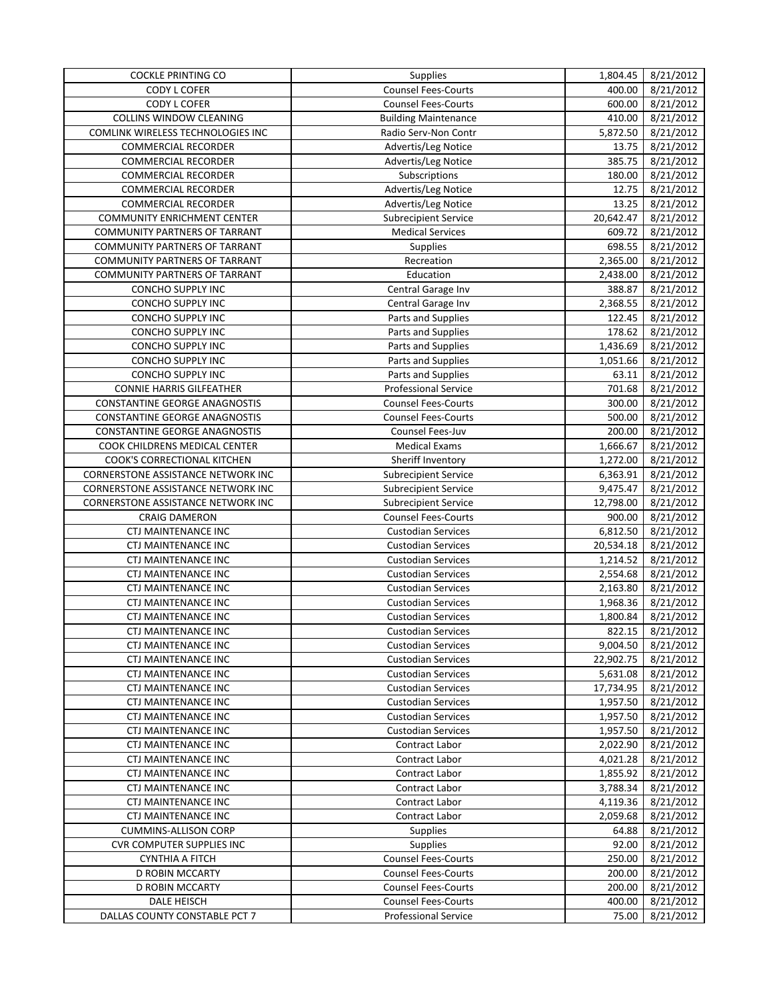| <b>COCKLE PRINTING CO</b>            | Supplies                    | 1,804.45  | 8/21/2012 |
|--------------------------------------|-----------------------------|-----------|-----------|
| <b>CODY L COFER</b>                  | Counsel Fees-Courts         | 400.00    | 8/21/2012 |
| <b>CODY L COFER</b>                  | <b>Counsel Fees-Courts</b>  | 600.00    | 8/21/2012 |
| COLLINS WINDOW CLEANING              | <b>Building Maintenance</b> | 410.00    | 8/21/2012 |
| COMLINK WIRELESS TECHNOLOGIES INC    | Radio Serv-Non Contr        | 5,872.50  | 8/21/2012 |
| <b>COMMERCIAL RECORDER</b>           | Advertis/Leg Notice         | 13.75     | 8/21/2012 |
| <b>COMMERCIAL RECORDER</b>           | Advertis/Leg Notice         | 385.75    | 8/21/2012 |
| <b>COMMERCIAL RECORDER</b>           | Subscriptions               | 180.00    | 8/21/2012 |
| <b>COMMERCIAL RECORDER</b>           | Advertis/Leg Notice         | 12.75     | 8/21/2012 |
| <b>COMMERCIAL RECORDER</b>           | Advertis/Leg Notice         | 13.25     | 8/21/2012 |
| <b>COMMUNITY ENRICHMENT CENTER</b>   | <b>Subrecipient Service</b> | 20,642.47 | 8/21/2012 |
| <b>COMMUNITY PARTNERS OF TARRANT</b> | <b>Medical Services</b>     | 609.72    | 8/21/2012 |
| <b>COMMUNITY PARTNERS OF TARRANT</b> | Supplies                    | 698.55    | 8/21/2012 |
| <b>COMMUNITY PARTNERS OF TARRANT</b> | Recreation                  | 2,365.00  | 8/21/2012 |
| <b>COMMUNITY PARTNERS OF TARRANT</b> | Education                   | 2,438.00  |           |
|                                      |                             |           | 8/21/2012 |
| <b>CONCHO SUPPLY INC</b>             | Central Garage Inv          | 388.87    | 8/21/2012 |
| CONCHO SUPPLY INC                    | Central Garage Inv          | 2,368.55  | 8/21/2012 |
| <b>CONCHO SUPPLY INC</b>             | Parts and Supplies          | 122.45    | 8/21/2012 |
| <b>CONCHO SUPPLY INC</b>             | Parts and Supplies          | 178.62    | 8/21/2012 |
| CONCHO SUPPLY INC                    | Parts and Supplies          | 1,436.69  | 8/21/2012 |
| CONCHO SUPPLY INC                    | Parts and Supplies          | 1,051.66  | 8/21/2012 |
| CONCHO SUPPLY INC                    | Parts and Supplies          | 63.11     | 8/21/2012 |
| <b>CONNIE HARRIS GILFEATHER</b>      | <b>Professional Service</b> | 701.68    | 8/21/2012 |
| <b>CONSTANTINE GEORGE ANAGNOSTIS</b> | <b>Counsel Fees-Courts</b>  | 300.00    | 8/21/2012 |
| <b>CONSTANTINE GEORGE ANAGNOSTIS</b> | <b>Counsel Fees-Courts</b>  | 500.00    | 8/21/2012 |
| <b>CONSTANTINE GEORGE ANAGNOSTIS</b> | Counsel Fees-Juv            | 200.00    | 8/21/2012 |
| COOK CHILDRENS MEDICAL CENTER        | <b>Medical Exams</b>        | 1,666.67  | 8/21/2012 |
| COOK'S CORRECTIONAL KITCHEN          | Sheriff Inventory           | 1,272.00  | 8/21/2012 |
| CORNERSTONE ASSISTANCE NETWORK INC   | <b>Subrecipient Service</b> | 6,363.91  | 8/21/2012 |
| CORNERSTONE ASSISTANCE NETWORK INC   | <b>Subrecipient Service</b> | 9,475.47  | 8/21/2012 |
| CORNERSTONE ASSISTANCE NETWORK INC   | <b>Subrecipient Service</b> | 12,798.00 | 8/21/2012 |
| <b>CRAIG DAMERON</b>                 | <b>Counsel Fees-Courts</b>  | 900.00    | 8/21/2012 |
| <b>CTJ MAINTENANCE INC</b>           | <b>Custodian Services</b>   | 6,812.50  | 8/21/2012 |
| <b>CTJ MAINTENANCE INC</b>           | <b>Custodian Services</b>   | 20,534.18 | 8/21/2012 |
| CTJ MAINTENANCE INC                  | <b>Custodian Services</b>   | 1,214.52  | 8/21/2012 |
| CTJ MAINTENANCE INC                  | <b>Custodian Services</b>   | 2,554.68  | 8/21/2012 |
| CTJ MAINTENANCE INC                  | <b>Custodian Services</b>   | 2,163.80  | 8/21/2012 |
| CTJ MAINTENANCE INC                  | <b>Custodian Services</b>   | 1,968.36  | 8/21/2012 |
| <b>CTJ MAINTENANCE INC</b>           | <b>Custodian Services</b>   | 1,800.84  | 8/21/2012 |
| CTJ MAINTENANCE INC                  | <b>Custodian Services</b>   | 822.15    | 8/21/2012 |
| CTJ MAINTENANCE INC                  | <b>Custodian Services</b>   | 9,004.50  | 8/21/2012 |
| CTJ MAINTENANCE INC                  | <b>Custodian Services</b>   | 22,902.75 | 8/21/2012 |
| CTJ MAINTENANCE INC                  | <b>Custodian Services</b>   | 5,631.08  | 8/21/2012 |
| CTJ MAINTENANCE INC                  | <b>Custodian Services</b>   | 17,734.95 |           |
| <b>CTJ MAINTENANCE INC</b>           | <b>Custodian Services</b>   | 1,957.50  | 8/21/2012 |
| <b>CTJ MAINTENANCE INC</b>           | <b>Custodian Services</b>   | 1,957.50  | 8/21/2012 |
|                                      |                             |           | 8/21/2012 |
| CTJ MAINTENANCE INC                  | <b>Custodian Services</b>   | 1,957.50  | 8/21/2012 |
| CTJ MAINTENANCE INC                  | Contract Labor              | 2,022.90  | 8/21/2012 |
| CTJ MAINTENANCE INC                  | Contract Labor              | 4,021.28  | 8/21/2012 |
| CTJ MAINTENANCE INC                  | Contract Labor              | 1,855.92  | 8/21/2012 |
| CTJ MAINTENANCE INC                  | Contract Labor              | 3,788.34  | 8/21/2012 |
| CTJ MAINTENANCE INC                  | Contract Labor              | 4,119.36  | 8/21/2012 |
| CTJ MAINTENANCE INC                  | Contract Labor              | 2,059.68  | 8/21/2012 |
| <b>CUMMINS-ALLISON CORP</b>          | <b>Supplies</b>             | 64.88     | 8/21/2012 |
| <b>CVR COMPUTER SUPPLIES INC</b>     | <b>Supplies</b>             | 92.00     | 8/21/2012 |
| <b>CYNTHIA A FITCH</b>               | <b>Counsel Fees-Courts</b>  | 250.00    | 8/21/2012 |
| D ROBIN MCCARTY                      | <b>Counsel Fees-Courts</b>  | 200.00    | 8/21/2012 |
| D ROBIN MCCARTY                      | <b>Counsel Fees-Courts</b>  | 200.00    | 8/21/2012 |
| DALE HEISCH                          | <b>Counsel Fees-Courts</b>  | 400.00    | 8/21/2012 |
| DALLAS COUNTY CONSTABLE PCT 7        | <b>Professional Service</b> | 75.00     | 8/21/2012 |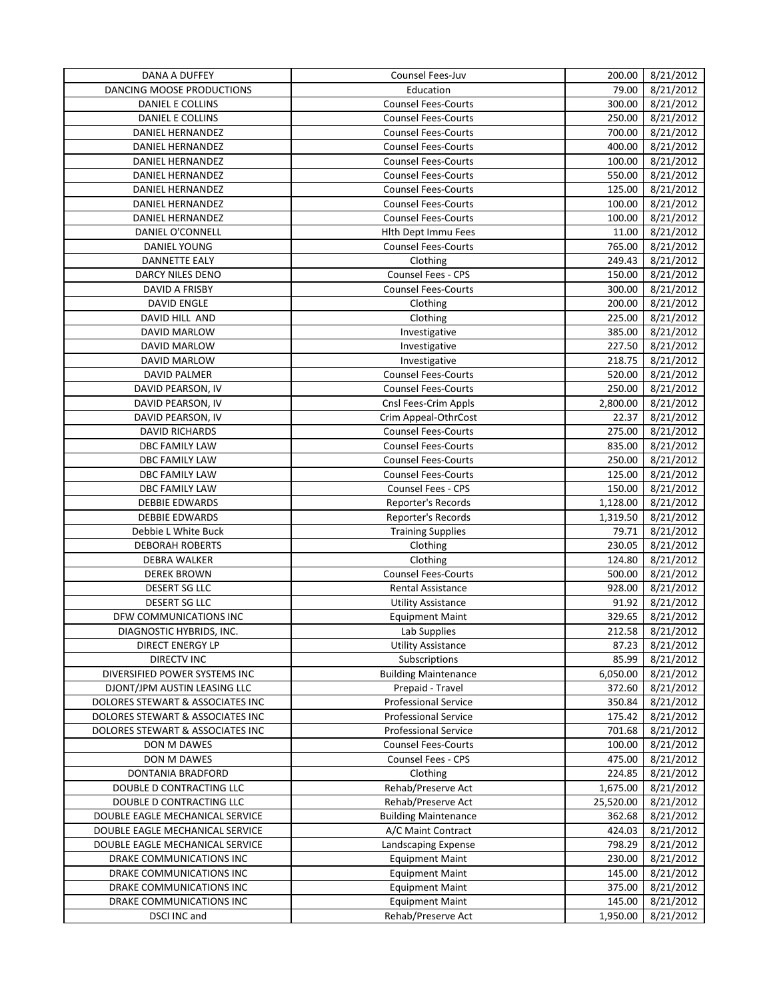| DANA A DUFFEY                    | Counsel Fees-Juv            | 200.00    | 8/21/2012 |
|----------------------------------|-----------------------------|-----------|-----------|
| DANCING MOOSE PRODUCTIONS        | Education                   | 79.00     | 8/21/2012 |
| DANIEL E COLLINS                 | <b>Counsel Fees-Courts</b>  | 300.00    | 8/21/2012 |
| DANIEL E COLLINS                 | <b>Counsel Fees-Courts</b>  | 250.00    | 8/21/2012 |
| DANIEL HERNANDEZ                 | <b>Counsel Fees-Courts</b>  | 700.00    | 8/21/2012 |
| <b>DANIEL HERNANDEZ</b>          | <b>Counsel Fees-Courts</b>  | 400.00    | 8/21/2012 |
| DANIEL HERNANDEZ                 | <b>Counsel Fees-Courts</b>  | 100.00    | 8/21/2012 |
| DANIEL HERNANDEZ                 | <b>Counsel Fees-Courts</b>  | 550.00    | 8/21/2012 |
| DANIEL HERNANDEZ                 | <b>Counsel Fees-Courts</b>  | 125.00    | 8/21/2012 |
| DANIEL HERNANDEZ                 | <b>Counsel Fees-Courts</b>  | 100.00    | 8/21/2012 |
| DANIEL HERNANDEZ                 | <b>Counsel Fees-Courts</b>  | 100.00    | 8/21/2012 |
| DANIEL O'CONNELL                 | Hlth Dept Immu Fees         | 11.00     | 8/21/2012 |
| <b>DANIEL YOUNG</b>              | <b>Counsel Fees-Courts</b>  | 765.00    | 8/21/2012 |
| <b>DANNETTE EALY</b>             | Clothing                    | 249.43    | 8/21/2012 |
| DARCY NILES DENO                 | Counsel Fees - CPS          | 150.00    | 8/21/2012 |
|                                  |                             |           |           |
| DAVID A FRISBY                   | <b>Counsel Fees-Courts</b>  | 300.00    | 8/21/2012 |
| <b>DAVID ENGLE</b>               | Clothing                    | 200.00    | 8/21/2012 |
| DAVID HILL AND                   | Clothing                    | 225.00    | 8/21/2012 |
| DAVID MARLOW                     | Investigative               | 385.00    | 8/21/2012 |
| DAVID MARLOW                     | Investigative               | 227.50    | 8/21/2012 |
| DAVID MARLOW                     | Investigative               | 218.75    | 8/21/2012 |
| <b>DAVID PALMER</b>              | <b>Counsel Fees-Courts</b>  | 520.00    | 8/21/2012 |
| DAVID PEARSON, IV                | <b>Counsel Fees-Courts</b>  | 250.00    | 8/21/2012 |
| DAVID PEARSON, IV                | Cnsl Fees-Crim Appls        | 2,800.00  | 8/21/2012 |
| DAVID PEARSON, IV                | Crim Appeal-OthrCost        | 22.37     | 8/21/2012 |
| <b>DAVID RICHARDS</b>            | Counsel Fees-Courts         | 275.00    | 8/21/2012 |
| DBC FAMILY LAW                   | <b>Counsel Fees-Courts</b>  | 835.00    | 8/21/2012 |
| DBC FAMILY LAW                   | <b>Counsel Fees-Courts</b>  | 250.00    | 8/21/2012 |
| DBC FAMILY LAW                   | <b>Counsel Fees-Courts</b>  | 125.00    | 8/21/2012 |
| DBC FAMILY LAW                   | Counsel Fees - CPS          | 150.00    | 8/21/2012 |
| <b>DEBBIE EDWARDS</b>            | Reporter's Records          | 1,128.00  | 8/21/2012 |
| <b>DEBBIE EDWARDS</b>            | <b>Reporter's Records</b>   | 1,319.50  | 8/21/2012 |
| Debbie L White Buck              | <b>Training Supplies</b>    | 79.71     | 8/21/2012 |
| <b>DEBORAH ROBERTS</b>           | Clothing                    | 230.05    | 8/21/2012 |
| <b>DEBRA WALKER</b>              | Clothing                    | 124.80    |           |
| <b>DEREK BROWN</b>               |                             |           | 8/21/2012 |
|                                  | <b>Counsel Fees-Courts</b>  | 500.00    | 8/21/2012 |
| DESERT SG LLC                    | Rental Assistance           | 928.00    | 8/21/2012 |
| DESERT SG LLC                    | <b>Utility Assistance</b>   | 91.92     | 8/21/2012 |
| DFW COMMUNICATIONS INC           | <b>Equipment Maint</b>      | 329.65    | 8/21/2012 |
| DIAGNOSTIC HYBRIDS, INC.         | Lab Supplies                | 212.58    | 8/21/2012 |
| DIRECT ENERGY LP                 | <b>Utility Assistance</b>   | 87.23     | 8/21/2012 |
| <b>DIRECTV INC</b>               | Subscriptions               | 85.99     | 8/21/2012 |
| DIVERSIFIED POWER SYSTEMS INC    | <b>Building Maintenance</b> | 6,050.00  | 8/21/2012 |
| DJONT/JPM AUSTIN LEASING LLC     | Prepaid - Travel            | 372.60    | 8/21/2012 |
| DOLORES STEWART & ASSOCIATES INC | <b>Professional Service</b> | 350.84    | 8/21/2012 |
| DOLORES STEWART & ASSOCIATES INC | <b>Professional Service</b> | 175.42    | 8/21/2012 |
| DOLORES STEWART & ASSOCIATES INC | <b>Professional Service</b> | 701.68    | 8/21/2012 |
| DON M DAWES                      | <b>Counsel Fees-Courts</b>  | 100.00    | 8/21/2012 |
| DON M DAWES                      | <b>Counsel Fees - CPS</b>   | 475.00    | 8/21/2012 |
| DONTANIA BRADFORD                | Clothing                    | 224.85    | 8/21/2012 |
| DOUBLE D CONTRACTING LLC         | Rehab/Preserve Act          | 1,675.00  | 8/21/2012 |
| DOUBLE D CONTRACTING LLC         | Rehab/Preserve Act          | 25,520.00 | 8/21/2012 |
| DOUBLE EAGLE MECHANICAL SERVICE  | <b>Building Maintenance</b> | 362.68    | 8/21/2012 |
| DOUBLE EAGLE MECHANICAL SERVICE  | A/C Maint Contract          | 424.03    | 8/21/2012 |
| DOUBLE EAGLE MECHANICAL SERVICE  | Landscaping Expense         | 798.29    | 8/21/2012 |
|                                  |                             |           |           |
| DRAKE COMMUNICATIONS INC         | <b>Equipment Maint</b>      | 230.00    | 8/21/2012 |
| DRAKE COMMUNICATIONS INC         | <b>Equipment Maint</b>      | 145.00    | 8/21/2012 |
| DRAKE COMMUNICATIONS INC         | <b>Equipment Maint</b>      | 375.00    | 8/21/2012 |
| DRAKE COMMUNICATIONS INC         | <b>Equipment Maint</b>      | 145.00    | 8/21/2012 |
| DSCI INC and                     | Rehab/Preserve Act          | 1,950.00  | 8/21/2012 |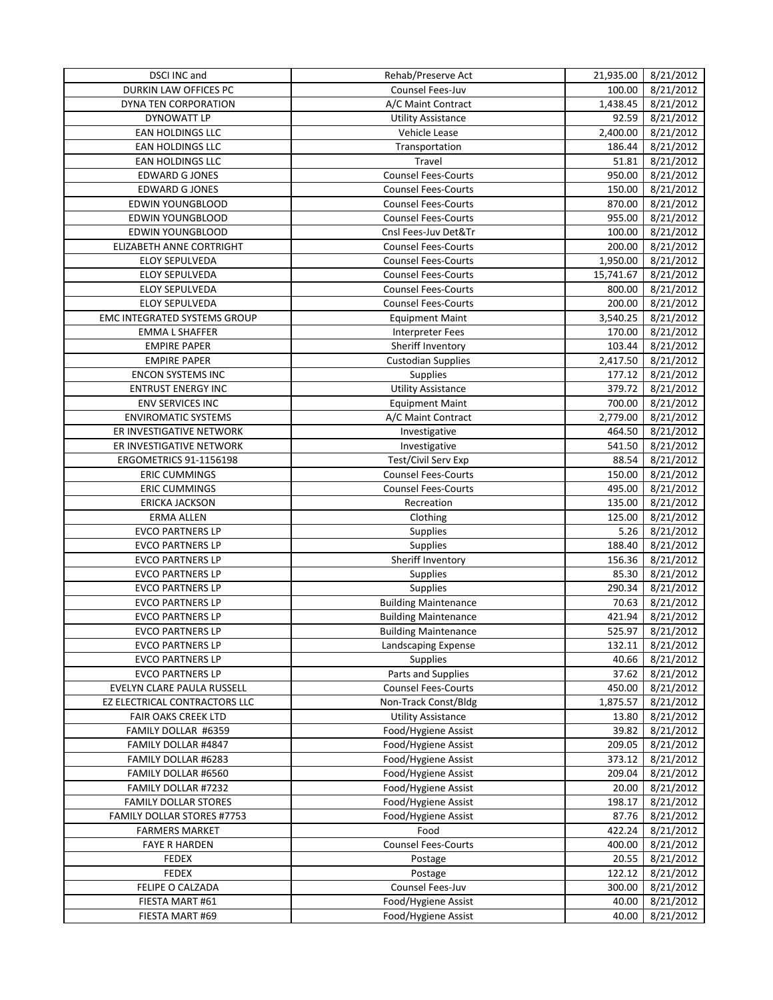| DSCI INC and                       | Rehab/Preserve Act                         | 21,935.00 | 8/21/2012 |
|------------------------------------|--------------------------------------------|-----------|-----------|
| <b>DURKIN LAW OFFICES PC</b>       | Counsel Fees-Juv                           | 100.00    | 8/21/2012 |
| DYNA TEN CORPORATION               | A/C Maint Contract                         | 1,438.45  | 8/21/2012 |
| <b>DYNOWATT LP</b>                 | <b>Utility Assistance</b>                  | 92.59     | 8/21/2012 |
| <b>EAN HOLDINGS LLC</b>            | Vehicle Lease                              | 2,400.00  | 8/21/2012 |
| EAN HOLDINGS LLC                   | Transportation                             | 186.44    | 8/21/2012 |
| <b>EAN HOLDINGS LLC</b>            | Travel                                     | 51.81     | 8/21/2012 |
| <b>EDWARD G JONES</b>              | <b>Counsel Fees-Courts</b>                 | 950.00    | 8/21/2012 |
| <b>EDWARD G JONES</b>              | <b>Counsel Fees-Courts</b>                 | 150.00    |           |
|                                    |                                            |           | 8/21/2012 |
| EDWIN YOUNGBLOOD                   | <b>Counsel Fees-Courts</b>                 | 870.00    | 8/21/2012 |
| <b>EDWIN YOUNGBLOOD</b>            | <b>Counsel Fees-Courts</b>                 | 955.00    | 8/21/2012 |
| EDWIN YOUNGBLOOD                   | Cnsl Fees-Juv Det&Tr                       | 100.00    | 8/21/2012 |
| ELIZABETH ANNE CORTRIGHT           | <b>Counsel Fees-Courts</b>                 | 200.00    | 8/21/2012 |
| ELOY SEPULVEDA                     | <b>Counsel Fees-Courts</b>                 | 1,950.00  | 8/21/2012 |
| ELOY SEPULVEDA                     | <b>Counsel Fees-Courts</b>                 | 15,741.67 | 8/21/2012 |
| ELOY SEPULVEDA                     | <b>Counsel Fees-Courts</b>                 | 800.00    | 8/21/2012 |
| <b>ELOY SEPULVEDA</b>              | <b>Counsel Fees-Courts</b>                 | 200.00    | 8/21/2012 |
| EMC INTEGRATED SYSTEMS GROUP       | <b>Equipment Maint</b>                     | 3,540.25  | 8/21/2012 |
| <b>EMMA L SHAFFER</b>              | Interpreter Fees                           | 170.00    | 8/21/2012 |
| <b>EMPIRE PAPER</b>                | Sheriff Inventory                          | 103.44    | 8/21/2012 |
| <b>EMPIRE PAPER</b>                | <b>Custodian Supplies</b>                  | 2,417.50  | 8/21/2012 |
| <b>ENCON SYSTEMS INC</b>           | <b>Supplies</b>                            | 177.12    | 8/21/2012 |
| <b>ENTRUST ENERGY INC</b>          | <b>Utility Assistance</b>                  | 379.72    | 8/21/2012 |
| ENV SERVICES INC                   | <b>Equipment Maint</b>                     | 700.00    | 8/21/2012 |
| <b>ENVIROMATIC SYSTEMS</b>         | A/C Maint Contract                         | 2,779.00  | 8/21/2012 |
|                                    |                                            |           |           |
| ER INVESTIGATIVE NETWORK           | Investigative                              | 464.50    | 8/21/2012 |
| ER INVESTIGATIVE NETWORK           | Investigative                              | 541.50    | 8/21/2012 |
| <b>ERGOMETRICS 91-1156198</b>      | Test/Civil Serv Exp                        | 88.54     | 8/21/2012 |
| <b>ERIC CUMMINGS</b>               | <b>Counsel Fees-Courts</b>                 | 150.00    | 8/21/2012 |
| <b>ERIC CUMMINGS</b>               | <b>Counsel Fees-Courts</b>                 | 495.00    | 8/21/2012 |
| <b>ERICKA JACKSON</b>              | Recreation                                 | 135.00    | 8/21/2012 |
| <b>ERMA ALLEN</b>                  | Clothing                                   | 125.00    | 8/21/2012 |
| <b>EVCO PARTNERS LP</b>            | Supplies                                   | 5.26      | 8/21/2012 |
| <b>EVCO PARTNERS LP</b>            | Supplies                                   | 188.40    | 8/21/2012 |
| <b>EVCO PARTNERS LP</b>            | Sheriff Inventory                          | 156.36    | 8/21/2012 |
| <b>EVCO PARTNERS LP</b>            | Supplies                                   | 85.30     | 8/21/2012 |
| <b>EVCO PARTNERS LP</b>            | Supplies                                   | 290.34    | 8/21/2012 |
| <b>EVCO PARTNERS LP</b>            | <b>Building Maintenance</b>                | 70.63     | 8/21/2012 |
| <b>EVCO PARTNERS LP</b>            | <b>Building Maintenance</b>                | 421.94    | 8/21/2012 |
| <b>EVCO PARTNERS LP</b>            | <b>Building Maintenance</b>                | 525.97    | 8/21/2012 |
| <b>EVCO PARTNERS LP</b>            | Landscaping Expense                        | 132.11    | 8/21/2012 |
|                                    | <b>Supplies</b>                            |           |           |
| EVCO PARTNERS LP                   |                                            | 40.66     | 8/21/2012 |
| <b>EVCO PARTNERS LP</b>            | Parts and Supplies                         | 37.62     | 8/21/2012 |
| EVELYN CLARE PAULA RUSSELL         | <b>Counsel Fees-Courts</b>                 | 450.00    | 8/21/2012 |
| EZ ELECTRICAL CONTRACTORS LLC      | Non-Track Const/Bldg                       | 1,875.57  | 8/21/2012 |
| FAIR OAKS CREEK LTD                | <b>Utility Assistance</b>                  | 13.80     | 8/21/2012 |
| FAMILY DOLLAR #6359                | Food/Hygiene Assist                        | 39.82     | 8/21/2012 |
| FAMILY DOLLAR #4847                | Food/Hygiene Assist                        | 209.05    | 8/21/2012 |
| FAMILY DOLLAR #6283                | Food/Hygiene Assist                        | 373.12    | 8/21/2012 |
| FAMILY DOLLAR #6560                | Food/Hygiene Assist                        | 209.04    | 8/21/2012 |
| FAMILY DOLLAR #7232                | Food/Hygiene Assist                        | 20.00     | 8/21/2012 |
| <b>FAMILY DOLLAR STORES</b>        | Food/Hygiene Assist                        | 198.17    | 8/21/2012 |
| FAMILY DOLLAR STORES #7753         | Food/Hygiene Assist                        | 87.76     | 8/21/2012 |
| <b>FARMERS MARKET</b>              | Food                                       | 422.24    | 8/21/2012 |
| <b>FAYE R HARDEN</b>               | Counsel Fees-Courts                        | 400.00    | 8/21/2012 |
| <b>FEDEX</b>                       | Postage                                    | 20.55     | 8/21/2012 |
| <b>FEDEX</b>                       |                                            | 122.12    |           |
|                                    | Postage                                    |           | 8/21/2012 |
| FELIPE O CALZADA                   | Counsel Fees-Juv                           | 300.00    | 8/21/2012 |
| FIESTA MART #61<br>FIESTA MART #69 | Food/Hygiene Assist<br>Food/Hygiene Assist | 40.00     | 8/21/2012 |
|                                    |                                            | 40.00     | 8/21/2012 |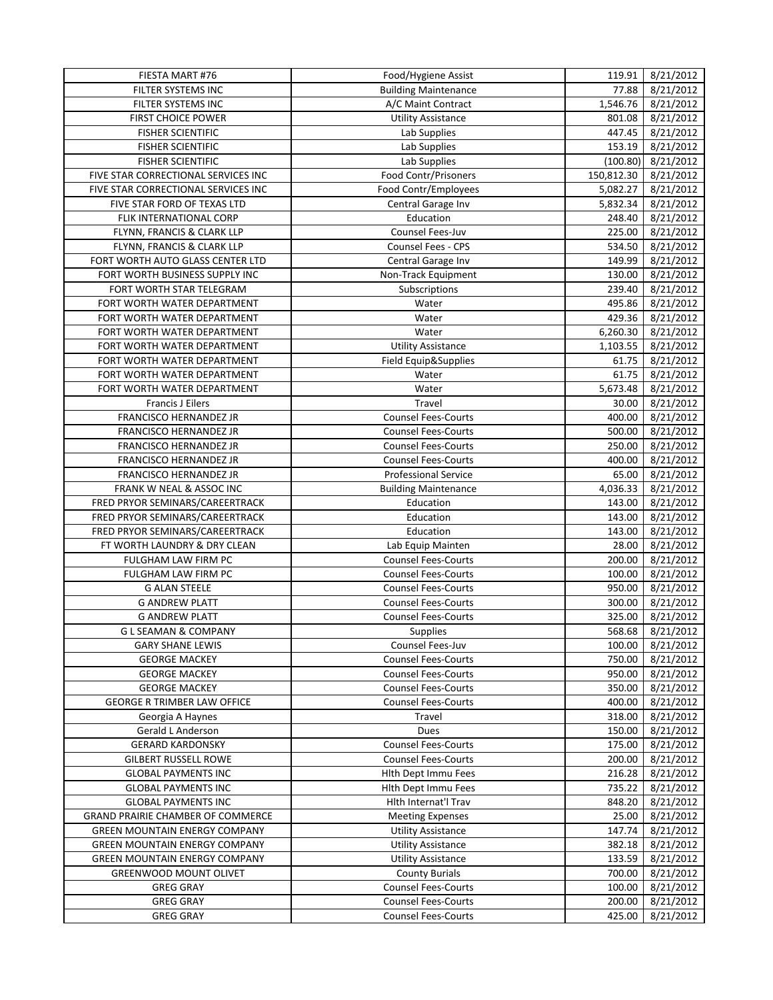| <b>FILTER SYSTEMS INC</b><br><b>Building Maintenance</b><br>77.88<br>8/21/2012<br>1,546.76<br>8/21/2012<br>FILTER SYSTEMS INC<br>A/C Maint Contract<br>8/21/2012<br><b>FIRST CHOICE POWER</b><br><b>Utility Assistance</b><br>801.08<br>8/21/2012<br><b>FISHER SCIENTIFIC</b><br>Lab Supplies<br>447.45<br>8/21/2012<br><b>FISHER SCIENTIFIC</b><br>Lab Supplies<br>153.19<br>Lab Supplies<br>8/21/2012<br><b>FISHER SCIENTIFIC</b><br>(100.80)<br><b>Food Contr/Prisoners</b><br>8/21/2012<br>FIVE STAR CORRECTIONAL SERVICES INC<br>150,812.30<br>Food Contr/Employees<br>8/21/2012<br>FIVE STAR CORRECTIONAL SERVICES INC<br>5,082.27<br>Central Garage Inv<br>8/21/2012<br>FIVE STAR FORD OF TEXAS LTD<br>5,832.34<br>Education<br>248.40<br>8/21/2012<br>FLIK INTERNATIONAL CORP<br>FLYNN, FRANCIS & CLARK LLP<br>Counsel Fees-Juv<br>225.00<br>8/21/2012<br>8/21/2012<br>FLYNN, FRANCIS & CLARK LLP<br>Counsel Fees - CPS<br>534.50<br>FORT WORTH AUTO GLASS CENTER LTD<br>8/21/2012<br>Central Garage Inv<br>149.99<br>FORT WORTH BUSINESS SUPPLY INC<br>Non-Track Equipment<br>8/21/2012<br>130.00<br>Subscriptions<br>239.40<br>8/21/2012<br>FORT WORTH STAR TELEGRAM<br>8/21/2012<br>FORT WORTH WATER DEPARTMENT<br>Water<br>495.86<br>Water<br>429.36<br>8/21/2012<br>FORT WORTH WATER DEPARTMENT<br>6,260.30<br>Water<br>8/21/2012<br>FORT WORTH WATER DEPARTMENT<br><b>Utility Assistance</b><br>1,103.55<br>8/21/2012<br>FORT WORTH WATER DEPARTMENT<br>8/21/2012<br>FORT WORTH WATER DEPARTMENT<br>Field Equip&Supplies<br>61.75<br>FORT WORTH WATER DEPARTMENT<br>Water<br>61.75<br>8/21/2012<br>FORT WORTH WATER DEPARTMENT<br>Water<br>5,673.48<br>8/21/2012<br>Travel<br>8/21/2012<br><b>Francis J Eilers</b><br>30.00<br>FRANCISCO HERNANDEZ JR<br><b>Counsel Fees-Courts</b><br>8/21/2012<br>400.00<br><b>Counsel Fees-Courts</b><br>FRANCISCO HERNANDEZ JR<br>500.00<br>8/21/2012<br>FRANCISCO HERNANDEZ JR<br><b>Counsel Fees-Courts</b><br>250.00<br>8/21/2012<br>8/21/2012<br>FRANCISCO HERNANDEZ JR<br><b>Counsel Fees-Courts</b><br>400.00<br>65.00<br>8/21/2012<br>FRANCISCO HERNANDEZ JR<br><b>Professional Service</b><br>FRANK W NEAL & ASSOC INC<br>4,036.33<br>8/21/2012<br><b>Building Maintenance</b><br>8/21/2012<br>FRED PRYOR SEMINARS/CAREERTRACK<br>Education<br>143.00<br>8/21/2012<br>FRED PRYOR SEMINARS/CAREERTRACK<br>Education<br>143.00<br>Education<br>8/21/2012<br>FRED PRYOR SEMINARS/CAREERTRACK<br>143.00<br>8/21/2012<br>FT WORTH LAUNDRY & DRY CLEAN<br>Lab Equip Mainten<br>28.00<br>FULGHAM LAW FIRM PC<br>200.00<br>8/21/2012<br><b>Counsel Fees-Courts</b><br>100.00<br>8/21/2012<br>FULGHAM LAW FIRM PC<br><b>Counsel Fees-Courts</b><br><b>G ALAN STEELE</b><br><b>Counsel Fees-Courts</b><br>950.00<br>8/21/2012<br><b>Counsel Fees-Courts</b><br>300.00<br>8/21/2012<br><b>G ANDREW PLATT</b><br><b>G ANDREW PLATT</b><br><b>Counsel Fees-Courts</b><br>325.00<br>8/21/2012<br>8/21/2012<br><b>GLSEAMAN &amp; COMPANY</b><br>568.68<br><b>Supplies</b><br>Counsel Fees-Juv<br>8/21/2012<br><b>GARY SHANE LEWIS</b><br>100.00<br><b>Counsel Fees-Courts</b><br>750.00<br>8/21/2012<br><b>GEORGE MACKEY</b><br><b>Counsel Fees-Courts</b><br>950.00<br>8/21/2012<br><b>GEORGE MACKEY</b><br><b>GEORGE MACKEY</b><br><b>Counsel Fees-Courts</b><br>350.00<br>8/21/2012<br><b>GEORGE R TRIMBER LAW OFFICE</b><br><b>Counsel Fees-Courts</b><br>400.00<br>8/21/2012<br>8/21/2012<br>Georgia A Haynes<br>Travel<br>318.00<br>Gerald L Anderson<br>150.00<br>8/21/2012<br>Dues<br><b>GERARD KARDONSKY</b><br><b>Counsel Fees-Courts</b><br>175.00<br>8/21/2012<br><b>GILBERT RUSSELL ROWE</b><br><b>Counsel Fees-Courts</b><br>200.00<br>8/21/2012<br><b>Hlth Dept Immu Fees</b><br>8/21/2012<br><b>GLOBAL PAYMENTS INC</b><br>216.28<br>Hlth Dept Immu Fees<br>735.22<br><b>GLOBAL PAYMENTS INC</b><br>8/21/2012<br>Hlth Internat'l Trav<br><b>GLOBAL PAYMENTS INC</b><br>848.20<br>8/21/2012<br>25.00<br><b>GRAND PRAIRIE CHAMBER OF COMMERCE</b><br><b>Meeting Expenses</b><br>8/21/2012<br>147.74<br>8/21/2012<br><b>GREEN MOUNTAIN ENERGY COMPANY</b><br><b>Utility Assistance</b><br><b>GREEN MOUNTAIN ENERGY COMPANY</b><br>382.18<br>8/21/2012<br><b>Utility Assistance</b><br><b>GREEN MOUNTAIN ENERGY COMPANY</b><br><b>Utility Assistance</b><br>8/21/2012<br>133.59<br><b>GREENWOOD MOUNT OLIVET</b><br><b>County Burials</b><br>700.00<br>8/21/2012<br><b>Counsel Fees-Courts</b><br><b>GREG GRAY</b><br>100.00<br>8/21/2012<br><b>GREG GRAY</b><br><b>Counsel Fees-Courts</b><br>200.00<br>8/21/2012<br><b>GREG GRAY</b><br><b>Counsel Fees-Courts</b><br>425.00<br>8/21/2012 | FIESTA MART #76 | Food/Hygiene Assist | 119.91 | 8/21/2012 |
|----------------------------------------------------------------------------------------------------------------------------------------------------------------------------------------------------------------------------------------------------------------------------------------------------------------------------------------------------------------------------------------------------------------------------------------------------------------------------------------------------------------------------------------------------------------------------------------------------------------------------------------------------------------------------------------------------------------------------------------------------------------------------------------------------------------------------------------------------------------------------------------------------------------------------------------------------------------------------------------------------------------------------------------------------------------------------------------------------------------------------------------------------------------------------------------------------------------------------------------------------------------------------------------------------------------------------------------------------------------------------------------------------------------------------------------------------------------------------------------------------------------------------------------------------------------------------------------------------------------------------------------------------------------------------------------------------------------------------------------------------------------------------------------------------------------------------------------------------------------------------------------------------------------------------------------------------------------------------------------------------------------------------------------------------------------------------------------------------------------------------------------------------------------------------------------------------------------------------------------------------------------------------------------------------------------------------------------------------------------------------------------------------------------------------------------------------------------------------------------------------------------------------------------------------------------------------------------------------------------------------------------------------------------------------------------------------------------------------------------------------------------------------------------------------------------------------------------------------------------------------------------------------------------------------------------------------------------------------------------------------------------------------------------------------------------------------------------------------------------------------------------------------------------------------------------------------------------------------------------------------------------------------------------------------------------------------------------------------------------------------------------------------------------------------------------------------------------------------------------------------------------------------------------------------------------------------------------------------------------------------------------------------------------------------------------------------------------------------------------------------------------------------------------------------------------------------------------------------------------------------------------------------------------------------------------------------------------------------------------------------------------------------------------------------------------------------------------------------------------------------------------------------------------------------------------------------------------------------------------------------------------------------------------------------------------------------------------------------------------------------------------------------------------------------------------------------------------------------------------------------------------------------------------------------------------------------------------------------------------------------------------------------|-----------------|---------------------|--------|-----------|
|                                                                                                                                                                                                                                                                                                                                                                                                                                                                                                                                                                                                                                                                                                                                                                                                                                                                                                                                                                                                                                                                                                                                                                                                                                                                                                                                                                                                                                                                                                                                                                                                                                                                                                                                                                                                                                                                                                                                                                                                                                                                                                                                                                                                                                                                                                                                                                                                                                                                                                                                                                                                                                                                                                                                                                                                                                                                                                                                                                                                                                                                                                                                                                                                                                                                                                                                                                                                                                                                                                                                                                                                                                                                                                                                                                                                                                                                                                                                                                                                                                                                                                                                                                                                                                                                                                                                                                                                                                                                                                                                                                                                                                                    |                 |                     |        |           |
|                                                                                                                                                                                                                                                                                                                                                                                                                                                                                                                                                                                                                                                                                                                                                                                                                                                                                                                                                                                                                                                                                                                                                                                                                                                                                                                                                                                                                                                                                                                                                                                                                                                                                                                                                                                                                                                                                                                                                                                                                                                                                                                                                                                                                                                                                                                                                                                                                                                                                                                                                                                                                                                                                                                                                                                                                                                                                                                                                                                                                                                                                                                                                                                                                                                                                                                                                                                                                                                                                                                                                                                                                                                                                                                                                                                                                                                                                                                                                                                                                                                                                                                                                                                                                                                                                                                                                                                                                                                                                                                                                                                                                                                    |                 |                     |        |           |
|                                                                                                                                                                                                                                                                                                                                                                                                                                                                                                                                                                                                                                                                                                                                                                                                                                                                                                                                                                                                                                                                                                                                                                                                                                                                                                                                                                                                                                                                                                                                                                                                                                                                                                                                                                                                                                                                                                                                                                                                                                                                                                                                                                                                                                                                                                                                                                                                                                                                                                                                                                                                                                                                                                                                                                                                                                                                                                                                                                                                                                                                                                                                                                                                                                                                                                                                                                                                                                                                                                                                                                                                                                                                                                                                                                                                                                                                                                                                                                                                                                                                                                                                                                                                                                                                                                                                                                                                                                                                                                                                                                                                                                                    |                 |                     |        |           |
|                                                                                                                                                                                                                                                                                                                                                                                                                                                                                                                                                                                                                                                                                                                                                                                                                                                                                                                                                                                                                                                                                                                                                                                                                                                                                                                                                                                                                                                                                                                                                                                                                                                                                                                                                                                                                                                                                                                                                                                                                                                                                                                                                                                                                                                                                                                                                                                                                                                                                                                                                                                                                                                                                                                                                                                                                                                                                                                                                                                                                                                                                                                                                                                                                                                                                                                                                                                                                                                                                                                                                                                                                                                                                                                                                                                                                                                                                                                                                                                                                                                                                                                                                                                                                                                                                                                                                                                                                                                                                                                                                                                                                                                    |                 |                     |        |           |
|                                                                                                                                                                                                                                                                                                                                                                                                                                                                                                                                                                                                                                                                                                                                                                                                                                                                                                                                                                                                                                                                                                                                                                                                                                                                                                                                                                                                                                                                                                                                                                                                                                                                                                                                                                                                                                                                                                                                                                                                                                                                                                                                                                                                                                                                                                                                                                                                                                                                                                                                                                                                                                                                                                                                                                                                                                                                                                                                                                                                                                                                                                                                                                                                                                                                                                                                                                                                                                                                                                                                                                                                                                                                                                                                                                                                                                                                                                                                                                                                                                                                                                                                                                                                                                                                                                                                                                                                                                                                                                                                                                                                                                                    |                 |                     |        |           |
|                                                                                                                                                                                                                                                                                                                                                                                                                                                                                                                                                                                                                                                                                                                                                                                                                                                                                                                                                                                                                                                                                                                                                                                                                                                                                                                                                                                                                                                                                                                                                                                                                                                                                                                                                                                                                                                                                                                                                                                                                                                                                                                                                                                                                                                                                                                                                                                                                                                                                                                                                                                                                                                                                                                                                                                                                                                                                                                                                                                                                                                                                                                                                                                                                                                                                                                                                                                                                                                                                                                                                                                                                                                                                                                                                                                                                                                                                                                                                                                                                                                                                                                                                                                                                                                                                                                                                                                                                                                                                                                                                                                                                                                    |                 |                     |        |           |
|                                                                                                                                                                                                                                                                                                                                                                                                                                                                                                                                                                                                                                                                                                                                                                                                                                                                                                                                                                                                                                                                                                                                                                                                                                                                                                                                                                                                                                                                                                                                                                                                                                                                                                                                                                                                                                                                                                                                                                                                                                                                                                                                                                                                                                                                                                                                                                                                                                                                                                                                                                                                                                                                                                                                                                                                                                                                                                                                                                                                                                                                                                                                                                                                                                                                                                                                                                                                                                                                                                                                                                                                                                                                                                                                                                                                                                                                                                                                                                                                                                                                                                                                                                                                                                                                                                                                                                                                                                                                                                                                                                                                                                                    |                 |                     |        |           |
|                                                                                                                                                                                                                                                                                                                                                                                                                                                                                                                                                                                                                                                                                                                                                                                                                                                                                                                                                                                                                                                                                                                                                                                                                                                                                                                                                                                                                                                                                                                                                                                                                                                                                                                                                                                                                                                                                                                                                                                                                                                                                                                                                                                                                                                                                                                                                                                                                                                                                                                                                                                                                                                                                                                                                                                                                                                                                                                                                                                                                                                                                                                                                                                                                                                                                                                                                                                                                                                                                                                                                                                                                                                                                                                                                                                                                                                                                                                                                                                                                                                                                                                                                                                                                                                                                                                                                                                                                                                                                                                                                                                                                                                    |                 |                     |        |           |
|                                                                                                                                                                                                                                                                                                                                                                                                                                                                                                                                                                                                                                                                                                                                                                                                                                                                                                                                                                                                                                                                                                                                                                                                                                                                                                                                                                                                                                                                                                                                                                                                                                                                                                                                                                                                                                                                                                                                                                                                                                                                                                                                                                                                                                                                                                                                                                                                                                                                                                                                                                                                                                                                                                                                                                                                                                                                                                                                                                                                                                                                                                                                                                                                                                                                                                                                                                                                                                                                                                                                                                                                                                                                                                                                                                                                                                                                                                                                                                                                                                                                                                                                                                                                                                                                                                                                                                                                                                                                                                                                                                                                                                                    |                 |                     |        |           |
|                                                                                                                                                                                                                                                                                                                                                                                                                                                                                                                                                                                                                                                                                                                                                                                                                                                                                                                                                                                                                                                                                                                                                                                                                                                                                                                                                                                                                                                                                                                                                                                                                                                                                                                                                                                                                                                                                                                                                                                                                                                                                                                                                                                                                                                                                                                                                                                                                                                                                                                                                                                                                                                                                                                                                                                                                                                                                                                                                                                                                                                                                                                                                                                                                                                                                                                                                                                                                                                                                                                                                                                                                                                                                                                                                                                                                                                                                                                                                                                                                                                                                                                                                                                                                                                                                                                                                                                                                                                                                                                                                                                                                                                    |                 |                     |        |           |
|                                                                                                                                                                                                                                                                                                                                                                                                                                                                                                                                                                                                                                                                                                                                                                                                                                                                                                                                                                                                                                                                                                                                                                                                                                                                                                                                                                                                                                                                                                                                                                                                                                                                                                                                                                                                                                                                                                                                                                                                                                                                                                                                                                                                                                                                                                                                                                                                                                                                                                                                                                                                                                                                                                                                                                                                                                                                                                                                                                                                                                                                                                                                                                                                                                                                                                                                                                                                                                                                                                                                                                                                                                                                                                                                                                                                                                                                                                                                                                                                                                                                                                                                                                                                                                                                                                                                                                                                                                                                                                                                                                                                                                                    |                 |                     |        |           |
|                                                                                                                                                                                                                                                                                                                                                                                                                                                                                                                                                                                                                                                                                                                                                                                                                                                                                                                                                                                                                                                                                                                                                                                                                                                                                                                                                                                                                                                                                                                                                                                                                                                                                                                                                                                                                                                                                                                                                                                                                                                                                                                                                                                                                                                                                                                                                                                                                                                                                                                                                                                                                                                                                                                                                                                                                                                                                                                                                                                                                                                                                                                                                                                                                                                                                                                                                                                                                                                                                                                                                                                                                                                                                                                                                                                                                                                                                                                                                                                                                                                                                                                                                                                                                                                                                                                                                                                                                                                                                                                                                                                                                                                    |                 |                     |        |           |
|                                                                                                                                                                                                                                                                                                                                                                                                                                                                                                                                                                                                                                                                                                                                                                                                                                                                                                                                                                                                                                                                                                                                                                                                                                                                                                                                                                                                                                                                                                                                                                                                                                                                                                                                                                                                                                                                                                                                                                                                                                                                                                                                                                                                                                                                                                                                                                                                                                                                                                                                                                                                                                                                                                                                                                                                                                                                                                                                                                                                                                                                                                                                                                                                                                                                                                                                                                                                                                                                                                                                                                                                                                                                                                                                                                                                                                                                                                                                                                                                                                                                                                                                                                                                                                                                                                                                                                                                                                                                                                                                                                                                                                                    |                 |                     |        |           |
|                                                                                                                                                                                                                                                                                                                                                                                                                                                                                                                                                                                                                                                                                                                                                                                                                                                                                                                                                                                                                                                                                                                                                                                                                                                                                                                                                                                                                                                                                                                                                                                                                                                                                                                                                                                                                                                                                                                                                                                                                                                                                                                                                                                                                                                                                                                                                                                                                                                                                                                                                                                                                                                                                                                                                                                                                                                                                                                                                                                                                                                                                                                                                                                                                                                                                                                                                                                                                                                                                                                                                                                                                                                                                                                                                                                                                                                                                                                                                                                                                                                                                                                                                                                                                                                                                                                                                                                                                                                                                                                                                                                                                                                    |                 |                     |        |           |
|                                                                                                                                                                                                                                                                                                                                                                                                                                                                                                                                                                                                                                                                                                                                                                                                                                                                                                                                                                                                                                                                                                                                                                                                                                                                                                                                                                                                                                                                                                                                                                                                                                                                                                                                                                                                                                                                                                                                                                                                                                                                                                                                                                                                                                                                                                                                                                                                                                                                                                                                                                                                                                                                                                                                                                                                                                                                                                                                                                                                                                                                                                                                                                                                                                                                                                                                                                                                                                                                                                                                                                                                                                                                                                                                                                                                                                                                                                                                                                                                                                                                                                                                                                                                                                                                                                                                                                                                                                                                                                                                                                                                                                                    |                 |                     |        |           |
|                                                                                                                                                                                                                                                                                                                                                                                                                                                                                                                                                                                                                                                                                                                                                                                                                                                                                                                                                                                                                                                                                                                                                                                                                                                                                                                                                                                                                                                                                                                                                                                                                                                                                                                                                                                                                                                                                                                                                                                                                                                                                                                                                                                                                                                                                                                                                                                                                                                                                                                                                                                                                                                                                                                                                                                                                                                                                                                                                                                                                                                                                                                                                                                                                                                                                                                                                                                                                                                                                                                                                                                                                                                                                                                                                                                                                                                                                                                                                                                                                                                                                                                                                                                                                                                                                                                                                                                                                                                                                                                                                                                                                                                    |                 |                     |        |           |
|                                                                                                                                                                                                                                                                                                                                                                                                                                                                                                                                                                                                                                                                                                                                                                                                                                                                                                                                                                                                                                                                                                                                                                                                                                                                                                                                                                                                                                                                                                                                                                                                                                                                                                                                                                                                                                                                                                                                                                                                                                                                                                                                                                                                                                                                                                                                                                                                                                                                                                                                                                                                                                                                                                                                                                                                                                                                                                                                                                                                                                                                                                                                                                                                                                                                                                                                                                                                                                                                                                                                                                                                                                                                                                                                                                                                                                                                                                                                                                                                                                                                                                                                                                                                                                                                                                                                                                                                                                                                                                                                                                                                                                                    |                 |                     |        |           |
|                                                                                                                                                                                                                                                                                                                                                                                                                                                                                                                                                                                                                                                                                                                                                                                                                                                                                                                                                                                                                                                                                                                                                                                                                                                                                                                                                                                                                                                                                                                                                                                                                                                                                                                                                                                                                                                                                                                                                                                                                                                                                                                                                                                                                                                                                                                                                                                                                                                                                                                                                                                                                                                                                                                                                                                                                                                                                                                                                                                                                                                                                                                                                                                                                                                                                                                                                                                                                                                                                                                                                                                                                                                                                                                                                                                                                                                                                                                                                                                                                                                                                                                                                                                                                                                                                                                                                                                                                                                                                                                                                                                                                                                    |                 |                     |        |           |
|                                                                                                                                                                                                                                                                                                                                                                                                                                                                                                                                                                                                                                                                                                                                                                                                                                                                                                                                                                                                                                                                                                                                                                                                                                                                                                                                                                                                                                                                                                                                                                                                                                                                                                                                                                                                                                                                                                                                                                                                                                                                                                                                                                                                                                                                                                                                                                                                                                                                                                                                                                                                                                                                                                                                                                                                                                                                                                                                                                                                                                                                                                                                                                                                                                                                                                                                                                                                                                                                                                                                                                                                                                                                                                                                                                                                                                                                                                                                                                                                                                                                                                                                                                                                                                                                                                                                                                                                                                                                                                                                                                                                                                                    |                 |                     |        |           |
|                                                                                                                                                                                                                                                                                                                                                                                                                                                                                                                                                                                                                                                                                                                                                                                                                                                                                                                                                                                                                                                                                                                                                                                                                                                                                                                                                                                                                                                                                                                                                                                                                                                                                                                                                                                                                                                                                                                                                                                                                                                                                                                                                                                                                                                                                                                                                                                                                                                                                                                                                                                                                                                                                                                                                                                                                                                                                                                                                                                                                                                                                                                                                                                                                                                                                                                                                                                                                                                                                                                                                                                                                                                                                                                                                                                                                                                                                                                                                                                                                                                                                                                                                                                                                                                                                                                                                                                                                                                                                                                                                                                                                                                    |                 |                     |        |           |
|                                                                                                                                                                                                                                                                                                                                                                                                                                                                                                                                                                                                                                                                                                                                                                                                                                                                                                                                                                                                                                                                                                                                                                                                                                                                                                                                                                                                                                                                                                                                                                                                                                                                                                                                                                                                                                                                                                                                                                                                                                                                                                                                                                                                                                                                                                                                                                                                                                                                                                                                                                                                                                                                                                                                                                                                                                                                                                                                                                                                                                                                                                                                                                                                                                                                                                                                                                                                                                                                                                                                                                                                                                                                                                                                                                                                                                                                                                                                                                                                                                                                                                                                                                                                                                                                                                                                                                                                                                                                                                                                                                                                                                                    |                 |                     |        |           |
|                                                                                                                                                                                                                                                                                                                                                                                                                                                                                                                                                                                                                                                                                                                                                                                                                                                                                                                                                                                                                                                                                                                                                                                                                                                                                                                                                                                                                                                                                                                                                                                                                                                                                                                                                                                                                                                                                                                                                                                                                                                                                                                                                                                                                                                                                                                                                                                                                                                                                                                                                                                                                                                                                                                                                                                                                                                                                                                                                                                                                                                                                                                                                                                                                                                                                                                                                                                                                                                                                                                                                                                                                                                                                                                                                                                                                                                                                                                                                                                                                                                                                                                                                                                                                                                                                                                                                                                                                                                                                                                                                                                                                                                    |                 |                     |        |           |
|                                                                                                                                                                                                                                                                                                                                                                                                                                                                                                                                                                                                                                                                                                                                                                                                                                                                                                                                                                                                                                                                                                                                                                                                                                                                                                                                                                                                                                                                                                                                                                                                                                                                                                                                                                                                                                                                                                                                                                                                                                                                                                                                                                                                                                                                                                                                                                                                                                                                                                                                                                                                                                                                                                                                                                                                                                                                                                                                                                                                                                                                                                                                                                                                                                                                                                                                                                                                                                                                                                                                                                                                                                                                                                                                                                                                                                                                                                                                                                                                                                                                                                                                                                                                                                                                                                                                                                                                                                                                                                                                                                                                                                                    |                 |                     |        |           |
|                                                                                                                                                                                                                                                                                                                                                                                                                                                                                                                                                                                                                                                                                                                                                                                                                                                                                                                                                                                                                                                                                                                                                                                                                                                                                                                                                                                                                                                                                                                                                                                                                                                                                                                                                                                                                                                                                                                                                                                                                                                                                                                                                                                                                                                                                                                                                                                                                                                                                                                                                                                                                                                                                                                                                                                                                                                                                                                                                                                                                                                                                                                                                                                                                                                                                                                                                                                                                                                                                                                                                                                                                                                                                                                                                                                                                                                                                                                                                                                                                                                                                                                                                                                                                                                                                                                                                                                                                                                                                                                                                                                                                                                    |                 |                     |        |           |
|                                                                                                                                                                                                                                                                                                                                                                                                                                                                                                                                                                                                                                                                                                                                                                                                                                                                                                                                                                                                                                                                                                                                                                                                                                                                                                                                                                                                                                                                                                                                                                                                                                                                                                                                                                                                                                                                                                                                                                                                                                                                                                                                                                                                                                                                                                                                                                                                                                                                                                                                                                                                                                                                                                                                                                                                                                                                                                                                                                                                                                                                                                                                                                                                                                                                                                                                                                                                                                                                                                                                                                                                                                                                                                                                                                                                                                                                                                                                                                                                                                                                                                                                                                                                                                                                                                                                                                                                                                                                                                                                                                                                                                                    |                 |                     |        |           |
|                                                                                                                                                                                                                                                                                                                                                                                                                                                                                                                                                                                                                                                                                                                                                                                                                                                                                                                                                                                                                                                                                                                                                                                                                                                                                                                                                                                                                                                                                                                                                                                                                                                                                                                                                                                                                                                                                                                                                                                                                                                                                                                                                                                                                                                                                                                                                                                                                                                                                                                                                                                                                                                                                                                                                                                                                                                                                                                                                                                                                                                                                                                                                                                                                                                                                                                                                                                                                                                                                                                                                                                                                                                                                                                                                                                                                                                                                                                                                                                                                                                                                                                                                                                                                                                                                                                                                                                                                                                                                                                                                                                                                                                    |                 |                     |        |           |
|                                                                                                                                                                                                                                                                                                                                                                                                                                                                                                                                                                                                                                                                                                                                                                                                                                                                                                                                                                                                                                                                                                                                                                                                                                                                                                                                                                                                                                                                                                                                                                                                                                                                                                                                                                                                                                                                                                                                                                                                                                                                                                                                                                                                                                                                                                                                                                                                                                                                                                                                                                                                                                                                                                                                                                                                                                                                                                                                                                                                                                                                                                                                                                                                                                                                                                                                                                                                                                                                                                                                                                                                                                                                                                                                                                                                                                                                                                                                                                                                                                                                                                                                                                                                                                                                                                                                                                                                                                                                                                                                                                                                                                                    |                 |                     |        |           |
|                                                                                                                                                                                                                                                                                                                                                                                                                                                                                                                                                                                                                                                                                                                                                                                                                                                                                                                                                                                                                                                                                                                                                                                                                                                                                                                                                                                                                                                                                                                                                                                                                                                                                                                                                                                                                                                                                                                                                                                                                                                                                                                                                                                                                                                                                                                                                                                                                                                                                                                                                                                                                                                                                                                                                                                                                                                                                                                                                                                                                                                                                                                                                                                                                                                                                                                                                                                                                                                                                                                                                                                                                                                                                                                                                                                                                                                                                                                                                                                                                                                                                                                                                                                                                                                                                                                                                                                                                                                                                                                                                                                                                                                    |                 |                     |        |           |
|                                                                                                                                                                                                                                                                                                                                                                                                                                                                                                                                                                                                                                                                                                                                                                                                                                                                                                                                                                                                                                                                                                                                                                                                                                                                                                                                                                                                                                                                                                                                                                                                                                                                                                                                                                                                                                                                                                                                                                                                                                                                                                                                                                                                                                                                                                                                                                                                                                                                                                                                                                                                                                                                                                                                                                                                                                                                                                                                                                                                                                                                                                                                                                                                                                                                                                                                                                                                                                                                                                                                                                                                                                                                                                                                                                                                                                                                                                                                                                                                                                                                                                                                                                                                                                                                                                                                                                                                                                                                                                                                                                                                                                                    |                 |                     |        |           |
|                                                                                                                                                                                                                                                                                                                                                                                                                                                                                                                                                                                                                                                                                                                                                                                                                                                                                                                                                                                                                                                                                                                                                                                                                                                                                                                                                                                                                                                                                                                                                                                                                                                                                                                                                                                                                                                                                                                                                                                                                                                                                                                                                                                                                                                                                                                                                                                                                                                                                                                                                                                                                                                                                                                                                                                                                                                                                                                                                                                                                                                                                                                                                                                                                                                                                                                                                                                                                                                                                                                                                                                                                                                                                                                                                                                                                                                                                                                                                                                                                                                                                                                                                                                                                                                                                                                                                                                                                                                                                                                                                                                                                                                    |                 |                     |        |           |
|                                                                                                                                                                                                                                                                                                                                                                                                                                                                                                                                                                                                                                                                                                                                                                                                                                                                                                                                                                                                                                                                                                                                                                                                                                                                                                                                                                                                                                                                                                                                                                                                                                                                                                                                                                                                                                                                                                                                                                                                                                                                                                                                                                                                                                                                                                                                                                                                                                                                                                                                                                                                                                                                                                                                                                                                                                                                                                                                                                                                                                                                                                                                                                                                                                                                                                                                                                                                                                                                                                                                                                                                                                                                                                                                                                                                                                                                                                                                                                                                                                                                                                                                                                                                                                                                                                                                                                                                                                                                                                                                                                                                                                                    |                 |                     |        |           |
|                                                                                                                                                                                                                                                                                                                                                                                                                                                                                                                                                                                                                                                                                                                                                                                                                                                                                                                                                                                                                                                                                                                                                                                                                                                                                                                                                                                                                                                                                                                                                                                                                                                                                                                                                                                                                                                                                                                                                                                                                                                                                                                                                                                                                                                                                                                                                                                                                                                                                                                                                                                                                                                                                                                                                                                                                                                                                                                                                                                                                                                                                                                                                                                                                                                                                                                                                                                                                                                                                                                                                                                                                                                                                                                                                                                                                                                                                                                                                                                                                                                                                                                                                                                                                                                                                                                                                                                                                                                                                                                                                                                                                                                    |                 |                     |        |           |
|                                                                                                                                                                                                                                                                                                                                                                                                                                                                                                                                                                                                                                                                                                                                                                                                                                                                                                                                                                                                                                                                                                                                                                                                                                                                                                                                                                                                                                                                                                                                                                                                                                                                                                                                                                                                                                                                                                                                                                                                                                                                                                                                                                                                                                                                                                                                                                                                                                                                                                                                                                                                                                                                                                                                                                                                                                                                                                                                                                                                                                                                                                                                                                                                                                                                                                                                                                                                                                                                                                                                                                                                                                                                                                                                                                                                                                                                                                                                                                                                                                                                                                                                                                                                                                                                                                                                                                                                                                                                                                                                                                                                                                                    |                 |                     |        |           |
|                                                                                                                                                                                                                                                                                                                                                                                                                                                                                                                                                                                                                                                                                                                                                                                                                                                                                                                                                                                                                                                                                                                                                                                                                                                                                                                                                                                                                                                                                                                                                                                                                                                                                                                                                                                                                                                                                                                                                                                                                                                                                                                                                                                                                                                                                                                                                                                                                                                                                                                                                                                                                                                                                                                                                                                                                                                                                                                                                                                                                                                                                                                                                                                                                                                                                                                                                                                                                                                                                                                                                                                                                                                                                                                                                                                                                                                                                                                                                                                                                                                                                                                                                                                                                                                                                                                                                                                                                                                                                                                                                                                                                                                    |                 |                     |        |           |
|                                                                                                                                                                                                                                                                                                                                                                                                                                                                                                                                                                                                                                                                                                                                                                                                                                                                                                                                                                                                                                                                                                                                                                                                                                                                                                                                                                                                                                                                                                                                                                                                                                                                                                                                                                                                                                                                                                                                                                                                                                                                                                                                                                                                                                                                                                                                                                                                                                                                                                                                                                                                                                                                                                                                                                                                                                                                                                                                                                                                                                                                                                                                                                                                                                                                                                                                                                                                                                                                                                                                                                                                                                                                                                                                                                                                                                                                                                                                                                                                                                                                                                                                                                                                                                                                                                                                                                                                                                                                                                                                                                                                                                                    |                 |                     |        |           |
|                                                                                                                                                                                                                                                                                                                                                                                                                                                                                                                                                                                                                                                                                                                                                                                                                                                                                                                                                                                                                                                                                                                                                                                                                                                                                                                                                                                                                                                                                                                                                                                                                                                                                                                                                                                                                                                                                                                                                                                                                                                                                                                                                                                                                                                                                                                                                                                                                                                                                                                                                                                                                                                                                                                                                                                                                                                                                                                                                                                                                                                                                                                                                                                                                                                                                                                                                                                                                                                                                                                                                                                                                                                                                                                                                                                                                                                                                                                                                                                                                                                                                                                                                                                                                                                                                                                                                                                                                                                                                                                                                                                                                                                    |                 |                     |        |           |
|                                                                                                                                                                                                                                                                                                                                                                                                                                                                                                                                                                                                                                                                                                                                                                                                                                                                                                                                                                                                                                                                                                                                                                                                                                                                                                                                                                                                                                                                                                                                                                                                                                                                                                                                                                                                                                                                                                                                                                                                                                                                                                                                                                                                                                                                                                                                                                                                                                                                                                                                                                                                                                                                                                                                                                                                                                                                                                                                                                                                                                                                                                                                                                                                                                                                                                                                                                                                                                                                                                                                                                                                                                                                                                                                                                                                                                                                                                                                                                                                                                                                                                                                                                                                                                                                                                                                                                                                                                                                                                                                                                                                                                                    |                 |                     |        |           |
|                                                                                                                                                                                                                                                                                                                                                                                                                                                                                                                                                                                                                                                                                                                                                                                                                                                                                                                                                                                                                                                                                                                                                                                                                                                                                                                                                                                                                                                                                                                                                                                                                                                                                                                                                                                                                                                                                                                                                                                                                                                                                                                                                                                                                                                                                                                                                                                                                                                                                                                                                                                                                                                                                                                                                                                                                                                                                                                                                                                                                                                                                                                                                                                                                                                                                                                                                                                                                                                                                                                                                                                                                                                                                                                                                                                                                                                                                                                                                                                                                                                                                                                                                                                                                                                                                                                                                                                                                                                                                                                                                                                                                                                    |                 |                     |        |           |
|                                                                                                                                                                                                                                                                                                                                                                                                                                                                                                                                                                                                                                                                                                                                                                                                                                                                                                                                                                                                                                                                                                                                                                                                                                                                                                                                                                                                                                                                                                                                                                                                                                                                                                                                                                                                                                                                                                                                                                                                                                                                                                                                                                                                                                                                                                                                                                                                                                                                                                                                                                                                                                                                                                                                                                                                                                                                                                                                                                                                                                                                                                                                                                                                                                                                                                                                                                                                                                                                                                                                                                                                                                                                                                                                                                                                                                                                                                                                                                                                                                                                                                                                                                                                                                                                                                                                                                                                                                                                                                                                                                                                                                                    |                 |                     |        |           |
|                                                                                                                                                                                                                                                                                                                                                                                                                                                                                                                                                                                                                                                                                                                                                                                                                                                                                                                                                                                                                                                                                                                                                                                                                                                                                                                                                                                                                                                                                                                                                                                                                                                                                                                                                                                                                                                                                                                                                                                                                                                                                                                                                                                                                                                                                                                                                                                                                                                                                                                                                                                                                                                                                                                                                                                                                                                                                                                                                                                                                                                                                                                                                                                                                                                                                                                                                                                                                                                                                                                                                                                                                                                                                                                                                                                                                                                                                                                                                                                                                                                                                                                                                                                                                                                                                                                                                                                                                                                                                                                                                                                                                                                    |                 |                     |        |           |
|                                                                                                                                                                                                                                                                                                                                                                                                                                                                                                                                                                                                                                                                                                                                                                                                                                                                                                                                                                                                                                                                                                                                                                                                                                                                                                                                                                                                                                                                                                                                                                                                                                                                                                                                                                                                                                                                                                                                                                                                                                                                                                                                                                                                                                                                                                                                                                                                                                                                                                                                                                                                                                                                                                                                                                                                                                                                                                                                                                                                                                                                                                                                                                                                                                                                                                                                                                                                                                                                                                                                                                                                                                                                                                                                                                                                                                                                                                                                                                                                                                                                                                                                                                                                                                                                                                                                                                                                                                                                                                                                                                                                                                                    |                 |                     |        |           |
|                                                                                                                                                                                                                                                                                                                                                                                                                                                                                                                                                                                                                                                                                                                                                                                                                                                                                                                                                                                                                                                                                                                                                                                                                                                                                                                                                                                                                                                                                                                                                                                                                                                                                                                                                                                                                                                                                                                                                                                                                                                                                                                                                                                                                                                                                                                                                                                                                                                                                                                                                                                                                                                                                                                                                                                                                                                                                                                                                                                                                                                                                                                                                                                                                                                                                                                                                                                                                                                                                                                                                                                                                                                                                                                                                                                                                                                                                                                                                                                                                                                                                                                                                                                                                                                                                                                                                                                                                                                                                                                                                                                                                                                    |                 |                     |        |           |
|                                                                                                                                                                                                                                                                                                                                                                                                                                                                                                                                                                                                                                                                                                                                                                                                                                                                                                                                                                                                                                                                                                                                                                                                                                                                                                                                                                                                                                                                                                                                                                                                                                                                                                                                                                                                                                                                                                                                                                                                                                                                                                                                                                                                                                                                                                                                                                                                                                                                                                                                                                                                                                                                                                                                                                                                                                                                                                                                                                                                                                                                                                                                                                                                                                                                                                                                                                                                                                                                                                                                                                                                                                                                                                                                                                                                                                                                                                                                                                                                                                                                                                                                                                                                                                                                                                                                                                                                                                                                                                                                                                                                                                                    |                 |                     |        |           |
|                                                                                                                                                                                                                                                                                                                                                                                                                                                                                                                                                                                                                                                                                                                                                                                                                                                                                                                                                                                                                                                                                                                                                                                                                                                                                                                                                                                                                                                                                                                                                                                                                                                                                                                                                                                                                                                                                                                                                                                                                                                                                                                                                                                                                                                                                                                                                                                                                                                                                                                                                                                                                                                                                                                                                                                                                                                                                                                                                                                                                                                                                                                                                                                                                                                                                                                                                                                                                                                                                                                                                                                                                                                                                                                                                                                                                                                                                                                                                                                                                                                                                                                                                                                                                                                                                                                                                                                                                                                                                                                                                                                                                                                    |                 |                     |        |           |
|                                                                                                                                                                                                                                                                                                                                                                                                                                                                                                                                                                                                                                                                                                                                                                                                                                                                                                                                                                                                                                                                                                                                                                                                                                                                                                                                                                                                                                                                                                                                                                                                                                                                                                                                                                                                                                                                                                                                                                                                                                                                                                                                                                                                                                                                                                                                                                                                                                                                                                                                                                                                                                                                                                                                                                                                                                                                                                                                                                                                                                                                                                                                                                                                                                                                                                                                                                                                                                                                                                                                                                                                                                                                                                                                                                                                                                                                                                                                                                                                                                                                                                                                                                                                                                                                                                                                                                                                                                                                                                                                                                                                                                                    |                 |                     |        |           |
|                                                                                                                                                                                                                                                                                                                                                                                                                                                                                                                                                                                                                                                                                                                                                                                                                                                                                                                                                                                                                                                                                                                                                                                                                                                                                                                                                                                                                                                                                                                                                                                                                                                                                                                                                                                                                                                                                                                                                                                                                                                                                                                                                                                                                                                                                                                                                                                                                                                                                                                                                                                                                                                                                                                                                                                                                                                                                                                                                                                                                                                                                                                                                                                                                                                                                                                                                                                                                                                                                                                                                                                                                                                                                                                                                                                                                                                                                                                                                                                                                                                                                                                                                                                                                                                                                                                                                                                                                                                                                                                                                                                                                                                    |                 |                     |        |           |
|                                                                                                                                                                                                                                                                                                                                                                                                                                                                                                                                                                                                                                                                                                                                                                                                                                                                                                                                                                                                                                                                                                                                                                                                                                                                                                                                                                                                                                                                                                                                                                                                                                                                                                                                                                                                                                                                                                                                                                                                                                                                                                                                                                                                                                                                                                                                                                                                                                                                                                                                                                                                                                                                                                                                                                                                                                                                                                                                                                                                                                                                                                                                                                                                                                                                                                                                                                                                                                                                                                                                                                                                                                                                                                                                                                                                                                                                                                                                                                                                                                                                                                                                                                                                                                                                                                                                                                                                                                                                                                                                                                                                                                                    |                 |                     |        |           |
|                                                                                                                                                                                                                                                                                                                                                                                                                                                                                                                                                                                                                                                                                                                                                                                                                                                                                                                                                                                                                                                                                                                                                                                                                                                                                                                                                                                                                                                                                                                                                                                                                                                                                                                                                                                                                                                                                                                                                                                                                                                                                                                                                                                                                                                                                                                                                                                                                                                                                                                                                                                                                                                                                                                                                                                                                                                                                                                                                                                                                                                                                                                                                                                                                                                                                                                                                                                                                                                                                                                                                                                                                                                                                                                                                                                                                                                                                                                                                                                                                                                                                                                                                                                                                                                                                                                                                                                                                                                                                                                                                                                                                                                    |                 |                     |        |           |
|                                                                                                                                                                                                                                                                                                                                                                                                                                                                                                                                                                                                                                                                                                                                                                                                                                                                                                                                                                                                                                                                                                                                                                                                                                                                                                                                                                                                                                                                                                                                                                                                                                                                                                                                                                                                                                                                                                                                                                                                                                                                                                                                                                                                                                                                                                                                                                                                                                                                                                                                                                                                                                                                                                                                                                                                                                                                                                                                                                                                                                                                                                                                                                                                                                                                                                                                                                                                                                                                                                                                                                                                                                                                                                                                                                                                                                                                                                                                                                                                                                                                                                                                                                                                                                                                                                                                                                                                                                                                                                                                                                                                                                                    |                 |                     |        |           |
|                                                                                                                                                                                                                                                                                                                                                                                                                                                                                                                                                                                                                                                                                                                                                                                                                                                                                                                                                                                                                                                                                                                                                                                                                                                                                                                                                                                                                                                                                                                                                                                                                                                                                                                                                                                                                                                                                                                                                                                                                                                                                                                                                                                                                                                                                                                                                                                                                                                                                                                                                                                                                                                                                                                                                                                                                                                                                                                                                                                                                                                                                                                                                                                                                                                                                                                                                                                                                                                                                                                                                                                                                                                                                                                                                                                                                                                                                                                                                                                                                                                                                                                                                                                                                                                                                                                                                                                                                                                                                                                                                                                                                                                    |                 |                     |        |           |
|                                                                                                                                                                                                                                                                                                                                                                                                                                                                                                                                                                                                                                                                                                                                                                                                                                                                                                                                                                                                                                                                                                                                                                                                                                                                                                                                                                                                                                                                                                                                                                                                                                                                                                                                                                                                                                                                                                                                                                                                                                                                                                                                                                                                                                                                                                                                                                                                                                                                                                                                                                                                                                                                                                                                                                                                                                                                                                                                                                                                                                                                                                                                                                                                                                                                                                                                                                                                                                                                                                                                                                                                                                                                                                                                                                                                                                                                                                                                                                                                                                                                                                                                                                                                                                                                                                                                                                                                                                                                                                                                                                                                                                                    |                 |                     |        |           |
|                                                                                                                                                                                                                                                                                                                                                                                                                                                                                                                                                                                                                                                                                                                                                                                                                                                                                                                                                                                                                                                                                                                                                                                                                                                                                                                                                                                                                                                                                                                                                                                                                                                                                                                                                                                                                                                                                                                                                                                                                                                                                                                                                                                                                                                                                                                                                                                                                                                                                                                                                                                                                                                                                                                                                                                                                                                                                                                                                                                                                                                                                                                                                                                                                                                                                                                                                                                                                                                                                                                                                                                                                                                                                                                                                                                                                                                                                                                                                                                                                                                                                                                                                                                                                                                                                                                                                                                                                                                                                                                                                                                                                                                    |                 |                     |        |           |
|                                                                                                                                                                                                                                                                                                                                                                                                                                                                                                                                                                                                                                                                                                                                                                                                                                                                                                                                                                                                                                                                                                                                                                                                                                                                                                                                                                                                                                                                                                                                                                                                                                                                                                                                                                                                                                                                                                                                                                                                                                                                                                                                                                                                                                                                                                                                                                                                                                                                                                                                                                                                                                                                                                                                                                                                                                                                                                                                                                                                                                                                                                                                                                                                                                                                                                                                                                                                                                                                                                                                                                                                                                                                                                                                                                                                                                                                                                                                                                                                                                                                                                                                                                                                                                                                                                                                                                                                                                                                                                                                                                                                                                                    |                 |                     |        |           |
|                                                                                                                                                                                                                                                                                                                                                                                                                                                                                                                                                                                                                                                                                                                                                                                                                                                                                                                                                                                                                                                                                                                                                                                                                                                                                                                                                                                                                                                                                                                                                                                                                                                                                                                                                                                                                                                                                                                                                                                                                                                                                                                                                                                                                                                                                                                                                                                                                                                                                                                                                                                                                                                                                                                                                                                                                                                                                                                                                                                                                                                                                                                                                                                                                                                                                                                                                                                                                                                                                                                                                                                                                                                                                                                                                                                                                                                                                                                                                                                                                                                                                                                                                                                                                                                                                                                                                                                                                                                                                                                                                                                                                                                    |                 |                     |        |           |
|                                                                                                                                                                                                                                                                                                                                                                                                                                                                                                                                                                                                                                                                                                                                                                                                                                                                                                                                                                                                                                                                                                                                                                                                                                                                                                                                                                                                                                                                                                                                                                                                                                                                                                                                                                                                                                                                                                                                                                                                                                                                                                                                                                                                                                                                                                                                                                                                                                                                                                                                                                                                                                                                                                                                                                                                                                                                                                                                                                                                                                                                                                                                                                                                                                                                                                                                                                                                                                                                                                                                                                                                                                                                                                                                                                                                                                                                                                                                                                                                                                                                                                                                                                                                                                                                                                                                                                                                                                                                                                                                                                                                                                                    |                 |                     |        |           |
|                                                                                                                                                                                                                                                                                                                                                                                                                                                                                                                                                                                                                                                                                                                                                                                                                                                                                                                                                                                                                                                                                                                                                                                                                                                                                                                                                                                                                                                                                                                                                                                                                                                                                                                                                                                                                                                                                                                                                                                                                                                                                                                                                                                                                                                                                                                                                                                                                                                                                                                                                                                                                                                                                                                                                                                                                                                                                                                                                                                                                                                                                                                                                                                                                                                                                                                                                                                                                                                                                                                                                                                                                                                                                                                                                                                                                                                                                                                                                                                                                                                                                                                                                                                                                                                                                                                                                                                                                                                                                                                                                                                                                                                    |                 |                     |        |           |
|                                                                                                                                                                                                                                                                                                                                                                                                                                                                                                                                                                                                                                                                                                                                                                                                                                                                                                                                                                                                                                                                                                                                                                                                                                                                                                                                                                                                                                                                                                                                                                                                                                                                                                                                                                                                                                                                                                                                                                                                                                                                                                                                                                                                                                                                                                                                                                                                                                                                                                                                                                                                                                                                                                                                                                                                                                                                                                                                                                                                                                                                                                                                                                                                                                                                                                                                                                                                                                                                                                                                                                                                                                                                                                                                                                                                                                                                                                                                                                                                                                                                                                                                                                                                                                                                                                                                                                                                                                                                                                                                                                                                                                                    |                 |                     |        |           |
|                                                                                                                                                                                                                                                                                                                                                                                                                                                                                                                                                                                                                                                                                                                                                                                                                                                                                                                                                                                                                                                                                                                                                                                                                                                                                                                                                                                                                                                                                                                                                                                                                                                                                                                                                                                                                                                                                                                                                                                                                                                                                                                                                                                                                                                                                                                                                                                                                                                                                                                                                                                                                                                                                                                                                                                                                                                                                                                                                                                                                                                                                                                                                                                                                                                                                                                                                                                                                                                                                                                                                                                                                                                                                                                                                                                                                                                                                                                                                                                                                                                                                                                                                                                                                                                                                                                                                                                                                                                                                                                                                                                                                                                    |                 |                     |        |           |
|                                                                                                                                                                                                                                                                                                                                                                                                                                                                                                                                                                                                                                                                                                                                                                                                                                                                                                                                                                                                                                                                                                                                                                                                                                                                                                                                                                                                                                                                                                                                                                                                                                                                                                                                                                                                                                                                                                                                                                                                                                                                                                                                                                                                                                                                                                                                                                                                                                                                                                                                                                                                                                                                                                                                                                                                                                                                                                                                                                                                                                                                                                                                                                                                                                                                                                                                                                                                                                                                                                                                                                                                                                                                                                                                                                                                                                                                                                                                                                                                                                                                                                                                                                                                                                                                                                                                                                                                                                                                                                                                                                                                                                                    |                 |                     |        |           |
|                                                                                                                                                                                                                                                                                                                                                                                                                                                                                                                                                                                                                                                                                                                                                                                                                                                                                                                                                                                                                                                                                                                                                                                                                                                                                                                                                                                                                                                                                                                                                                                                                                                                                                                                                                                                                                                                                                                                                                                                                                                                                                                                                                                                                                                                                                                                                                                                                                                                                                                                                                                                                                                                                                                                                                                                                                                                                                                                                                                                                                                                                                                                                                                                                                                                                                                                                                                                                                                                                                                                                                                                                                                                                                                                                                                                                                                                                                                                                                                                                                                                                                                                                                                                                                                                                                                                                                                                                                                                                                                                                                                                                                                    |                 |                     |        |           |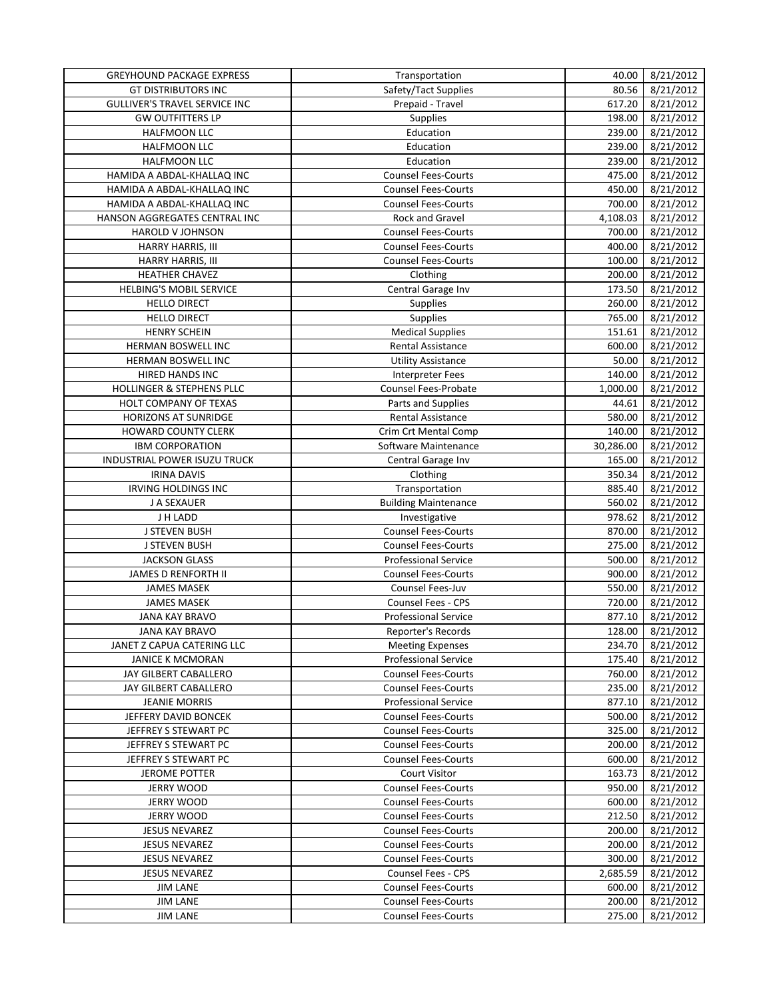| <b>GREYHOUND PACKAGE EXPRESS</b>     | Transportation              | 40.00     | 8/21/2012 |
|--------------------------------------|-----------------------------|-----------|-----------|
| <b>GT DISTRIBUTORS INC</b>           | Safety/Tact Supplies        | 80.56     | 8/21/2012 |
| <b>GULLIVER'S TRAVEL SERVICE INC</b> | Prepaid - Travel            | 617.20    | 8/21/2012 |
| <b>GW OUTFITTERS LP</b>              | <b>Supplies</b>             | 198.00    | 8/21/2012 |
| HALFMOON LLC                         | Education                   | 239.00    | 8/21/2012 |
| HALFMOON LLC                         | Education                   | 239.00    | 8/21/2012 |
| HALFMOON LLC                         | Education                   | 239.00    | 8/21/2012 |
| HAMIDA A ABDAL-KHALLAQ INC           | <b>Counsel Fees-Courts</b>  | 475.00    | 8/21/2012 |
| HAMIDA A ABDAL-KHALLAQ INC           | <b>Counsel Fees-Courts</b>  | 450.00    | 8/21/2012 |
| HAMIDA A ABDAL-KHALLAQ INC           | <b>Counsel Fees-Courts</b>  | 700.00    | 8/21/2012 |
| HANSON AGGREGATES CENTRAL INC        | Rock and Gravel             | 4,108.03  | 8/21/2012 |
| HAROLD V JOHNSON                     | <b>Counsel Fees-Courts</b>  | 700.00    | 8/21/2012 |
| HARRY HARRIS, III                    | <b>Counsel Fees-Courts</b>  | 400.00    | 8/21/2012 |
| HARRY HARRIS, III                    | <b>Counsel Fees-Courts</b>  | 100.00    | 8/21/2012 |
| HEATHER CHAVEZ                       | Clothing                    | 200.00    | 8/21/2012 |
| <b>HELBING'S MOBIL SERVICE</b>       | Central Garage Inv          | 173.50    | 8/21/2012 |
| <b>HELLO DIRECT</b>                  | <b>Supplies</b>             | 260.00    | 8/21/2012 |
| <b>HELLO DIRECT</b>                  | Supplies                    | 765.00    | 8/21/2012 |
| <b>HENRY SCHEIN</b>                  | <b>Medical Supplies</b>     | 151.61    | 8/21/2012 |
|                                      |                             |           |           |
| HERMAN BOSWELL INC                   | Rental Assistance           | 600.00    | 8/21/2012 |
| HERMAN BOSWELL INC                   | <b>Utility Assistance</b>   | 50.00     | 8/21/2012 |
| HIRED HANDS INC                      | Interpreter Fees            | 140.00    | 8/21/2012 |
| HOLLINGER & STEPHENS PLLC            | Counsel Fees-Probate        | 1,000.00  | 8/21/2012 |
| <b>HOLT COMPANY OF TEXAS</b>         | Parts and Supplies          | 44.61     | 8/21/2012 |
| <b>HORIZONS AT SUNRIDGE</b>          | <b>Rental Assistance</b>    | 580.00    | 8/21/2012 |
| <b>HOWARD COUNTY CLERK</b>           | Crim Crt Mental Comp        | 140.00    | 8/21/2012 |
| <b>IBM CORPORATION</b>               | Software Maintenance        | 30,286.00 | 8/21/2012 |
| INDUSTRIAL POWER ISUZU TRUCK         | Central Garage Inv          | 165.00    | 8/21/2012 |
| <b>IRINA DAVIS</b>                   | Clothing                    | 350.34    | 8/21/2012 |
| <b>IRVING HOLDINGS INC</b>           | Transportation              | 885.40    | 8/21/2012 |
| J A SEXAUER                          | <b>Building Maintenance</b> | 560.02    | 8/21/2012 |
| J H LADD                             | Investigative               | 978.62    | 8/21/2012 |
| J STEVEN BUSH                        | <b>Counsel Fees-Courts</b>  | 870.00    | 8/21/2012 |
| <b>J STEVEN BUSH</b>                 | <b>Counsel Fees-Courts</b>  | 275.00    | 8/21/2012 |
| <b>JACKSON GLASS</b>                 | <b>Professional Service</b> | 500.00    | 8/21/2012 |
| <b>JAMES D RENFORTH II</b>           | <b>Counsel Fees-Courts</b>  | 900.00    | 8/21/2012 |
| <b>JAMES MASEK</b>                   | <b>Counsel Fees-Juv</b>     | 550.00    | 8/21/2012 |
| <b>JAMES MASEK</b>                   | Counsel Fees - CPS          | 720.00    | 8/21/2012 |
| <b>JANA KAY BRAVO</b>                | <b>Professional Service</b> | 877.10    | 8/21/2012 |
| <b>JANA KAY BRAVO</b>                | Reporter's Records          | 128.00    | 8/21/2012 |
| JANET Z CAPUA CATERING LLC           | <b>Meeting Expenses</b>     | 234.70    | 8/21/2012 |
| <b>JANICE K MCMORAN</b>              | <b>Professional Service</b> | 175.40    | 8/21/2012 |
| JAY GILBERT CABALLERO                | <b>Counsel Fees-Courts</b>  | 760.00    | 8/21/2012 |
| JAY GILBERT CABALLERO                | <b>Counsel Fees-Courts</b>  | 235.00    | 8/21/2012 |
| <b>JEANIE MORRIS</b>                 | <b>Professional Service</b> | 877.10    | 8/21/2012 |
| JEFFERY DAVID BONCEK                 | <b>Counsel Fees-Courts</b>  | 500.00    | 8/21/2012 |
| JEFFREY S STEWART PC                 | <b>Counsel Fees-Courts</b>  | 325.00    | 8/21/2012 |
| JEFFREY S STEWART PC                 | <b>Counsel Fees-Courts</b>  | 200.00    | 8/21/2012 |
| JEFFREY S STEWART PC                 | <b>Counsel Fees-Courts</b>  | 600.00    | 8/21/2012 |
| <b>JEROME POTTER</b>                 | <b>Court Visitor</b>        | 163.73    | 8/21/2012 |
| JERRY WOOD                           | <b>Counsel Fees-Courts</b>  | 950.00    | 8/21/2012 |
| <b>JERRY WOOD</b>                    | <b>Counsel Fees-Courts</b>  | 600.00    | 8/21/2012 |
| JERRY WOOD                           | <b>Counsel Fees-Courts</b>  | 212.50    | 8/21/2012 |
| <b>JESUS NEVAREZ</b>                 | <b>Counsel Fees-Courts</b>  | 200.00    | 8/21/2012 |
| <b>JESUS NEVAREZ</b>                 | <b>Counsel Fees-Courts</b>  | 200.00    | 8/21/2012 |
| <b>JESUS NEVAREZ</b>                 | <b>Counsel Fees-Courts</b>  | 300.00    | 8/21/2012 |
| <b>JESUS NEVAREZ</b>                 | Counsel Fees - CPS          | 2,685.59  | 8/21/2012 |
| <b>JIM LANE</b>                      | <b>Counsel Fees-Courts</b>  | 600.00    | 8/21/2012 |
| <b>JIM LANE</b>                      | <b>Counsel Fees-Courts</b>  | 200.00    | 8/21/2012 |
| <b>JIM LANE</b>                      | <b>Counsel Fees-Courts</b>  | 275.00    | 8/21/2012 |
|                                      |                             |           |           |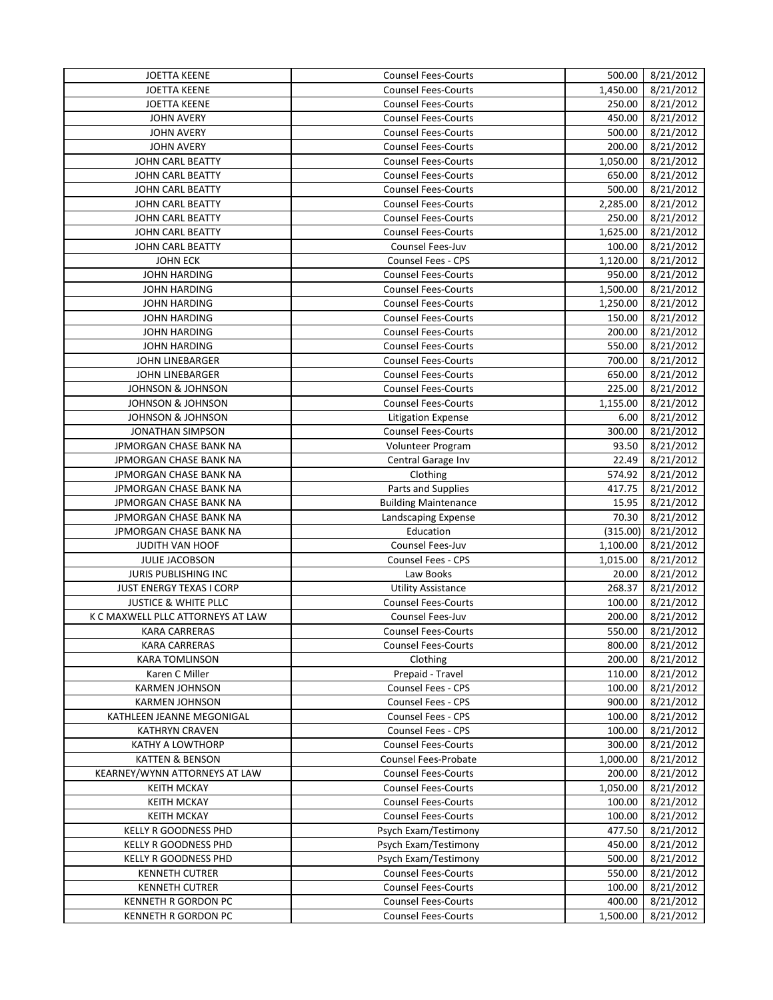| <b>JOETTA KEENE</b>               | <b>Counsel Fees-Courts</b>  | 500.00   | 8/21/2012 |
|-----------------------------------|-----------------------------|----------|-----------|
| <b>JOETTA KEENE</b>               | <b>Counsel Fees-Courts</b>  | 1,450.00 | 8/21/2012 |
| <b>JOETTA KEENE</b>               | <b>Counsel Fees-Courts</b>  | 250.00   | 8/21/2012 |
| <b>JOHN AVERY</b>                 | <b>Counsel Fees-Courts</b>  | 450.00   | 8/21/2012 |
| <b>JOHN AVERY</b>                 | <b>Counsel Fees-Courts</b>  | 500.00   | 8/21/2012 |
| <b>JOHN AVERY</b>                 | <b>Counsel Fees-Courts</b>  | 200.00   | 8/21/2012 |
| JOHN CARL BEATTY                  | <b>Counsel Fees-Courts</b>  | 1,050.00 | 8/21/2012 |
| JOHN CARL BEATTY                  | <b>Counsel Fees-Courts</b>  | 650.00   | 8/21/2012 |
| JOHN CARL BEATTY                  | <b>Counsel Fees-Courts</b>  | 500.00   | 8/21/2012 |
| JOHN CARL BEATTY                  | <b>Counsel Fees-Courts</b>  | 2,285.00 | 8/21/2012 |
| JOHN CARL BEATTY                  | <b>Counsel Fees-Courts</b>  | 250.00   | 8/21/2012 |
| JOHN CARL BEATTY                  | <b>Counsel Fees-Courts</b>  | 1,625.00 | 8/21/2012 |
| JOHN CARL BEATTY                  | Counsel Fees-Juv            | 100.00   | 8/21/2012 |
| <b>JOHN ECK</b>                   | <b>Counsel Fees - CPS</b>   | 1,120.00 | 8/21/2012 |
| <b>JOHN HARDING</b>               | <b>Counsel Fees-Courts</b>  | 950.00   | 8/21/2012 |
| <b>JOHN HARDING</b>               | <b>Counsel Fees-Courts</b>  | 1,500.00 | 8/21/2012 |
| <b>JOHN HARDING</b>               | <b>Counsel Fees-Courts</b>  | 1,250.00 | 8/21/2012 |
| <b>JOHN HARDING</b>               | <b>Counsel Fees-Courts</b>  | 150.00   | 8/21/2012 |
| <b>JOHN HARDING</b>               | <b>Counsel Fees-Courts</b>  | 200.00   |           |
|                                   |                             | 550.00   | 8/21/2012 |
| <b>JOHN HARDING</b>               | <b>Counsel Fees-Courts</b>  |          | 8/21/2012 |
| <b>JOHN LINEBARGER</b>            | <b>Counsel Fees-Courts</b>  | 700.00   | 8/21/2012 |
| <b>JOHN LINEBARGER</b>            | <b>Counsel Fees-Courts</b>  | 650.00   | 8/21/2012 |
| <b>JOHNSON &amp; JOHNSON</b>      | <b>Counsel Fees-Courts</b>  | 225.00   | 8/21/2012 |
| <b>JOHNSON &amp; JOHNSON</b>      | <b>Counsel Fees-Courts</b>  | 1,155.00 | 8/21/2012 |
| <b>JOHNSON &amp; JOHNSON</b>      | <b>Litigation Expense</b>   | 6.00     | 8/21/2012 |
| <b>JONATHAN SIMPSON</b>           | <b>Counsel Fees-Courts</b>  | 300.00   | 8/21/2012 |
| JPMORGAN CHASE BANK NA            | Volunteer Program           | 93.50    | 8/21/2012 |
| JPMORGAN CHASE BANK NA            | Central Garage Inv          | 22.49    | 8/21/2012 |
| JPMORGAN CHASE BANK NA            | Clothing                    | 574.92   | 8/21/2012 |
| JPMORGAN CHASE BANK NA            | Parts and Supplies          | 417.75   | 8/21/2012 |
| JPMORGAN CHASE BANK NA            | <b>Building Maintenance</b> | 15.95    | 8/21/2012 |
| JPMORGAN CHASE BANK NA            | Landscaping Expense         | 70.30    | 8/21/2012 |
| JPMORGAN CHASE BANK NA            | Education                   | (315.00) | 8/21/2012 |
| <b>JUDITH VAN HOOF</b>            | Counsel Fees-Juv            | 1,100.00 | 8/21/2012 |
| JULIE JACOBSON                    | <b>Counsel Fees - CPS</b>   | 1,015.00 | 8/21/2012 |
| JURIS PUBLISHING INC              | Law Books                   | 20.00    | 8/21/2012 |
| JUST ENERGY TEXAS I CORP          | <b>Utility Assistance</b>   | 268.37   | 8/21/2012 |
| <b>JUSTICE &amp; WHITE PLLC</b>   | <b>Counsel Fees-Courts</b>  | 100.00   | 8/21/2012 |
| K C MAXWELL PLLC ATTORNEYS AT LAW | Counsel Fees-Juv            | 200.00   | 8/21/2012 |
| <b>KARA CARRERAS</b>              | <b>Counsel Fees-Courts</b>  | 550.00   | 8/21/2012 |
| <b>KARA CARRERAS</b>              | <b>Counsel Fees-Courts</b>  | 800.00   | 8/21/2012 |
| KARA TOMLINSON                    | Clothing                    | 200.00   | 8/21/2012 |
| Karen C Miller                    | Prepaid - Travel            | 110.00   | 8/21/2012 |
| <b>KARMEN JOHNSON</b>             | Counsel Fees - CPS          | 100.00   | 8/21/2012 |
| <b>KARMEN JOHNSON</b>             | Counsel Fees - CPS          | 900.00   | 8/21/2012 |
| KATHLEEN JEANNE MEGONIGAL         | Counsel Fees - CPS          | 100.00   | 8/21/2012 |
| <b>KATHRYN CRAVEN</b>             | <b>Counsel Fees - CPS</b>   | 100.00   | 8/21/2012 |
| KATHY A LOWTHORP                  | <b>Counsel Fees-Courts</b>  | 300.00   | 8/21/2012 |
| <b>KATTEN &amp; BENSON</b>        | Counsel Fees-Probate        | 1,000.00 | 8/21/2012 |
| KEARNEY/WYNN ATTORNEYS AT LAW     | <b>Counsel Fees-Courts</b>  | 200.00   | 8/21/2012 |
| <b>KEITH MCKAY</b>                | <b>Counsel Fees-Courts</b>  | 1,050.00 | 8/21/2012 |
| <b>KEITH MCKAY</b>                | <b>Counsel Fees-Courts</b>  | 100.00   | 8/21/2012 |
| <b>KEITH MCKAY</b>                | <b>Counsel Fees-Courts</b>  | 100.00   | 8/21/2012 |
| KELLY R GOODNESS PHD              | Psych Exam/Testimony        | 477.50   | 8/21/2012 |
| KELLY R GOODNESS PHD              | Psych Exam/Testimony        | 450.00   | 8/21/2012 |
| KELLY R GOODNESS PHD              | Psych Exam/Testimony        | 500.00   | 8/21/2012 |
| <b>KENNETH CUTRER</b>             | <b>Counsel Fees-Courts</b>  | 550.00   | 8/21/2012 |
| <b>KENNETH CUTRER</b>             | <b>Counsel Fees-Courts</b>  | 100.00   | 8/21/2012 |
| KENNETH R GORDON PC               | <b>Counsel Fees-Courts</b>  | 400.00   | 8/21/2012 |
| <b>KENNETH R GORDON PC</b>        | <b>Counsel Fees-Courts</b>  | 1,500.00 |           |
|                                   |                             |          | 8/21/2012 |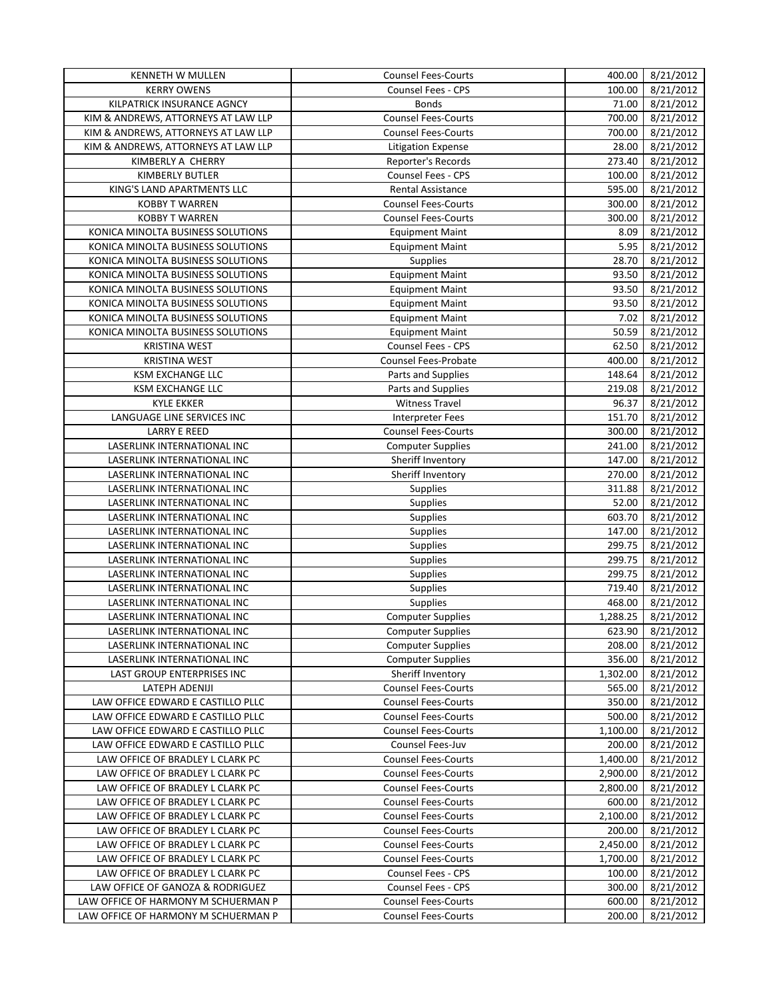| <b>KENNETH W MULLEN</b>             | <b>Counsel Fees-Courts</b>  | 400.00   | 8/21/2012 |
|-------------------------------------|-----------------------------|----------|-----------|
| <b>KERRY OWENS</b>                  | Counsel Fees - CPS          | 100.00   | 8/21/2012 |
| KILPATRICK INSURANCE AGNCY          | <b>Bonds</b>                | 71.00    | 8/21/2012 |
| KIM & ANDREWS, ATTORNEYS AT LAW LLP | <b>Counsel Fees-Courts</b>  | 700.00   | 8/21/2012 |
| KIM & ANDREWS, ATTORNEYS AT LAW LLP | <b>Counsel Fees-Courts</b>  | 700.00   | 8/21/2012 |
| KIM & ANDREWS, ATTORNEYS AT LAW LLP | <b>Litigation Expense</b>   | 28.00    | 8/21/2012 |
| KIMBERLY A CHERRY                   | <b>Reporter's Records</b>   | 273.40   | 8/21/2012 |
| KIMBERLY BUTLER                     | Counsel Fees - CPS          | 100.00   | 8/21/2012 |
| KING'S LAND APARTMENTS LLC          | <b>Rental Assistance</b>    | 595.00   | 8/21/2012 |
| <b>KOBBY T WARREN</b>               | <b>Counsel Fees-Courts</b>  | 300.00   | 8/21/2012 |
| <b>KOBBY T WARREN</b>               | <b>Counsel Fees-Courts</b>  | 300.00   | 8/21/2012 |
| KONICA MINOLTA BUSINESS SOLUTIONS   | <b>Equipment Maint</b>      | 8.09     | 8/21/2012 |
| KONICA MINOLTA BUSINESS SOLUTIONS   | <b>Equipment Maint</b>      | 5.95     | 8/21/2012 |
| KONICA MINOLTA BUSINESS SOLUTIONS   | Supplies                    | 28.70    | 8/21/2012 |
| KONICA MINOLTA BUSINESS SOLUTIONS   | <b>Equipment Maint</b>      | 93.50    | 8/21/2012 |
| KONICA MINOLTA BUSINESS SOLUTIONS   | <b>Equipment Maint</b>      | 93.50    | 8/21/2012 |
| KONICA MINOLTA BUSINESS SOLUTIONS   | <b>Equipment Maint</b>      | 93.50    | 8/21/2012 |
| KONICA MINOLTA BUSINESS SOLUTIONS   |                             | 7.02     |           |
|                                     | <b>Equipment Maint</b>      |          | 8/21/2012 |
| KONICA MINOLTA BUSINESS SOLUTIONS   | <b>Equipment Maint</b>      | 50.59    | 8/21/2012 |
| <b>KRISTINA WEST</b>                | <b>Counsel Fees - CPS</b>   | 62.50    | 8/21/2012 |
| <b>KRISTINA WEST</b>                | <b>Counsel Fees-Probate</b> | 400.00   | 8/21/2012 |
| <b>KSM EXCHANGE LLC</b>             | Parts and Supplies          | 148.64   | 8/21/2012 |
| <b>KSM EXCHANGE LLC</b>             | Parts and Supplies          | 219.08   | 8/21/2012 |
| <b>KYLE EKKER</b>                   | <b>Witness Travel</b>       | 96.37    | 8/21/2012 |
| LANGUAGE LINE SERVICES INC          | <b>Interpreter Fees</b>     | 151.70   | 8/21/2012 |
| <b>LARRY E REED</b>                 | <b>Counsel Fees-Courts</b>  | 300.00   | 8/21/2012 |
| LASERLINK INTERNATIONAL INC         | <b>Computer Supplies</b>    | 241.00   | 8/21/2012 |
| LASERLINK INTERNATIONAL INC         | Sheriff Inventory           | 147.00   | 8/21/2012 |
| LASERLINK INTERNATIONAL INC         | Sheriff Inventory           | 270.00   | 8/21/2012 |
| LASERLINK INTERNATIONAL INC         | Supplies                    | 311.88   | 8/21/2012 |
| LASERLINK INTERNATIONAL INC         | Supplies                    | 52.00    | 8/21/2012 |
| LASERLINK INTERNATIONAL INC         | Supplies                    | 603.70   | 8/21/2012 |
| LASERLINK INTERNATIONAL INC         | <b>Supplies</b>             | 147.00   | 8/21/2012 |
| LASERLINK INTERNATIONAL INC         | Supplies                    | 299.75   | 8/21/2012 |
| LASERLINK INTERNATIONAL INC         | Supplies                    | 299.75   | 8/21/2012 |
| LASERLINK INTERNATIONAL INC         | Supplies                    | 299.75   | 8/21/2012 |
| LASERLINK INTERNATIONAL INC         | Supplies                    | 719.40   | 8/21/2012 |
| LASERLINK INTERNATIONAL INC         | Supplies                    | 468.00   | 8/21/2012 |
| <b>LASERLINK INTERNATIONAL INC</b>  | <b>Computer Supplies</b>    | 1,288.25 | 8/21/2012 |
| LASERLINK INTERNATIONAL INC         | <b>Computer Supplies</b>    | 623.90   | 8/21/2012 |
| LASERLINK INTERNATIONAL INC         | <b>Computer Supplies</b>    | 208.00   | 8/21/2012 |
| LASERLINK INTERNATIONAL INC         | <b>Computer Supplies</b>    | 356.00   | 8/21/2012 |
| LAST GROUP ENTERPRISES INC          | Sheriff Inventory           | 1,302.00 | 8/21/2012 |
| LATEPH ADENIJI                      | <b>Counsel Fees-Courts</b>  | 565.00   | 8/21/2012 |
| LAW OFFICE EDWARD E CASTILLO PLLC   | <b>Counsel Fees-Courts</b>  | 350.00   | 8/21/2012 |
| LAW OFFICE EDWARD E CASTILLO PLLC   | <b>Counsel Fees-Courts</b>  | 500.00   | 8/21/2012 |
| LAW OFFICE EDWARD E CASTILLO PLLC   | <b>Counsel Fees-Courts</b>  | 1,100.00 | 8/21/2012 |
| LAW OFFICE EDWARD E CASTILLO PLLC   | Counsel Fees-Juv            | 200.00   | 8/21/2012 |
| LAW OFFICE OF BRADLEY L CLARK PC    | <b>Counsel Fees-Courts</b>  | 1,400.00 | 8/21/2012 |
| LAW OFFICE OF BRADLEY L CLARK PC    | <b>Counsel Fees-Courts</b>  | 2,900.00 | 8/21/2012 |
| LAW OFFICE OF BRADLEY L CLARK PC    | <b>Counsel Fees-Courts</b>  | 2,800.00 | 8/21/2012 |
| LAW OFFICE OF BRADLEY L CLARK PC    | <b>Counsel Fees-Courts</b>  | 600.00   | 8/21/2012 |
| LAW OFFICE OF BRADLEY L CLARK PC    | <b>Counsel Fees-Courts</b>  | 2,100.00 | 8/21/2012 |
| LAW OFFICE OF BRADLEY L CLARK PC    | <b>Counsel Fees-Courts</b>  | 200.00   | 8/21/2012 |
| LAW OFFICE OF BRADLEY L CLARK PC    | <b>Counsel Fees-Courts</b>  | 2,450.00 | 8/21/2012 |
| LAW OFFICE OF BRADLEY L CLARK PC    | <b>Counsel Fees-Courts</b>  | 1,700.00 | 8/21/2012 |
| LAW OFFICE OF BRADLEY L CLARK PC    | Counsel Fees - CPS          | 100.00   | 8/21/2012 |
| LAW OFFICE OF GANOZA & RODRIGUEZ    | Counsel Fees - CPS          | 300.00   | 8/21/2012 |
| LAW OFFICE OF HARMONY M SCHUERMAN P | <b>Counsel Fees-Courts</b>  | 600.00   | 8/21/2012 |
| LAW OFFICE OF HARMONY M SCHUERMAN P | <b>Counsel Fees-Courts</b>  | 200.00   | 8/21/2012 |
|                                     |                             |          |           |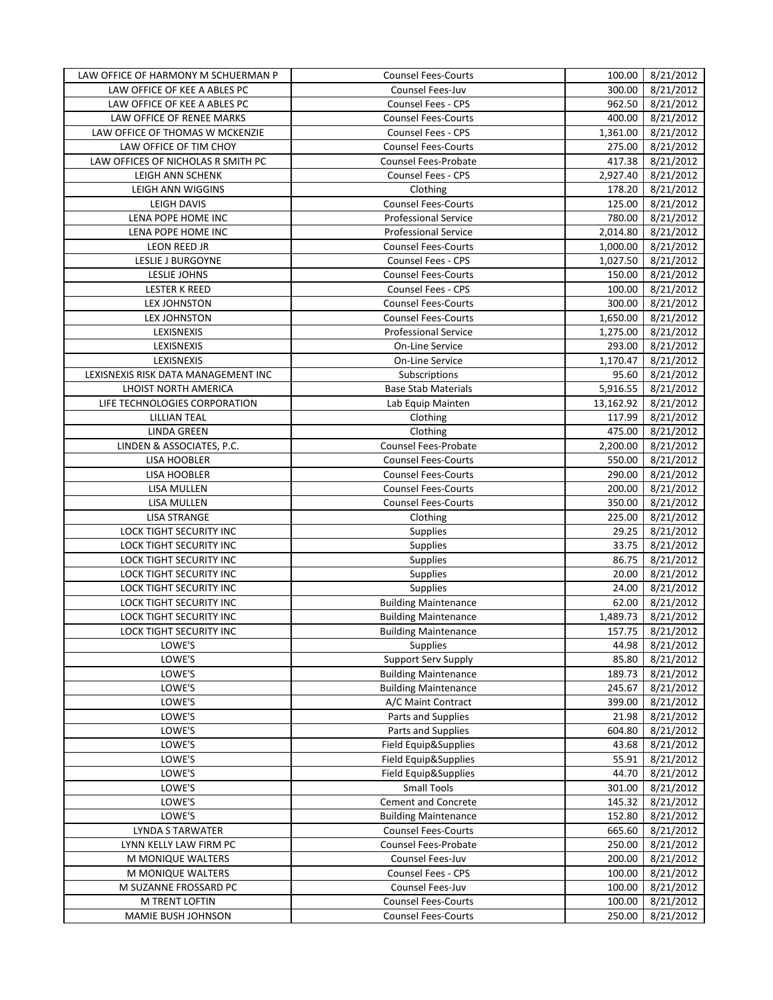| LAW OFFICE OF HARMONY M SCHUERMAN P | <b>Counsel Fees-Courts</b>  | 100.00    | 8/21/2012 |
|-------------------------------------|-----------------------------|-----------|-----------|
| LAW OFFICE OF KEE A ABLES PC        | Counsel Fees-Juv            | 300.00    | 8/21/2012 |
| LAW OFFICE OF KEE A ABLES PC        | <b>Counsel Fees - CPS</b>   | 962.50    | 8/21/2012 |
| LAW OFFICE OF RENEE MARKS           | <b>Counsel Fees-Courts</b>  | 400.00    | 8/21/2012 |
| LAW OFFICE OF THOMAS W MCKENZIE     | <b>Counsel Fees - CPS</b>   | 1,361.00  | 8/21/2012 |
| LAW OFFICE OF TIM CHOY              | <b>Counsel Fees-Courts</b>  | 275.00    | 8/21/2012 |
| LAW OFFICES OF NICHOLAS R SMITH PC  | <b>Counsel Fees-Probate</b> | 417.38    | 8/21/2012 |
| LEIGH ANN SCHENK                    | Counsel Fees - CPS          | 2,927.40  | 8/21/2012 |
| LEIGH ANN WIGGINS                   | Clothing                    | 178.20    | 8/21/2012 |
| <b>LEIGH DAVIS</b>                  | <b>Counsel Fees-Courts</b>  | 125.00    | 8/21/2012 |
| LENA POPE HOME INC                  | <b>Professional Service</b> | 780.00    | 8/21/2012 |
| LENA POPE HOME INC                  | <b>Professional Service</b> | 2,014.80  | 8/21/2012 |
| LEON REED JR                        | <b>Counsel Fees-Courts</b>  | 1,000.00  | 8/21/2012 |
| LESLIE J BURGOYNE                   | <b>Counsel Fees - CPS</b>   | 1,027.50  | 8/21/2012 |
| <b>LESLIE JOHNS</b>                 | <b>Counsel Fees-Courts</b>  | 150.00    | 8/21/2012 |
| <b>LESTER K REED</b>                | <b>Counsel Fees - CPS</b>   | 100.00    | 8/21/2012 |
| <b>LEX JOHNSTON</b>                 | <b>Counsel Fees-Courts</b>  | 300.00    | 8/21/2012 |
| <b>LEX JOHNSTON</b>                 | <b>Counsel Fees-Courts</b>  | 1,650.00  | 8/21/2012 |
| LEXISNEXIS                          | <b>Professional Service</b> | 1,275.00  | 8/21/2012 |
| LEXISNEXIS                          | On-Line Service             | 293.00    | 8/21/2012 |
| LEXISNEXIS                          | On-Line Service             | 1.170.47  | 8/21/2012 |
| LEXISNEXIS RISK DATA MANAGEMENT INC | Subscriptions               | 95.60     | 8/21/2012 |
| LHOIST NORTH AMERICA                | <b>Base Stab Materials</b>  | 5,916.55  | 8/21/2012 |
| LIFE TECHNOLOGIES CORPORATION       | Lab Equip Mainten           | 13,162.92 | 8/21/2012 |
| <b>LILLIAN TEAL</b>                 | Clothing                    | 117.99    | 8/21/2012 |
| <b>LINDA GREEN</b>                  | Clothing                    | 475.00    | 8/21/2012 |
| LINDEN & ASSOCIATES, P.C.           | Counsel Fees-Probate        | 2,200.00  | 8/21/2012 |
| <b>LISA HOOBLER</b>                 | <b>Counsel Fees-Courts</b>  | 550.00    | 8/21/2012 |
| <b>LISA HOOBLER</b>                 | <b>Counsel Fees-Courts</b>  | 290.00    | 8/21/2012 |
| LISA MULLEN                         | <b>Counsel Fees-Courts</b>  | 200.00    | 8/21/2012 |
| LISA MULLEN                         | <b>Counsel Fees-Courts</b>  | 350.00    | 8/21/2012 |
| <b>LISA STRANGE</b>                 | Clothing                    | 225.00    | 8/21/2012 |
| LOCK TIGHT SECURITY INC             | Supplies                    | 29.25     | 8/21/2012 |
| LOCK TIGHT SECURITY INC             | Supplies                    | 33.75     | 8/21/2012 |
| LOCK TIGHT SECURITY INC             | Supplies                    | 86.75     | 8/21/2012 |
| LOCK TIGHT SECURITY INC             | Supplies                    | 20.00     | 8/21/2012 |
| LOCK TIGHT SECURITY INC             | Supplies                    | 24.00     | 8/21/2012 |
| LOCK TIGHT SECURITY INC             | <b>Building Maintenance</b> | 62.00     | 8/21/2012 |
| LOCK TIGHT SECURITY INC             | <b>Building Maintenance</b> | 1,489.73  | 8/21/2012 |
| LOCK TIGHT SECURITY INC             | <b>Building Maintenance</b> | 157.75    | 8/21/2012 |
| LOWE'S                              | <b>Supplies</b>             | 44.98     | 8/21/2012 |
| LOWE'S                              | Support Serv Supply         | 85.80     | 8/21/2012 |
| LOWE'S                              | <b>Building Maintenance</b> | 189.73    | 8/21/2012 |
| LOWE'S                              | <b>Building Maintenance</b> | 245.67    | 8/21/2012 |
| LOWE'S                              | A/C Maint Contract          | 399.00    | 8/21/2012 |
| LOWE'S                              | Parts and Supplies          | 21.98     | 8/21/2012 |
| LOWE'S                              | Parts and Supplies          | 604.80    | 8/21/2012 |
| LOWE'S                              | Field Equip&Supplies        | 43.68     | 8/21/2012 |
| LOWE'S                              | Field Equip&Supplies        | 55.91     | 8/21/2012 |
| LOWE'S                              | Field Equip&Supplies        | 44.70     | 8/21/2012 |
| LOWE'S                              | <b>Small Tools</b>          | 301.00    | 8/21/2012 |
| LOWE'S                              | <b>Cement and Concrete</b>  | 145.32    | 8/21/2012 |
| LOWE'S                              | <b>Building Maintenance</b> | 152.80    | 8/21/2012 |
| LYNDA S TARWATER                    | <b>Counsel Fees-Courts</b>  | 665.60    | 8/21/2012 |
| LYNN KELLY LAW FIRM PC              | Counsel Fees-Probate        | 250.00    | 8/21/2012 |
| M MONIQUE WALTERS                   | Counsel Fees-Juv            | 200.00    | 8/21/2012 |
| M MONIQUE WALTERS                   | Counsel Fees - CPS          | 100.00    | 8/21/2012 |
| M SUZANNE FROSSARD PC               | Counsel Fees-Juv            | 100.00    | 8/21/2012 |
| M TRENT LOFTIN                      | <b>Counsel Fees-Courts</b>  | 100.00    | 8/21/2012 |
| MAMIE BUSH JOHNSON                  | <b>Counsel Fees-Courts</b>  | 250.00    | 8/21/2012 |
|                                     |                             |           |           |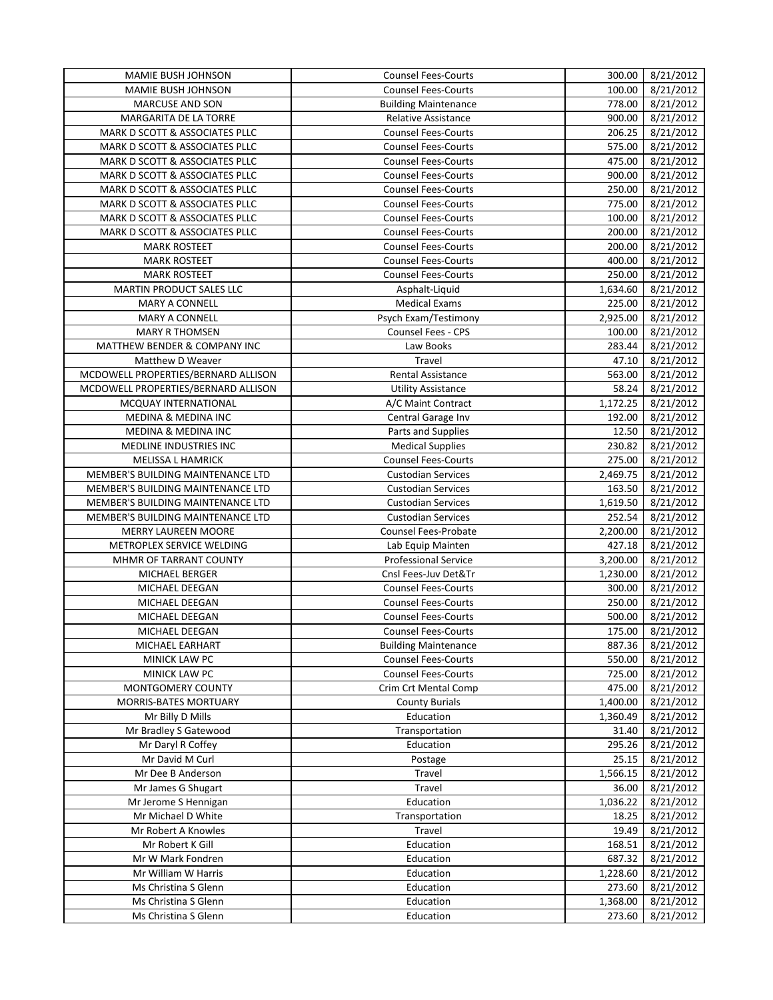| MAMIE BUSH JOHNSON                      | <b>Counsel Fees-Courts</b>  | 300.00   | 8/21/2012 |
|-----------------------------------------|-----------------------------|----------|-----------|
| MAMIE BUSH JOHNSON                      | <b>Counsel Fees-Courts</b>  | 100.00   | 8/21/2012 |
| <b>MARCUSE AND SON</b>                  | <b>Building Maintenance</b> | 778.00   | 8/21/2012 |
| MARGARITA DE LA TORRE                   | Relative Assistance         | 900.00   | 8/21/2012 |
| MARK D SCOTT & ASSOCIATES PLLC          | <b>Counsel Fees-Courts</b>  | 206.25   | 8/21/2012 |
| MARK D SCOTT & ASSOCIATES PLLC          | <b>Counsel Fees-Courts</b>  | 575.00   | 8/21/2012 |
| MARK D SCOTT & ASSOCIATES PLLC          | <b>Counsel Fees-Courts</b>  | 475.00   | 8/21/2012 |
| MARK D SCOTT & ASSOCIATES PLLC          | <b>Counsel Fees-Courts</b>  | 900.00   | 8/21/2012 |
| MARK D SCOTT & ASSOCIATES PLLC          | <b>Counsel Fees-Courts</b>  | 250.00   | 8/21/2012 |
| MARK D SCOTT & ASSOCIATES PLLC          | <b>Counsel Fees-Courts</b>  | 775.00   | 8/21/2012 |
| MARK D SCOTT & ASSOCIATES PLLC          | <b>Counsel Fees-Courts</b>  | 100.00   | 8/21/2012 |
| MARK D SCOTT & ASSOCIATES PLLC          | <b>Counsel Fees-Courts</b>  | 200.00   | 8/21/2012 |
| <b>MARK ROSTEET</b>                     | <b>Counsel Fees-Courts</b>  | 200.00   | 8/21/2012 |
| <b>MARK ROSTEET</b>                     | <b>Counsel Fees-Courts</b>  | 400.00   | 8/21/2012 |
| <b>MARK ROSTEET</b>                     | <b>Counsel Fees-Courts</b>  | 250.00   | 8/21/2012 |
| <b>MARTIN PRODUCT SALES LLC</b>         | Asphalt-Liquid              | 1,634.60 | 8/21/2012 |
| MARY A CONNELL                          | <b>Medical Exams</b>        | 225.00   | 8/21/2012 |
| <b>MARY A CONNELL</b>                   | Psych Exam/Testimony        | 2,925.00 | 8/21/2012 |
| <b>MARY R THOMSEN</b>                   | Counsel Fees - CPS          | 100.00   | 8/21/2012 |
| <b>MATTHEW BENDER &amp; COMPANY INC</b> | Law Books                   | 283.44   | 8/21/2012 |
| Matthew D Weaver                        | Travel                      | 47.10    | 8/21/2012 |
| MCDOWELL PROPERTIES/BERNARD ALLISON     | <b>Rental Assistance</b>    | 563.00   | 8/21/2012 |
| MCDOWELL PROPERTIES/BERNARD ALLISON     |                             | 58.24    |           |
|                                         | <b>Utility Assistance</b>   |          | 8/21/2012 |
| MCQUAY INTERNATIONAL                    | A/C Maint Contract          | 1,172.25 | 8/21/2012 |
| <b>MEDINA &amp; MEDINA INC</b>          | Central Garage Inv          | 192.00   | 8/21/2012 |
| MEDINA & MEDINA INC                     | Parts and Supplies          | 12.50    | 8/21/2012 |
| MEDLINE INDUSTRIES INC                  | Medical Supplies            | 230.82   | 8/21/2012 |
| MELISSA L HAMRICK                       | <b>Counsel Fees-Courts</b>  | 275.00   | 8/21/2012 |
| MEMBER'S BUILDING MAINTENANCE LTD       | <b>Custodian Services</b>   | 2,469.75 | 8/21/2012 |
| MEMBER'S BUILDING MAINTENANCE LTD       | <b>Custodian Services</b>   | 163.50   | 8/21/2012 |
| MEMBER'S BUILDING MAINTENANCE LTD       | <b>Custodian Services</b>   | 1,619.50 | 8/21/2012 |
| MEMBER'S BUILDING MAINTENANCE LTD       | <b>Custodian Services</b>   | 252.54   | 8/21/2012 |
| <b>MERRY LAUREEN MOORE</b>              | Counsel Fees-Probate        | 2,200.00 | 8/21/2012 |
| METROPLEX SERVICE WELDING               | Lab Equip Mainten           | 427.18   | 8/21/2012 |
| MHMR OF TARRANT COUNTY                  | <b>Professional Service</b> | 3,200.00 | 8/21/2012 |
| MICHAEL BERGER                          | Cnsl Fees-Juv Det&Tr        | 1,230.00 | 8/21/2012 |
| MICHAEL DEEGAN                          | <b>Counsel Fees-Courts</b>  | 300.00   | 8/21/2012 |
| MICHAEL DEEGAN                          | <b>Counsel Fees-Courts</b>  | 250.00   | 8/21/2012 |
| MICHAEL DEEGAN                          | <b>Counsel Fees-Courts</b>  | 500.00   | 8/21/2012 |
| MICHAEL DEEGAN                          | <b>Counsel Fees-Courts</b>  | 175.00   | 8/21/2012 |
| MICHAEL EARHART                         | <b>Building Maintenance</b> | 887.36   | 8/21/2012 |
| MINICK LAW PC                           | <b>Counsel Fees-Courts</b>  | 550.00   | 8/21/2012 |
| MINICK LAW PC                           | <b>Counsel Fees-Courts</b>  | 725.00   | 8/21/2012 |
| MONTGOMERY COUNTY                       | Crim Crt Mental Comp        | 475.00   | 8/21/2012 |
| MORRIS-BATES MORTUARY                   | <b>County Burials</b>       | 1,400.00 | 8/21/2012 |
| Mr Billy D Mills                        | Education                   | 1,360.49 | 8/21/2012 |
| Mr Bradley S Gatewood                   | Transportation              | 31.40    | 8/21/2012 |
| Mr Daryl R Coffey                       | Education                   | 295.26   | 8/21/2012 |
| Mr David M Curl                         | Postage                     | 25.15    | 8/21/2012 |
| Mr Dee B Anderson                       | Travel                      | 1,566.15 | 8/21/2012 |
| Mr James G Shugart                      | Travel                      | 36.00    | 8/21/2012 |
| Mr Jerome S Hennigan                    | Education                   | 1,036.22 | 8/21/2012 |
| Mr Michael D White                      | Transportation              | 18.25    | 8/21/2012 |
| Mr Robert A Knowles                     | Travel                      | 19.49    | 8/21/2012 |
| Mr Robert K Gill                        | Education                   | 168.51   | 8/21/2012 |
| Mr W Mark Fondren                       | Education                   | 687.32   | 8/21/2012 |
| Mr William W Harris                     | Education                   | 1,228.60 | 8/21/2012 |
| Ms Christina S Glenn                    | Education                   | 273.60   | 8/21/2012 |
| Ms Christina S Glenn                    | Education                   | 1,368.00 | 8/21/2012 |
| Ms Christina S Glenn                    | Education                   | 273.60   | 8/21/2012 |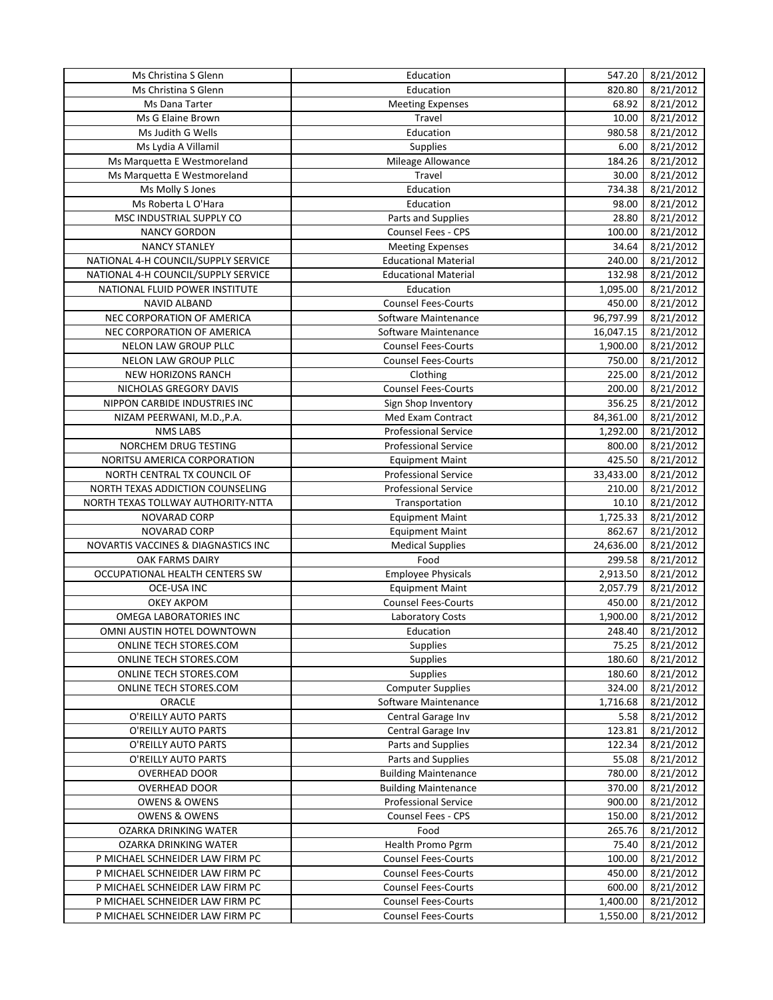| Ms Christina S Glenn                       | Education                                | 547.20    | 8/21/2012 |
|--------------------------------------------|------------------------------------------|-----------|-----------|
| Ms Christina S Glenn                       | Education                                | 820.80    | 8/21/2012 |
| Ms Dana Tarter                             | <b>Meeting Expenses</b>                  | 68.92     | 8/21/2012 |
| Ms G Elaine Brown                          | Travel                                   | 10.00     | 8/21/2012 |
| Ms Judith G Wells                          | Education                                | 980.58    | 8/21/2012 |
| Ms Lydia A Villamil                        | <b>Supplies</b>                          | 6.00      | 8/21/2012 |
| Ms Marquetta E Westmoreland                | Mileage Allowance                        | 184.26    | 8/21/2012 |
| Ms Marquetta E Westmoreland                | Travel                                   | 30.00     | 8/21/2012 |
| Ms Molly S Jones                           | Education                                | 734.38    | 8/21/2012 |
| Ms Roberta L O'Hara                        | Education                                | 98.00     | 8/21/2012 |
| MSC INDUSTRIAL SUPPLY CO                   | Parts and Supplies                       | 28.80     | 8/21/2012 |
| <b>NANCY GORDON</b>                        | <b>Counsel Fees - CPS</b>                | 100.00    | 8/21/2012 |
| <b>NANCY STANLEY</b>                       | <b>Meeting Expenses</b>                  | 34.64     | 8/21/2012 |
| NATIONAL 4-H COUNCIL/SUPPLY SERVICE        | <b>Educational Material</b>              | 240.00    | 8/21/2012 |
| NATIONAL 4-H COUNCIL/SUPPLY SERVICE        | <b>Educational Material</b>              | 132.98    | 8/21/2012 |
| NATIONAL FLUID POWER INSTITUTE             | Education                                | 1,095.00  | 8/21/2012 |
|                                            | <b>Counsel Fees-Courts</b>               | 450.00    |           |
| NAVID ALBAND                               |                                          |           | 8/21/2012 |
| NEC CORPORATION OF AMERICA                 | Software Maintenance                     | 96,797.99 | 8/21/2012 |
| NEC CORPORATION OF AMERICA                 | Software Maintenance                     | 16,047.15 | 8/21/2012 |
| NELON LAW GROUP PLLC                       | <b>Counsel Fees-Courts</b>               | 1,900.00  | 8/21/2012 |
| NELON LAW GROUP PLLC                       | <b>Counsel Fees-Courts</b>               | 750.00    | 8/21/2012 |
| NEW HORIZONS RANCH                         | Clothing                                 | 225.00    | 8/21/2012 |
| NICHOLAS GREGORY DAVIS                     | <b>Counsel Fees-Courts</b>               | 200.00    | 8/21/2012 |
| NIPPON CARBIDE INDUSTRIES INC              | Sign Shop Inventory                      | 356.25    | 8/21/2012 |
| NIZAM PEERWANI, M.D., P.A.                 | Med Exam Contract                        | 84,361.00 | 8/21/2012 |
| <b>NMS LABS</b>                            | <b>Professional Service</b>              | 1,292.00  | 8/21/2012 |
| NORCHEM DRUG TESTING                       | <b>Professional Service</b>              | 800.00    | 8/21/2012 |
| NORITSU AMERICA CORPORATION                | <b>Equipment Maint</b>                   | 425.50    | 8/21/2012 |
| NORTH CENTRAL TX COUNCIL OF                | <b>Professional Service</b>              | 33,433.00 | 8/21/2012 |
| NORTH TEXAS ADDICTION COUNSELING           | <b>Professional Service</b>              | 210.00    | 8/21/2012 |
| NORTH TEXAS TOLLWAY AUTHORITY-NTTA         | Transportation                           | 10.10     | 8/21/2012 |
| NOVARAD CORP                               | <b>Equipment Maint</b>                   | 1,725.33  | 8/21/2012 |
| NOVARAD CORP                               | <b>Equipment Maint</b>                   | 862.67    | 8/21/2012 |
| NOVARTIS VACCINES & DIAGNASTICS INC        | <b>Medical Supplies</b>                  | 24,636.00 | 8/21/2012 |
| OAK FARMS DAIRY                            | Food                                     | 299.58    | 8/21/2012 |
| OCCUPATIONAL HEALTH CENTERS SW             | <b>Employee Physicals</b>                | 2,913.50  | 8/21/2012 |
| OCE-USA INC                                | <b>Equipment Maint</b>                   | 2,057.79  | 8/21/2012 |
| <b>OKEY AKPOM</b>                          | <b>Counsel Fees-Courts</b>               | 450.00    | 8/21/2012 |
| OMEGA LABORATORIES INC                     | <b>Laboratory Costs</b>                  | 1,900.00  | 8/21/2012 |
| OMNI AUSTIN HOTEL DOWNTOWN                 | Education                                | 248.40    | 8/21/2012 |
| ONLINE TECH STORES.COM                     | <b>Supplies</b>                          | 75.25     | 8/21/2012 |
| ONLINE TECH STORES.COM                     | Supplies                                 | 180.60    | 8/21/2012 |
| ONLINE TECH STORES.COM                     | Supplies                                 | 180.60    | 8/21/2012 |
| ONLINE TECH STORES.COM                     | <b>Computer Supplies</b>                 | 324.00    | 8/21/2012 |
| ORACLE                                     | Software Maintenance                     | 1,716.68  | 8/21/2012 |
| O'REILLY AUTO PARTS                        | Central Garage Inv                       | 5.58      | 8/21/2012 |
|                                            |                                          |           |           |
| O'REILLY AUTO PARTS<br>O'REILLY AUTO PARTS | Central Garage Inv<br>Parts and Supplies | 123.81    | 8/21/2012 |
|                                            |                                          | 122.34    | 8/21/2012 |
| O'REILLY AUTO PARTS                        | Parts and Supplies                       | 55.08     | 8/21/2012 |
| OVERHEAD DOOR                              | <b>Building Maintenance</b>              | 780.00    | 8/21/2012 |
| <b>OVERHEAD DOOR</b>                       | <b>Building Maintenance</b>              | 370.00    | 8/21/2012 |
| <b>OWENS &amp; OWENS</b>                   | Professional Service                     | 900.00    | 8/21/2012 |
| <b>OWENS &amp; OWENS</b>                   | Counsel Fees - CPS                       | 150.00    | 8/21/2012 |
| OZARKA DRINKING WATER                      | Food                                     | 265.76    | 8/21/2012 |
| OZARKA DRINKING WATER                      | Health Promo Pgrm                        | 75.40     | 8/21/2012 |
| P MICHAEL SCHNEIDER LAW FIRM PC            | <b>Counsel Fees-Courts</b>               | 100.00    | 8/21/2012 |
| P MICHAEL SCHNEIDER LAW FIRM PC            | <b>Counsel Fees-Courts</b>               | 450.00    | 8/21/2012 |
| P MICHAEL SCHNEIDER LAW FIRM PC            | <b>Counsel Fees-Courts</b>               | 600.00    | 8/21/2012 |
| P MICHAEL SCHNEIDER LAW FIRM PC            | <b>Counsel Fees-Courts</b>               | 1,400.00  | 8/21/2012 |
| P MICHAEL SCHNEIDER LAW FIRM PC            | <b>Counsel Fees-Courts</b>               | 1,550.00  | 8/21/2012 |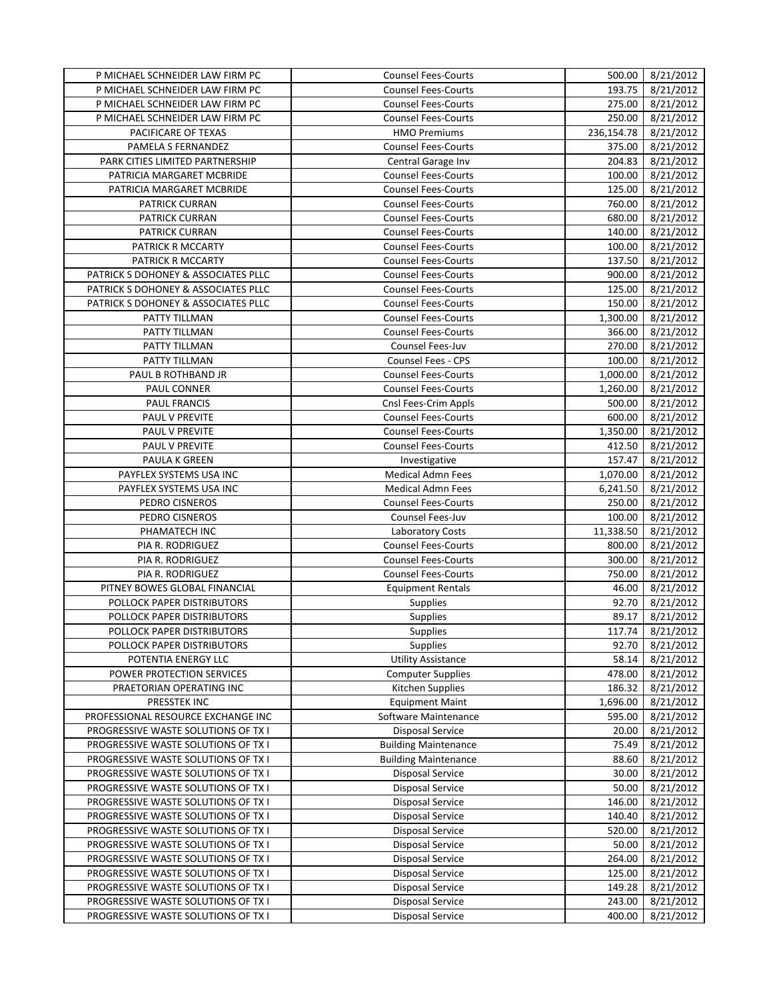| P MICHAEL SCHNEIDER LAW FIRM PC     | <b>Counsel Fees-Courts</b>  | 500.00     | 8/21/2012 |
|-------------------------------------|-----------------------------|------------|-----------|
| P MICHAEL SCHNEIDER LAW FIRM PC     | <b>Counsel Fees-Courts</b>  | 193.75     | 8/21/2012 |
| P MICHAEL SCHNEIDER LAW FIRM PC     | <b>Counsel Fees-Courts</b>  | 275.00     | 8/21/2012 |
| P MICHAEL SCHNEIDER LAW FIRM PC     | <b>Counsel Fees-Courts</b>  | 250.00     | 8/21/2012 |
| PACIFICARE OF TEXAS                 | <b>HMO Premiums</b>         | 236,154.78 | 8/21/2012 |
| PAMELA S FERNANDEZ                  | <b>Counsel Fees-Courts</b>  | 375.00     | 8/21/2012 |
| PARK CITIES LIMITED PARTNERSHIP     | Central Garage Inv          | 204.83     | 8/21/2012 |
| PATRICIA MARGARET MCBRIDE           | <b>Counsel Fees-Courts</b>  | 100.00     | 8/21/2012 |
| PATRICIA MARGARET MCBRIDE           | <b>Counsel Fees-Courts</b>  | 125.00     | 8/21/2012 |
| PATRICK CURRAN                      | <b>Counsel Fees-Courts</b>  | 760.00     | 8/21/2012 |
| <b>PATRICK CURRAN</b>               | <b>Counsel Fees-Courts</b>  | 680.00     | 8/21/2012 |
| PATRICK CURRAN                      | <b>Counsel Fees-Courts</b>  | 140.00     | 8/21/2012 |
| PATRICK R MCCARTY                   | <b>Counsel Fees-Courts</b>  | 100.00     | 8/21/2012 |
| PATRICK R MCCARTY                   | <b>Counsel Fees-Courts</b>  | 137.50     | 8/21/2012 |
| PATRICK S DOHONEY & ASSOCIATES PLLC | <b>Counsel Fees-Courts</b>  | 900.00     | 8/21/2012 |
| PATRICK S DOHONEY & ASSOCIATES PLLC | <b>Counsel Fees-Courts</b>  | 125.00     | 8/21/2012 |
| PATRICK S DOHONEY & ASSOCIATES PLLC | <b>Counsel Fees-Courts</b>  | 150.00     | 8/21/2012 |
| PATTY TILLMAN                       | <b>Counsel Fees-Courts</b>  | 1,300.00   | 8/21/2012 |
| PATTY TILLMAN                       | <b>Counsel Fees-Courts</b>  | 366.00     | 8/21/2012 |
| PATTY TILLMAN                       | <b>Counsel Fees-Juv</b>     | 270.00     | 8/21/2012 |
| PATTY TILLMAN                       | Counsel Fees - CPS          | 100.00     | 8/21/2012 |
| PAUL B ROTHBAND JR                  | <b>Counsel Fees-Courts</b>  | 1,000.00   |           |
|                                     | <b>Counsel Fees-Courts</b>  |            | 8/21/2012 |
| PAUL CONNER                         |                             | 1,260.00   | 8/21/2012 |
| <b>PAUL FRANCIS</b>                 | Cnsl Fees-Crim Appls        | 500.00     | 8/21/2012 |
| PAUL V PREVITE                      | <b>Counsel Fees-Courts</b>  | 600.00     | 8/21/2012 |
| PAUL V PREVITE                      | <b>Counsel Fees-Courts</b>  | 1,350.00   | 8/21/2012 |
| PAUL V PREVITE                      | <b>Counsel Fees-Courts</b>  | 412.50     | 8/21/2012 |
| PAULA K GREEN                       | Investigative               | 157.47     | 8/21/2012 |
| PAYFLEX SYSTEMS USA INC             | <b>Medical Admn Fees</b>    | 1,070.00   | 8/21/2012 |
| PAYFLEX SYSTEMS USA INC             | <b>Medical Admn Fees</b>    | 6,241.50   | 8/21/2012 |
| PEDRO CISNEROS                      | <b>Counsel Fees-Courts</b>  | 250.00     | 8/21/2012 |
| PEDRO CISNEROS                      | Counsel Fees-Juv            | 100.00     | 8/21/2012 |
| PHAMATECH INC                       | Laboratory Costs            | 11,338.50  | 8/21/2012 |
| PIA R. RODRIGUEZ                    | <b>Counsel Fees-Courts</b>  | 800.00     | 8/21/2012 |
| PIA R. RODRIGUEZ                    | <b>Counsel Fees-Courts</b>  | 300.00     | 8/21/2012 |
| PIA R. RODRIGUEZ                    | <b>Counsel Fees-Courts</b>  | 750.00     | 8/21/2012 |
| PITNEY BOWES GLOBAL FINANCIAL       | <b>Equipment Rentals</b>    | 46.00      | 8/21/2012 |
| POLLOCK PAPER DISTRIBUTORS          | <b>Supplies</b>             | 92.70      | 8/21/2012 |
| POLLOCK PAPER DISTRIBUTORS          | <b>Supplies</b>             | 89.17      | 8/21/2012 |
| POLLOCK PAPER DISTRIBUTORS          | <b>Supplies</b>             | 117.74     | 8/21/2012 |
| POLLOCK PAPER DISTRIBUTORS          | <b>Supplies</b>             | 92.70      | 8/21/2012 |
| POTENTIA ENERGY LLC                 | <b>Utility Assistance</b>   | 58.14      | 8/21/2012 |
| POWER PROTECTION SERVICES           | <b>Computer Supplies</b>    | 478.00     | 8/21/2012 |
| PRAETORIAN OPERATING INC            | Kitchen Supplies            | 186.32     | 8/21/2012 |
| PRESSTEK INC                        | <b>Equipment Maint</b>      | 1,696.00   | 8/21/2012 |
| PROFESSIONAL RESOURCE EXCHANGE INC  | Software Maintenance        | 595.00     | 8/21/2012 |
| PROGRESSIVE WASTE SOLUTIONS OF TX I | <b>Disposal Service</b>     | 20.00      | 8/21/2012 |
| PROGRESSIVE WASTE SOLUTIONS OF TX I | <b>Building Maintenance</b> | 75.49      | 8/21/2012 |
| PROGRESSIVE WASTE SOLUTIONS OF TX I | <b>Building Maintenance</b> | 88.60      | 8/21/2012 |
| PROGRESSIVE WASTE SOLUTIONS OF TX I | <b>Disposal Service</b>     | 30.00      | 8/21/2012 |
| PROGRESSIVE WASTE SOLUTIONS OF TX I | <b>Disposal Service</b>     | 50.00      | 8/21/2012 |
| PROGRESSIVE WASTE SOLUTIONS OF TX I | <b>Disposal Service</b>     | 146.00     | 8/21/2012 |
| PROGRESSIVE WASTE SOLUTIONS OF TX I | <b>Disposal Service</b>     | 140.40     | 8/21/2012 |
| PROGRESSIVE WASTE SOLUTIONS OF TX I | <b>Disposal Service</b>     | 520.00     | 8/21/2012 |
| PROGRESSIVE WASTE SOLUTIONS OF TX I | <b>Disposal Service</b>     | 50.00      | 8/21/2012 |
| PROGRESSIVE WASTE SOLUTIONS OF TX I | <b>Disposal Service</b>     | 264.00     | 8/21/2012 |
| PROGRESSIVE WASTE SOLUTIONS OF TX I | <b>Disposal Service</b>     | 125.00     | 8/21/2012 |
| PROGRESSIVE WASTE SOLUTIONS OF TX I | <b>Disposal Service</b>     | 149.28     | 8/21/2012 |
| PROGRESSIVE WASTE SOLUTIONS OF TX I | <b>Disposal Service</b>     | 243.00     | 8/21/2012 |
| PROGRESSIVE WASTE SOLUTIONS OF TX I | <b>Disposal Service</b>     | 400.00     | 8/21/2012 |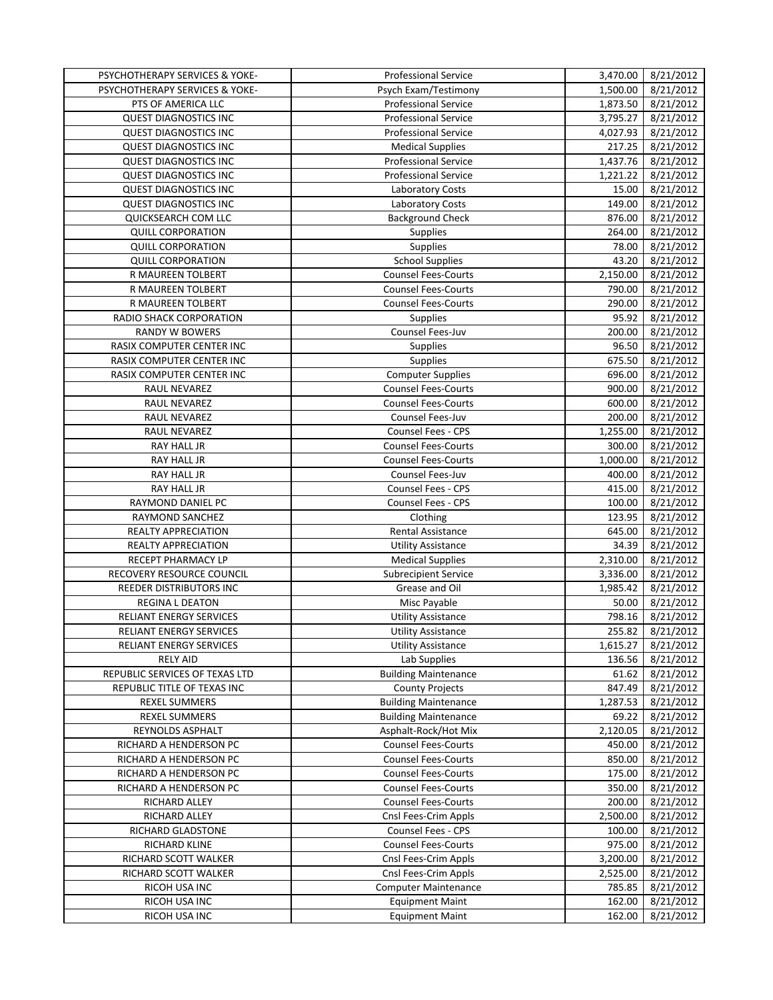| PSYCHOTHERAPY SERVICES & YOKE- | <b>Professional Service</b> | 3,470.00             | 8/21/2012 |
|--------------------------------|-----------------------------|----------------------|-----------|
| PSYCHOTHERAPY SERVICES & YOKE- | Psych Exam/Testimony        | 1,500.00             | 8/21/2012 |
| PTS OF AMERICA LLC             | <b>Professional Service</b> | 1,873.50             | 8/21/2012 |
| <b>QUEST DIAGNOSTICS INC</b>   | <b>Professional Service</b> | 3,795.27             | 8/21/2012 |
| <b>QUEST DIAGNOSTICS INC</b>   | <b>Professional Service</b> | 4,027.93             | 8/21/2012 |
| <b>QUEST DIAGNOSTICS INC</b>   | <b>Medical Supplies</b>     | 217.25               | 8/21/2012 |
| <b>QUEST DIAGNOSTICS INC</b>   | <b>Professional Service</b> | 1,437.76             | 8/21/2012 |
| <b>QUEST DIAGNOSTICS INC</b>   | <b>Professional Service</b> | 1,221.22             | 8/21/2012 |
| <b>QUEST DIAGNOSTICS INC</b>   | Laboratory Costs            | 15.00                | 8/21/2012 |
| <b>QUEST DIAGNOSTICS INC</b>   | Laboratory Costs            | 149.00               | 8/21/2012 |
| QUICKSEARCH COM LLC            | <b>Background Check</b>     | 876.00               | 8/21/2012 |
| <b>QUILL CORPORATION</b>       | Supplies                    | 264.00               | 8/21/2012 |
| <b>QUILL CORPORATION</b>       | Supplies                    | 78.00                | 8/21/2012 |
| <b>QUILL CORPORATION</b>       | School Supplies             | 43.20                | 8/21/2012 |
| R MAUREEN TOLBERT              | <b>Counsel Fees-Courts</b>  | 2,150.00             | 8/21/2012 |
| R MAUREEN TOLBERT              | <b>Counsel Fees-Courts</b>  | 790.00               | 8/21/2012 |
| R MAUREEN TOLBERT              | <b>Counsel Fees-Courts</b>  | 290.00               | 8/21/2012 |
| RADIO SHACK CORPORATION        | Supplies                    | 95.92                |           |
| <b>RANDY W BOWERS</b>          |                             | 200.00               | 8/21/2012 |
|                                | Counsel Fees-Juv            |                      | 8/21/2012 |
| RASIX COMPUTER CENTER INC      | Supplies                    | 96.50                | 8/21/2012 |
| RASIX COMPUTER CENTER INC      | Supplies                    | 675.50               | 8/21/2012 |
| RASIX COMPUTER CENTER INC      | <b>Computer Supplies</b>    | 696.00               | 8/21/2012 |
| RAUL NEVAREZ                   | <b>Counsel Fees-Courts</b>  | 900.00               | 8/21/2012 |
| RAUL NEVAREZ                   | <b>Counsel Fees-Courts</b>  | 600.00               | 8/21/2012 |
| RAUL NEVAREZ                   | Counsel Fees-Juv            | 200.00               | 8/21/2012 |
| RAUL NEVAREZ                   | Counsel Fees - CPS          | 1,255.00             | 8/21/2012 |
| RAY HALL JR                    | <b>Counsel Fees-Courts</b>  | 300.00               | 8/21/2012 |
| RAY HALL JR                    | <b>Counsel Fees-Courts</b>  | 1,000.00             | 8/21/2012 |
| RAY HALL JR                    | Counsel Fees-Juv            | 400.00               | 8/21/2012 |
| RAY HALL JR                    | Counsel Fees - CPS          | 415.00               | 8/21/2012 |
| RAYMOND DANIEL PC              | Counsel Fees - CPS          | 100.00               | 8/21/2012 |
| RAYMOND SANCHEZ                | Clothing                    | 123.95               | 8/21/2012 |
| REALTY APPRECIATION            | <b>Rental Assistance</b>    | 645.00               | 8/21/2012 |
| REALTY APPRECIATION            | <b>Utility Assistance</b>   | 34.39                | 8/21/2012 |
| <b>RECEPT PHARMACY LP</b>      | <b>Medical Supplies</b>     | 2,310.00             | 8/21/2012 |
| RECOVERY RESOURCE COUNCIL      | <b>Subrecipient Service</b> | 3,336.00             | 8/21/2012 |
| REEDER DISTRIBUTORS INC        | Grease and Oil              | 1,985.42             | 8/21/2012 |
| REGINA L DEATON                | Misc Payable                | 50.00                | 8/21/2012 |
| RELIANT ENERGY SERVICES        | <b>Utility Assistance</b>   | 798.16               | 8/21/2012 |
| RELIANT ENERGY SERVICES        | <b>Utility Assistance</b>   | 255.82               | 8/21/2012 |
| RELIANT ENERGY SERVICES        | <b>Utility Assistance</b>   | 1,615.27             | 8/21/2012 |
| <b>RELY AID</b>                | Lab Supplies                | 136.56               | 8/21/2012 |
| REPUBLIC SERVICES OF TEXAS LTD | <b>Building Maintenance</b> | 61.62                | 8/21/2012 |
| REPUBLIC TITLE OF TEXAS INC    | <b>County Projects</b>      | 847.49               | 8/21/2012 |
| <b>REXEL SUMMERS</b>           | <b>Building Maintenance</b> | 1,287.53             | 8/21/2012 |
| <b>REXEL SUMMERS</b>           | <b>Building Maintenance</b> | 69.22                | 8/21/2012 |
| REYNOLDS ASPHALT               | Asphalt-Rock/Hot Mix        | 2,120.05             | 8/21/2012 |
| RICHARD A HENDERSON PC         | <b>Counsel Fees-Courts</b>  | 450.00               | 8/21/2012 |
| RICHARD A HENDERSON PC         | <b>Counsel Fees-Courts</b>  | 850.00               | 8/21/2012 |
| RICHARD A HENDERSON PC         | <b>Counsel Fees-Courts</b>  | 175.00               | 8/21/2012 |
| RICHARD A HENDERSON PC         | <b>Counsel Fees-Courts</b>  | 350.00               | 8/21/2012 |
| RICHARD ALLEY                  | <b>Counsel Fees-Courts</b>  | 200.00               | 8/21/2012 |
| RICHARD ALLEY                  | Cnsl Fees-Crim Appls        | 2,500.00             | 8/21/2012 |
| RICHARD GLADSTONE              | Counsel Fees - CPS          | 100.00               | 8/21/2012 |
| RICHARD KLINE                  | <b>Counsel Fees-Courts</b>  | 975.00               | 8/21/2012 |
|                                | Cnsl Fees-Crim Appls        |                      |           |
| RICHARD SCOTT WALKER           | Cnsl Fees-Crim Appls        | 3,200.00<br>2,525.00 | 8/21/2012 |
| RICHARD SCOTT WALKER           |                             |                      | 8/21/2012 |
| RICOH USA INC                  | <b>Computer Maintenance</b> | 785.85               | 8/21/2012 |
| RICOH USA INC                  | <b>Equipment Maint</b>      | 162.00               | 8/21/2012 |
| RICOH USA INC                  | <b>Equipment Maint</b>      | 162.00               | 8/21/2012 |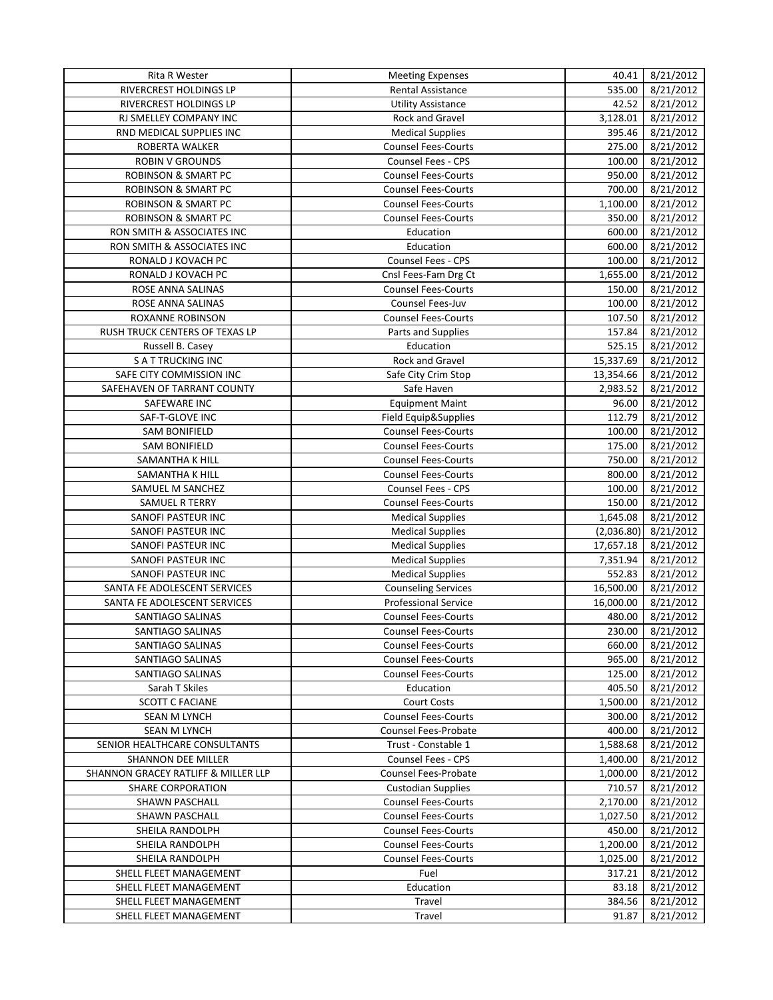| Rita R Wester                       | <b>Meeting Expenses</b>                            | 40.41      | 8/21/2012 |
|-------------------------------------|----------------------------------------------------|------------|-----------|
| RIVERCREST HOLDINGS LP              | Rental Assistance                                  | 535.00     | 8/21/2012 |
| RIVERCREST HOLDINGS LP              | <b>Utility Assistance</b>                          | 42.52      | 8/21/2012 |
| RJ SMELLEY COMPANY INC              | Rock and Gravel                                    | 3,128.01   | 8/21/2012 |
| RND MEDICAL SUPPLIES INC            | <b>Medical Supplies</b>                            | 395.46     | 8/21/2012 |
| ROBERTA WALKER                      | <b>Counsel Fees-Courts</b>                         | 275.00     | 8/21/2012 |
| <b>ROBIN V GROUNDS</b>              | <b>Counsel Fees - CPS</b>                          | 100.00     | 8/21/2012 |
| <b>ROBINSON &amp; SMART PC</b>      | <b>Counsel Fees-Courts</b>                         | 950.00     | 8/21/2012 |
| <b>ROBINSON &amp; SMART PC</b>      | <b>Counsel Fees-Courts</b>                         | 700.00     | 8/21/2012 |
| <b>ROBINSON &amp; SMART PC</b>      | <b>Counsel Fees-Courts</b>                         | 1,100.00   | 8/21/2012 |
| <b>ROBINSON &amp; SMART PC</b>      | <b>Counsel Fees-Courts</b>                         | 350.00     | 8/21/2012 |
| RON SMITH & ASSOCIATES INC          |                                                    |            |           |
|                                     | Education                                          | 600.00     | 8/21/2012 |
| RON SMITH & ASSOCIATES INC          | Education                                          | 600.00     | 8/21/2012 |
| RONALD J KOVACH PC                  | Counsel Fees - CPS                                 | 100.00     | 8/21/2012 |
| RONALD J KOVACH PC                  | Cnsl Fees-Fam Drg Ct                               | 1,655.00   | 8/21/2012 |
| ROSE ANNA SALINAS                   | <b>Counsel Fees-Courts</b>                         | 150.00     | 8/21/2012 |
| ROSE ANNA SALINAS                   | Counsel Fees-Juv                                   | 100.00     | 8/21/2012 |
| <b>ROXANNE ROBINSON</b>             | <b>Counsel Fees-Courts</b>                         | 107.50     | 8/21/2012 |
| RUSH TRUCK CENTERS OF TEXAS LP      | Parts and Supplies                                 | 157.84     | 8/21/2012 |
| Russell B. Casey                    | Education                                          | 525.15     | 8/21/2012 |
| <b>S A T TRUCKING INC</b>           | Rock and Gravel                                    | 15,337.69  | 8/21/2012 |
| SAFE CITY COMMISSION INC            | Safe City Crim Stop                                | 13,354.66  | 8/21/2012 |
| SAFEHAVEN OF TARRANT COUNTY         | Safe Haven                                         | 2,983.52   | 8/21/2012 |
| SAFEWARE INC                        | <b>Equipment Maint</b>                             | 96.00      | 8/21/2012 |
| SAF-T-GLOVE INC                     | Field Equip&Supplies                               | 112.79     | 8/21/2012 |
| <b>SAM BONIFIELD</b>                | <b>Counsel Fees-Courts</b>                         | 100.00     | 8/21/2012 |
| <b>SAM BONIFIELD</b>                | <b>Counsel Fees-Courts</b>                         | 175.00     | 8/21/2012 |
| SAMANTHA K HILL                     | <b>Counsel Fees-Courts</b>                         | 750.00     | 8/21/2012 |
| SAMANTHA K HILL                     | <b>Counsel Fees-Courts</b>                         | 800.00     | 8/21/2012 |
| SAMUEL M SANCHEZ                    | Counsel Fees - CPS                                 | 100.00     | 8/21/2012 |
| <b>SAMUEL R TERRY</b>               | <b>Counsel Fees-Courts</b>                         | 150.00     | 8/21/2012 |
| SANOFI PASTEUR INC                  | <b>Medical Supplies</b>                            | 1,645.08   | 8/21/2012 |
| SANOFI PASTEUR INC                  | <b>Medical Supplies</b>                            | (2,036.80) | 8/21/2012 |
| SANOFI PASTEUR INC                  | <b>Medical Supplies</b>                            | 17,657.18  | 8/21/2012 |
| <b>SANOFI PASTEUR INC</b>           | <b>Medical Supplies</b>                            | 7,351.94   | 8/21/2012 |
| SANOFI PASTEUR INC                  | <b>Medical Supplies</b>                            | 552.83     | 8/21/2012 |
| SANTA FE ADOLESCENT SERVICES        |                                                    | 16,500.00  |           |
|                                     | <b>Counseling Services</b><br>Professional Service |            | 8/21/2012 |
| SANTA FE ADOLESCENT SERVICES        |                                                    | 16,000.00  | 8/21/2012 |
| <b>SANTIAGO SALINAS</b>             | <b>Counsel Fees-Courts</b>                         | 480.00     | 8/21/2012 |
| SANTIAGO SALINAS                    | <b>Counsel Fees-Courts</b>                         | 230.00     | 8/21/2012 |
| SANTIAGO SALINAS                    | <b>Counsel Fees-Courts</b>                         | 660.00     | 8/21/2012 |
| SANTIAGO SALINAS                    | <b>Counsel Fees-Courts</b>                         | 965.00     | 8/21/2012 |
| SANTIAGO SALINAS                    | <b>Counsel Fees-Courts</b>                         | 125.00     | 8/21/2012 |
| Sarah T Skiles                      | Education                                          | 405.50     | 8/21/2012 |
| <b>SCOTT C FACIANE</b>              | <b>Court Costs</b>                                 | 1,500.00   | 8/21/2012 |
| SEAN M LYNCH                        | <b>Counsel Fees-Courts</b>                         | 300.00     | 8/21/2012 |
| SEAN M LYNCH                        | Counsel Fees-Probate                               | 400.00     | 8/21/2012 |
| SENIOR HEALTHCARE CONSULTANTS       | Trust - Constable 1                                | 1,588.68   | 8/21/2012 |
| <b>SHANNON DEE MILLER</b>           | Counsel Fees - CPS                                 | 1,400.00   | 8/21/2012 |
| SHANNON GRACEY RATLIFF & MILLER LLP | Counsel Fees-Probate                               | 1,000.00   | 8/21/2012 |
| <b>SHARE CORPORATION</b>            | <b>Custodian Supplies</b>                          | 710.57     | 8/21/2012 |
| SHAWN PASCHALL                      | <b>Counsel Fees-Courts</b>                         | 2,170.00   | 8/21/2012 |
| SHAWN PASCHALL                      | <b>Counsel Fees-Courts</b>                         | 1,027.50   | 8/21/2012 |
| SHEILA RANDOLPH                     | <b>Counsel Fees-Courts</b>                         | 450.00     | 8/21/2012 |
| SHEILA RANDOLPH                     | <b>Counsel Fees-Courts</b>                         | 1,200.00   | 8/21/2012 |
| SHEILA RANDOLPH                     | <b>Counsel Fees-Courts</b>                         | 1,025.00   | 8/21/2012 |
| SHELL FLEET MANAGEMENT              | Fuel                                               | 317.21     | 8/21/2012 |
| SHELL FLEET MANAGEMENT              | Education                                          | 83.18      | 8/21/2012 |
| SHELL FLEET MANAGEMENT              | Travel                                             | 384.56     | 8/21/2012 |
| SHELL FLEET MANAGEMENT              | Travel                                             | 91.87      | 8/21/2012 |
|                                     |                                                    |            |           |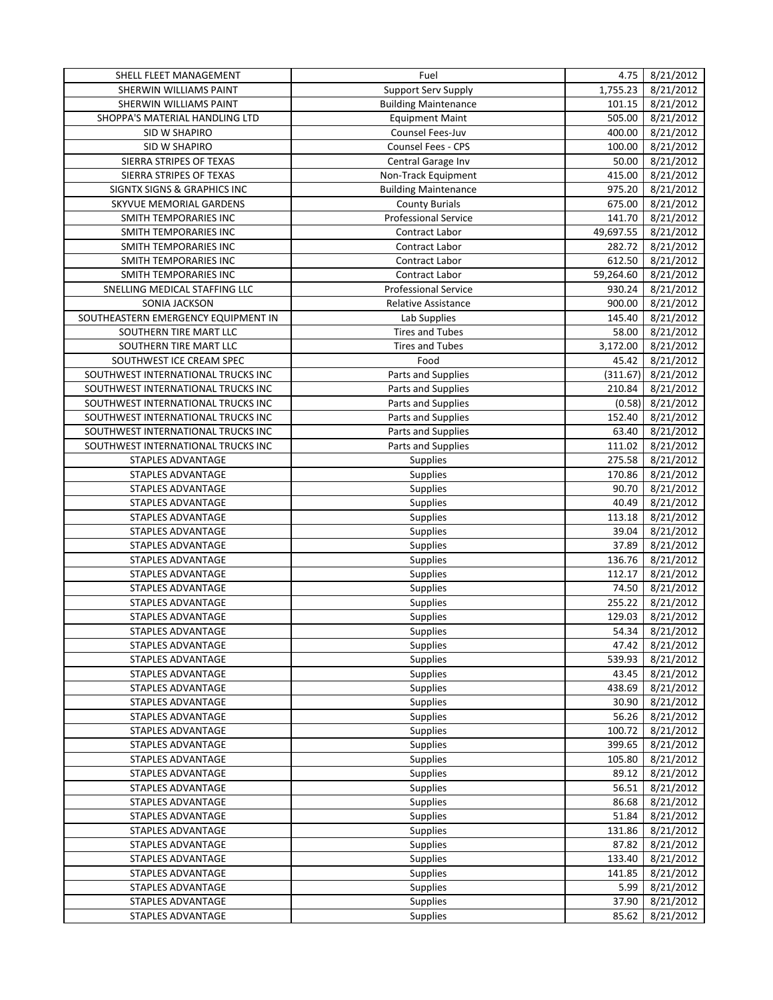| SHELL FLEET MANAGEMENT              | Fuel                        | 4.75      | 8/21/2012 |
|-------------------------------------|-----------------------------|-----------|-----------|
| SHERWIN WILLIAMS PAINT              | Support Serv Supply         | 1,755.23  | 8/21/2012 |
| SHERWIN WILLIAMS PAINT              | <b>Building Maintenance</b> | 101.15    | 8/21/2012 |
| SHOPPA'S MATERIAL HANDLING LTD      | <b>Equipment Maint</b>      | 505.00    | 8/21/2012 |
| SID W SHAPIRO                       | Counsel Fees-Juv            | 400.00    | 8/21/2012 |
| SID W SHAPIRO                       | Counsel Fees - CPS          | 100.00    | 8/21/2012 |
| SIERRA STRIPES OF TEXAS             | Central Garage Inv          | 50.00     | 8/21/2012 |
| SIERRA STRIPES OF TEXAS             | Non-Track Equipment         | 415.00    | 8/21/2012 |
| SIGNTX SIGNS & GRAPHICS INC         | <b>Building Maintenance</b> | 975.20    | 8/21/2012 |
| SKYVUE MEMORIAL GARDENS             | <b>County Burials</b>       | 675.00    | 8/21/2012 |
| SMITH TEMPORARIES INC               | <b>Professional Service</b> | 141.70    | 8/21/2012 |
| SMITH TEMPORARIES INC               | Contract Labor              | 49,697.55 | 8/21/2012 |
|                                     |                             |           |           |
| SMITH TEMPORARIES INC               | Contract Labor              | 282.72    | 8/21/2012 |
| SMITH TEMPORARIES INC               | Contract Labor              | 612.50    | 8/21/2012 |
| SMITH TEMPORARIES INC               | Contract Labor              | 59,264.60 | 8/21/2012 |
| SNELLING MEDICAL STAFFING LLC       | <b>Professional Service</b> | 930.24    | 8/21/2012 |
| SONIA JACKSON                       | <b>Relative Assistance</b>  | 900.00    | 8/21/2012 |
| SOUTHEASTERN EMERGENCY EQUIPMENT IN | Lab Supplies                | 145.40    | 8/21/2012 |
| SOUTHERN TIRE MART LLC              | <b>Tires and Tubes</b>      | 58.00     | 8/21/2012 |
| SOUTHERN TIRE MART LLC              | <b>Tires and Tubes</b>      | 3,172.00  | 8/21/2012 |
| SOUTHWEST ICE CREAM SPEC            | Food                        | 45.42     | 8/21/2012 |
| SOUTHWEST INTERNATIONAL TRUCKS INC  | Parts and Supplies          | (311.67)  | 8/21/2012 |
| SOUTHWEST INTERNATIONAL TRUCKS INC  | Parts and Supplies          | 210.84    | 8/21/2012 |
| SOUTHWEST INTERNATIONAL TRUCKS INC  | Parts and Supplies          | (0.58)    | 8/21/2012 |
| SOUTHWEST INTERNATIONAL TRUCKS INC  | Parts and Supplies          | 152.40    | 8/21/2012 |
| SOUTHWEST INTERNATIONAL TRUCKS INC  | Parts and Supplies          | 63.40     | 8/21/2012 |
| SOUTHWEST INTERNATIONAL TRUCKS INC  | Parts and Supplies          | 111.02    | 8/21/2012 |
| STAPLES ADVANTAGE                   | Supplies                    | 275.58    | 8/21/2012 |
| STAPLES ADVANTAGE                   | Supplies                    | 170.86    | 8/21/2012 |
| STAPLES ADVANTAGE                   | Supplies                    | 90.70     | 8/21/2012 |
| STAPLES ADVANTAGE                   | Supplies                    | 40.49     | 8/21/2012 |
| STAPLES ADVANTAGE                   | Supplies                    | 113.18    | 8/21/2012 |
| STAPLES ADVANTAGE                   | <b>Supplies</b>             | 39.04     | 8/21/2012 |
| STAPLES ADVANTAGE                   | Supplies                    | 37.89     | 8/21/2012 |
| STAPLES ADVANTAGE                   | Supplies                    | 136.76    | 8/21/2012 |
| STAPLES ADVANTAGE                   | Supplies                    | 112.17    | 8/21/2012 |
| STAPLES ADVANTAGE                   |                             |           | 8/21/2012 |
|                                     | Supplies                    | 74.50     |           |
| STAPLES ADVANTAGE                   | Supplies                    | 255.22    | 8/21/2012 |
| STAPLES ADVANTAGE                   | Supplies                    | 129.03    | 8/21/2012 |
| STAPLES ADVANTAGE                   | <b>Supplies</b>             | 54.34     | 8/21/2012 |
| STAPLES ADVANTAGE                   | <b>Supplies</b>             | 47.42     | 8/21/2012 |
| STAPLES ADVANTAGE                   | Supplies                    | 539.93    | 8/21/2012 |
| STAPLES ADVANTAGE                   | Supplies                    | 43.45     | 8/21/2012 |
| STAPLES ADVANTAGE                   | <b>Supplies</b>             | 438.69    | 8/21/2012 |
| STAPLES ADVANTAGE                   | <b>Supplies</b>             | 30.90     | 8/21/2012 |
| STAPLES ADVANTAGE                   | Supplies                    | 56.26     | 8/21/2012 |
| STAPLES ADVANTAGE                   | <b>Supplies</b>             | 100.72    | 8/21/2012 |
| STAPLES ADVANTAGE                   | Supplies                    | 399.65    | 8/21/2012 |
| STAPLES ADVANTAGE                   | Supplies                    | 105.80    | 8/21/2012 |
| <b>STAPLES ADVANTAGE</b>            | Supplies                    | 89.12     | 8/21/2012 |
| STAPLES ADVANTAGE                   | Supplies                    | 56.51     | 8/21/2012 |
| STAPLES ADVANTAGE                   | Supplies                    | 86.68     | 8/21/2012 |
| STAPLES ADVANTAGE                   | Supplies                    | 51.84     | 8/21/2012 |
| STAPLES ADVANTAGE                   | Supplies                    | 131.86    | 8/21/2012 |
| STAPLES ADVANTAGE                   | Supplies                    | 87.82     | 8/21/2012 |
| STAPLES ADVANTAGE                   | Supplies                    | 133.40    | 8/21/2012 |
| STAPLES ADVANTAGE                   |                             | 141.85    |           |
|                                     | Supplies                    |           | 8/21/2012 |
| STAPLES ADVANTAGE                   | <b>Supplies</b>             | 5.99      | 8/21/2012 |
| STAPLES ADVANTAGE                   | Supplies                    | 37.90     | 8/21/2012 |
| STAPLES ADVANTAGE                   | <b>Supplies</b>             | 85.62     | 8/21/2012 |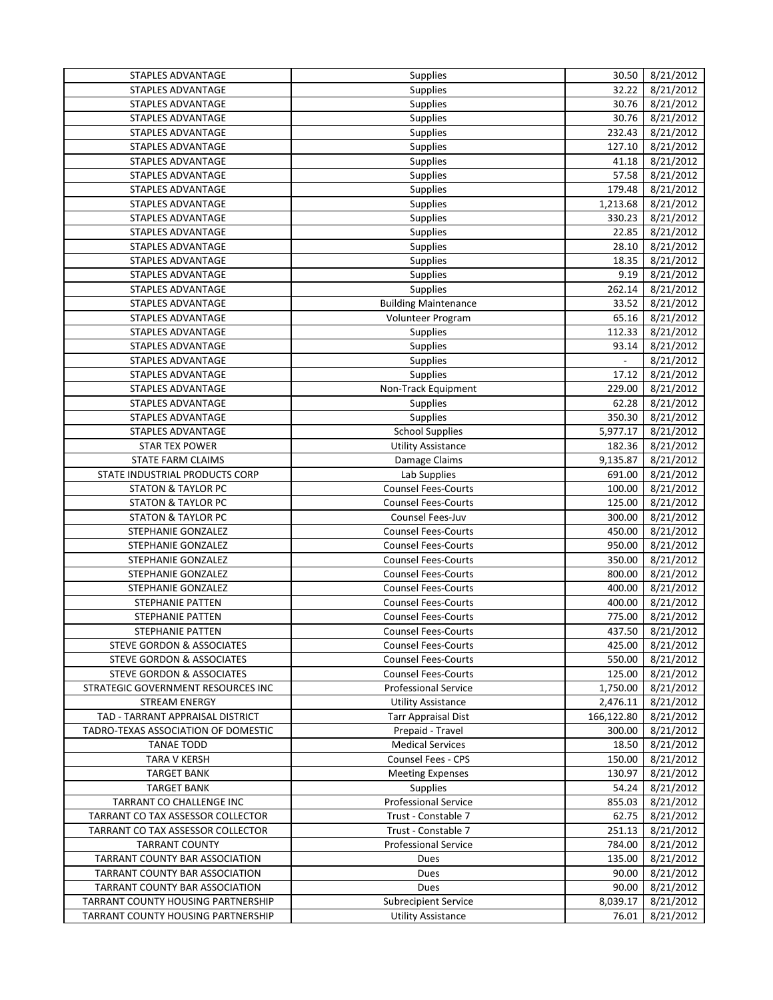| <b>STAPLES ADVANTAGE</b>             | Supplies                    | 30.50               | 8/21/2012 |
|--------------------------------------|-----------------------------|---------------------|-----------|
| <b>STAPLES ADVANTAGE</b>             | Supplies                    | 32.22               | 8/21/2012 |
| STAPLES ADVANTAGE                    | Supplies                    | 30.76               | 8/21/2012 |
| STAPLES ADVANTAGE                    | Supplies                    | 30.76               | 8/21/2012 |
| STAPLES ADVANTAGE                    | Supplies                    | 232.43              | 8/21/2012 |
| STAPLES ADVANTAGE                    | Supplies                    | 127.10              | 8/21/2012 |
| STAPLES ADVANTAGE                    | <b>Supplies</b>             | 41.18               | 8/21/2012 |
| STAPLES ADVANTAGE                    | <b>Supplies</b>             | 57.58               | 8/21/2012 |
| STAPLES ADVANTAGE                    | Supplies                    | 179.48              | 8/21/2012 |
| STAPLES ADVANTAGE                    | Supplies                    | 1,213.68            | 8/21/2012 |
| STAPLES ADVANTAGE                    | Supplies                    | 330.23              | 8/21/2012 |
| STAPLES ADVANTAGE                    | Supplies                    | 22.85               | 8/21/2012 |
| STAPLES ADVANTAGE                    | Supplies                    | 28.10               | 8/21/2012 |
| STAPLES ADVANTAGE                    | Supplies                    | 18.35               | 8/21/2012 |
| STAPLES ADVANTAGE                    | Supplies                    | 9.19                | 8/21/2012 |
|                                      |                             |                     |           |
| STAPLES ADVANTAGE                    | <b>Supplies</b>             | 262.14              | 8/21/2012 |
| STAPLES ADVANTAGE                    | <b>Building Maintenance</b> | 33.52               | 8/21/2012 |
| STAPLES ADVANTAGE                    | Volunteer Program           | 65.16               | 8/21/2012 |
| STAPLES ADVANTAGE                    | <b>Supplies</b>             | 112.33              | 8/21/2012 |
| <b>STAPLES ADVANTAGE</b>             | Supplies                    | 93.14               | 8/21/2012 |
| STAPLES ADVANTAGE                    | Supplies                    | $\bar{\phantom{a}}$ | 8/21/2012 |
| <b>STAPLES ADVANTAGE</b>             | Supplies                    | 17.12               | 8/21/2012 |
| <b>STAPLES ADVANTAGE</b>             | Non-Track Equipment         | 229.00              | 8/21/2012 |
| STAPLES ADVANTAGE                    | <b>Supplies</b>             | 62.28               | 8/21/2012 |
| STAPLES ADVANTAGE                    | Supplies                    | 350.30              | 8/21/2012 |
| STAPLES ADVANTAGE                    | <b>School Supplies</b>      | 5,977.17            | 8/21/2012 |
| <b>STAR TEX POWER</b>                | <b>Utility Assistance</b>   | 182.36              | 8/21/2012 |
| STATE FARM CLAIMS                    | Damage Claims               | 9,135.87            | 8/21/2012 |
| STATE INDUSTRIAL PRODUCTS CORP       | Lab Supplies                | 691.00              | 8/21/2012 |
| <b>STATON &amp; TAYLOR PC</b>        | <b>Counsel Fees-Courts</b>  | 100.00              | 8/21/2012 |
| <b>STATON &amp; TAYLOR PC</b>        | <b>Counsel Fees-Courts</b>  | 125.00              | 8/21/2012 |
| <b>STATON &amp; TAYLOR PC</b>        | Counsel Fees-Juv            | 300.00              | 8/21/2012 |
| STEPHANIE GONZALEZ                   | <b>Counsel Fees-Courts</b>  | 450.00              | 8/21/2012 |
| STEPHANIE GONZALEZ                   | <b>Counsel Fees-Courts</b>  | 950.00              | 8/21/2012 |
| STEPHANIE GONZALEZ                   | <b>Counsel Fees-Courts</b>  | 350.00              | 8/21/2012 |
| STEPHANIE GONZALEZ                   | <b>Counsel Fees-Courts</b>  | 800.00              | 8/21/2012 |
| STEPHANIE GONZALEZ                   | <b>Counsel Fees-Courts</b>  | 400.00              | 8/21/2012 |
| <b>STEPHANIE PATTEN</b>              | <b>Counsel Fees-Courts</b>  | 400.00              | 8/21/2012 |
| <b>STEPHANIE PATTEN</b>              | <b>Counsel Fees-Courts</b>  | 775.00              | 8/21/2012 |
| STEPHANIE PATTEN                     | <b>Counsel Fees-Courts</b>  | 437.50              | 8/21/2012 |
| STEVE GORDON & ASSOCIATES            | <b>Counsel Fees-Courts</b>  | 425.00              | 8/21/2012 |
| STEVE GORDON & ASSOCIATES            | <b>Counsel Fees-Courts</b>  | 550.00              | 8/21/2012 |
| <b>STEVE GORDON &amp; ASSOCIATES</b> | <b>Counsel Fees-Courts</b>  | 125.00              | 8/21/2012 |
| STRATEGIC GOVERNMENT RESOURCES INC   | <b>Professional Service</b> | 1,750.00            | 8/21/2012 |
| <b>STREAM ENERGY</b>                 | <b>Utility Assistance</b>   | 2,476.11            | 8/21/2012 |
| TAD - TARRANT APPRAISAL DISTRICT     | <b>Tarr Appraisal Dist</b>  | 166,122.80          | 8/21/2012 |
| TADRO-TEXAS ASSOCIATION OF DOMESTIC  | Prepaid - Travel            | 300.00              | 8/21/2012 |
| <b>TANAE TODD</b>                    | <b>Medical Services</b>     | 18.50               | 8/21/2012 |
| TARA V KERSH                         | Counsel Fees - CPS          | 150.00              | 8/21/2012 |
|                                      | <b>Meeting Expenses</b>     |                     |           |
| <b>TARGET BANK</b>                   |                             | 130.97<br>54.24     | 8/21/2012 |
| <b>TARGET BANK</b>                   | <b>Supplies</b>             |                     | 8/21/2012 |
| TARRANT CO CHALLENGE INC             | <b>Professional Service</b> | 855.03              | 8/21/2012 |
| TARRANT CO TAX ASSESSOR COLLECTOR    | Trust - Constable 7         | 62.75               | 8/21/2012 |
| TARRANT CO TAX ASSESSOR COLLECTOR    | Trust - Constable 7         | 251.13              | 8/21/2012 |
| <b>TARRANT COUNTY</b>                | <b>Professional Service</b> | 784.00              | 8/21/2012 |
| TARRANT COUNTY BAR ASSOCIATION       | Dues                        | 135.00              | 8/21/2012 |
| TARRANT COUNTY BAR ASSOCIATION       | Dues                        | 90.00               | 8/21/2012 |
| TARRANT COUNTY BAR ASSOCIATION       | Dues                        | 90.00               | 8/21/2012 |
| TARRANT COUNTY HOUSING PARTNERSHIP   | <b>Subrecipient Service</b> | 8,039.17            | 8/21/2012 |
| TARRANT COUNTY HOUSING PARTNERSHIP   | <b>Utility Assistance</b>   | 76.01               | 8/21/2012 |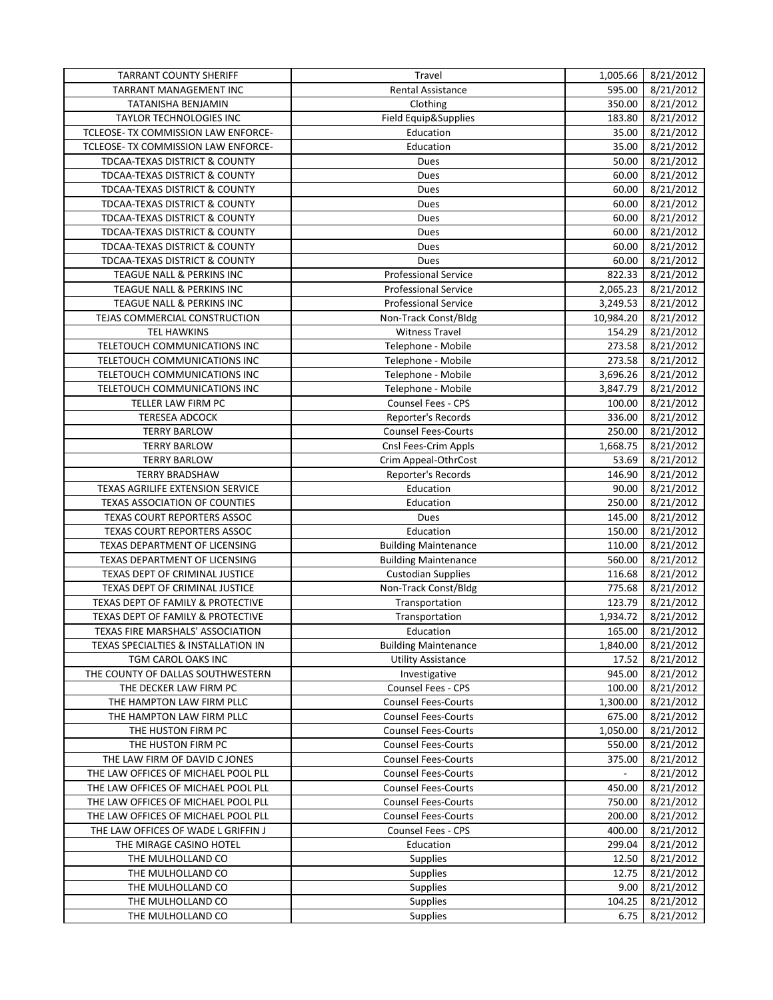| <b>TARRANT COUNTY SHERIFF</b>       | Travel                      | 1,005.66                 | 8/21/2012 |
|-------------------------------------|-----------------------------|--------------------------|-----------|
| <b>TARRANT MANAGEMENT INC</b>       | Rental Assistance           | 595.00                   | 8/21/2012 |
| TATANISHA BENJAMIN                  | Clothing                    | 350.00                   | 8/21/2012 |
| TAYLOR TECHNOLOGIES INC             | Field Equip&Supplies        | 183.80                   | 8/21/2012 |
| TCLEOSE- TX COMMISSION LAW ENFORCE- | Education                   | 35.00                    | 8/21/2012 |
| TCLEOSE- TX COMMISSION LAW ENFORCE- | Education                   | 35.00                    | 8/21/2012 |
| TDCAA-TEXAS DISTRICT & COUNTY       | Dues                        | 50.00                    | 8/21/2012 |
| TDCAA-TEXAS DISTRICT & COUNTY       | Dues                        | 60.00                    | 8/21/2012 |
| TDCAA-TEXAS DISTRICT & COUNTY       | Dues                        | 60.00                    | 8/21/2012 |
| TDCAA-TEXAS DISTRICT & COUNTY       | Dues                        | 60.00                    | 8/21/2012 |
| TDCAA-TEXAS DISTRICT & COUNTY       | Dues                        | 60.00                    | 8/21/2012 |
| TDCAA-TEXAS DISTRICT & COUNTY       | Dues                        | 60.00                    | 8/21/2012 |
| TDCAA-TEXAS DISTRICT & COUNTY       | Dues                        | 60.00                    | 8/21/2012 |
| TDCAA-TEXAS DISTRICT & COUNTY       | Dues                        | 60.00                    | 8/21/2012 |
| TEAGUE NALL & PERKINS INC           | <b>Professional Service</b> | 822.33                   | 8/21/2012 |
| TEAGUE NALL & PERKINS INC           | <b>Professional Service</b> | 2,065.23                 | 8/21/2012 |
| TEAGUE NALL & PERKINS INC           | <b>Professional Service</b> | 3,249.53                 | 8/21/2012 |
| TEJAS COMMERCIAL CONSTRUCTION       |                             | 10,984.20                | 8/21/2012 |
|                                     | Non-Track Const/Bldg        |                          |           |
| <b>TEL HAWKINS</b>                  | <b>Witness Travel</b>       | 154.29                   | 8/21/2012 |
| TELETOUCH COMMUNICATIONS INC        | Telephone - Mobile          | 273.58                   | 8/21/2012 |
| TELETOUCH COMMUNICATIONS INC        | Telephone - Mobile          | 273.58                   | 8/21/2012 |
| TELETOUCH COMMUNICATIONS INC        | Telephone - Mobile          | 3,696.26                 | 8/21/2012 |
| TELETOUCH COMMUNICATIONS INC        | Telephone - Mobile          | 3,847.79                 | 8/21/2012 |
| TELLER LAW FIRM PC                  | <b>Counsel Fees - CPS</b>   | 100.00                   | 8/21/2012 |
| <b>TERESEA ADCOCK</b>               | Reporter's Records          | 336.00                   | 8/21/2012 |
| <b>TERRY BARLOW</b>                 | <b>Counsel Fees-Courts</b>  | 250.00                   | 8/21/2012 |
| <b>TERRY BARLOW</b>                 | Cnsl Fees-Crim Appls        | 1,668.75                 | 8/21/2012 |
| <b>TERRY BARLOW</b>                 | Crim Appeal-OthrCost        | 53.69                    | 8/21/2012 |
| <b>TERRY BRADSHAW</b>               | Reporter's Records          | 146.90                   | 8/21/2012 |
| TEXAS AGRILIFE EXTENSION SERVICE    | Education                   | 90.00                    | 8/21/2012 |
| TEXAS ASSOCIATION OF COUNTIES       | Education                   | 250.00                   | 8/21/2012 |
| TEXAS COURT REPORTERS ASSOC         | Dues                        | 145.00                   | 8/21/2012 |
| TEXAS COURT REPORTERS ASSOC         | Education                   | 150.00                   | 8/21/2012 |
| TEXAS DEPARTMENT OF LICENSING       | <b>Building Maintenance</b> | 110.00                   | 8/21/2012 |
| TEXAS DEPARTMENT OF LICENSING       | <b>Building Maintenance</b> | 560.00                   | 8/21/2012 |
| TEXAS DEPT OF CRIMINAL JUSTICE      | <b>Custodian Supplies</b>   | 116.68                   | 8/21/2012 |
| TEXAS DEPT OF CRIMINAL JUSTICE      | Non-Track Const/Bldg        | 775.68                   | 8/21/2012 |
| TEXAS DEPT OF FAMILY & PROTECTIVE   | Transportation              | 123.79                   | 8/21/2012 |
| TEXAS DEPT OF FAMILY & PROTECTIVE   | Transportation              | $\overline{1,}934.72$    | 8/21/2012 |
| TEXAS FIRE MARSHALS' ASSOCIATION    | Education                   | 165.00                   | 8/21/2012 |
| TEXAS SPECIALTIES & INSTALLATION IN | <b>Building Maintenance</b> | 1,840.00                 | 8/21/2012 |
| TGM CAROL OAKS INC                  | <b>Utility Assistance</b>   | 17.52                    | 8/21/2012 |
| THE COUNTY OF DALLAS SOUTHWESTERN   | Investigative               | 945.00                   | 8/21/2012 |
| THE DECKER LAW FIRM PC              | Counsel Fees - CPS          | 100.00                   | 8/21/2012 |
| THE HAMPTON LAW FIRM PLLC           | <b>Counsel Fees-Courts</b>  | 1,300.00                 | 8/21/2012 |
| THE HAMPTON LAW FIRM PLLC           | <b>Counsel Fees-Courts</b>  | 675.00                   | 8/21/2012 |
| THE HUSTON FIRM PC                  | <b>Counsel Fees-Courts</b>  | 1,050.00                 | 8/21/2012 |
| THE HUSTON FIRM PC                  | <b>Counsel Fees-Courts</b>  | 550.00                   | 8/21/2012 |
| THE LAW FIRM OF DAVID C JONES       | <b>Counsel Fees-Courts</b>  | 375.00                   | 8/21/2012 |
| THE LAW OFFICES OF MICHAEL POOL PLL | <b>Counsel Fees-Courts</b>  | $\overline{\phantom{a}}$ | 8/21/2012 |
| THE LAW OFFICES OF MICHAEL POOL PLL | <b>Counsel Fees-Courts</b>  | 450.00                   | 8/21/2012 |
| THE LAW OFFICES OF MICHAEL POOL PLL | <b>Counsel Fees-Courts</b>  | 750.00                   | 8/21/2012 |
| THE LAW OFFICES OF MICHAEL POOL PLL | <b>Counsel Fees-Courts</b>  | 200.00                   | 8/21/2012 |
| THE LAW OFFICES OF WADE L GRIFFIN J | Counsel Fees - CPS          | 400.00                   | 8/21/2012 |
| THE MIRAGE CASINO HOTEL             | Education                   | 299.04                   | 8/21/2012 |
| THE MULHOLLAND CO                   | <b>Supplies</b>             | 12.50                    | 8/21/2012 |
| THE MULHOLLAND CO                   | <b>Supplies</b>             | 12.75                    | 8/21/2012 |
| THE MULHOLLAND CO                   | <b>Supplies</b>             | 9.00                     | 8/21/2012 |
|                                     | Supplies                    | 104.25                   |           |
| THE MULHOLLAND CO                   |                             |                          | 8/21/2012 |
| THE MULHOLLAND CO                   | <b>Supplies</b>             | 6.75                     | 8/21/2012 |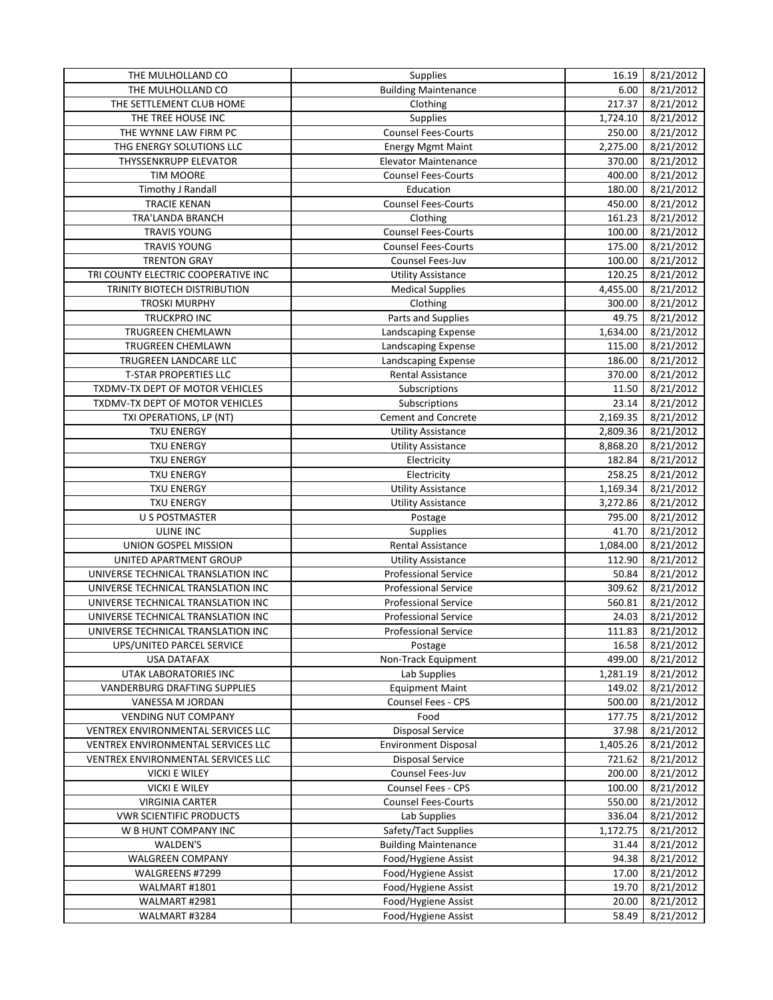| THE MULHOLLAND CO                   | Supplies                    | 16.19    | 8/21/2012 |
|-------------------------------------|-----------------------------|----------|-----------|
| THE MULHOLLAND CO                   | <b>Building Maintenance</b> | 6.00     | 8/21/2012 |
| THE SETTLEMENT CLUB HOME            | Clothing                    | 217.37   | 8/21/2012 |
| THE TREE HOUSE INC                  | Supplies                    | 1,724.10 | 8/21/2012 |
| THE WYNNE LAW FIRM PC               | <b>Counsel Fees-Courts</b>  | 250.00   | 8/21/2012 |
| THG ENERGY SOLUTIONS LLC            | <b>Energy Mgmt Maint</b>    | 2,275.00 | 8/21/2012 |
| THYSSENKRUPP ELEVATOR               | <b>Elevator Maintenance</b> | 370.00   | 8/21/2012 |
| <b>TIM MOORE</b>                    | <b>Counsel Fees-Courts</b>  | 400.00   | 8/21/2012 |
| Timothy J Randall                   | Education                   | 180.00   | 8/21/2012 |
| <b>TRACIE KENAN</b>                 | <b>Counsel Fees-Courts</b>  | 450.00   | 8/21/2012 |
| TRA'LANDA BRANCH                    | Clothing                    | 161.23   | 8/21/2012 |
| <b>TRAVIS YOUNG</b>                 | Counsel Fees-Courts         | 100.00   | 8/21/2012 |
| <b>TRAVIS YOUNG</b>                 | <b>Counsel Fees-Courts</b>  | 175.00   | 8/21/2012 |
| <b>TRENTON GRAY</b>                 | Counsel Fees-Juv            | 100.00   | 8/21/2012 |
| TRI COUNTY ELECTRIC COOPERATIVE INC | <b>Utility Assistance</b>   | 120.25   | 8/21/2012 |
| TRINITY BIOTECH DISTRIBUTION        | <b>Medical Supplies</b>     | 4,455.00 | 8/21/2012 |
| <b>TROSKI MURPHY</b>                | Clothing                    | 300.00   | 8/21/2012 |
| TRUCKPRO INC                        | Parts and Supplies          | 49.75    | 8/21/2012 |
| <b>TRUGREEN CHEMLAWN</b>            | Landscaping Expense         | 1,634.00 | 8/21/2012 |
| TRUGREEN CHEMLAWN                   | Landscaping Expense         | 115.00   | 8/21/2012 |
| TRUGREEN LANDCARE LLC               | Landscaping Expense         | 186.00   | 8/21/2012 |
| <b>T-STAR PROPERTIES LLC</b>        | <b>Rental Assistance</b>    | 370.00   | 8/21/2012 |
| TXDMV-TX DEPT OF MOTOR VEHICLES     | Subscriptions               | 11.50    | 8/21/2012 |
| TXDMV-TX DEPT OF MOTOR VEHICLES     | Subscriptions               | 23.14    | 8/21/2012 |
|                                     | <b>Cement and Concrete</b>  |          |           |
| TXI OPERATIONS, LP (NT)             |                             | 2,169.35 | 8/21/2012 |
| <b>TXU ENERGY</b>                   | <b>Utility Assistance</b>   | 2,809.36 | 8/21/2012 |
| <b>TXU ENERGY</b>                   | <b>Utility Assistance</b>   | 8,868.20 | 8/21/2012 |
| <b>TXU ENERGY</b>                   | Electricity                 | 182.84   | 8/21/2012 |
| <b>TXU ENERGY</b>                   | Electricity                 | 258.25   | 8/21/2012 |
| <b>TXU ENERGY</b>                   | <b>Utility Assistance</b>   | 1,169.34 | 8/21/2012 |
| <b>TXU ENERGY</b>                   | <b>Utility Assistance</b>   | 3,272.86 | 8/21/2012 |
| <b>U S POSTMASTER</b>               | Postage                     | 795.00   | 8/21/2012 |
| ULINE INC                           | Supplies                    | 41.70    | 8/21/2012 |
| UNION GOSPEL MISSION                | Rental Assistance           | 1,084.00 | 8/21/2012 |
| UNITED APARTMENT GROUP              | <b>Utility Assistance</b>   | 112.90   | 8/21/2012 |
| UNIVERSE TECHNICAL TRANSLATION INC  | <b>Professional Service</b> | 50.84    | 8/21/2012 |
| UNIVERSE TECHNICAL TRANSLATION INC  | <b>Professional Service</b> | 309.62   | 8/21/2012 |
| UNIVERSE TECHNICAL TRANSLATION INC  | <b>Professional Service</b> | 560.81   | 8/21/2012 |
| UNIVERSE TECHNICAL TRANSLATION INC  | <b>Professional Service</b> | 24.03    | 8/21/2012 |
| UNIVERSE TECHNICAL TRANSLATION INC  | <b>Professional Service</b> | 111.83   | 8/21/2012 |
| UPS/UNITED PARCEL SERVICE           | Postage                     | 16.58    | 8/21/2012 |
| <b>USA DATAFAX</b>                  | Non-Track Equipment         | 499.00   | 8/21/2012 |
| UTAK LABORATORIES INC               | Lab Supplies                | 1,281.19 | 8/21/2012 |
| VANDERBURG DRAFTING SUPPLIES        | <b>Equipment Maint</b>      | 149.02   | 8/21/2012 |
| VANESSA M JORDAN                    | Counsel Fees - CPS          | 500.00   | 8/21/2012 |
| <b>VENDING NUT COMPANY</b>          | Food                        | 177.75   | 8/21/2012 |
| VENTREX ENVIRONMENTAL SERVICES LLC  | <b>Disposal Service</b>     | 37.98    | 8/21/2012 |
| VENTREX ENVIRONMENTAL SERVICES LLC  | <b>Environment Disposal</b> | 1,405.26 | 8/21/2012 |
| VENTREX ENVIRONMENTAL SERVICES LLC  | <b>Disposal Service</b>     | 721.62   | 8/21/2012 |
| <b>VICKI E WILEY</b>                | Counsel Fees-Juv            | 200.00   | 8/21/2012 |
| <b>VICKI E WILEY</b>                | Counsel Fees - CPS          | 100.00   | 8/21/2012 |
| <b>VIRGINIA CARTER</b>              | <b>Counsel Fees-Courts</b>  | 550.00   | 8/21/2012 |
| <b>VWR SCIENTIFIC PRODUCTS</b>      | Lab Supplies                | 336.04   | 8/21/2012 |
| W B HUNT COMPANY INC                | Safety/Tact Supplies        | 1,172.75 | 8/21/2012 |
| WALDEN'S                            | <b>Building Maintenance</b> | 31.44    | 8/21/2012 |
| WALGREEN COMPANY                    | Food/Hygiene Assist         | 94.38    | 8/21/2012 |
| WALGREENS #7299                     | Food/Hygiene Assist         | 17.00    | 8/21/2012 |
| WALMART #1801                       | Food/Hygiene Assist         | 19.70    | 8/21/2012 |
| WALMART #2981                       | Food/Hygiene Assist         | 20.00    | 8/21/2012 |
|                                     |                             |          |           |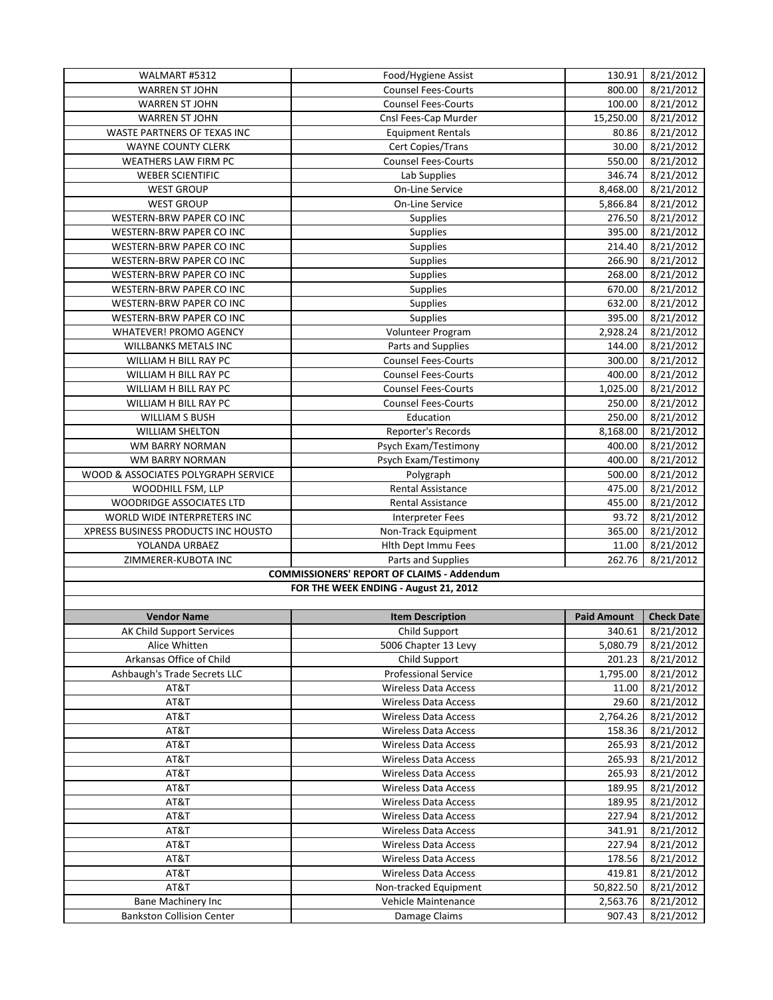| WALMART #5312                       | Food/Hygiene Assist                               | 130.91    | 8/21/2012 |
|-------------------------------------|---------------------------------------------------|-----------|-----------|
| <b>WARREN ST JOHN</b>               | <b>Counsel Fees-Courts</b>                        | 800.00    | 8/21/2012 |
| <b>WARREN ST JOHN</b>               | <b>Counsel Fees-Courts</b>                        | 100.00    | 8/21/2012 |
| <b>WARREN ST JOHN</b>               | Cnsl Fees-Cap Murder                              | 15,250.00 | 8/21/2012 |
| WASTE PARTNERS OF TEXAS INC         | <b>Equipment Rentals</b>                          | 80.86     | 8/21/2012 |
| <b>WAYNE COUNTY CLERK</b>           | Cert Copies/Trans                                 | 30.00     | 8/21/2012 |
| WEATHERS LAW FIRM PC                | <b>Counsel Fees-Courts</b>                        | 550.00    | 8/21/2012 |
| <b>WEBER SCIENTIFIC</b>             | Lab Supplies                                      | 346.74    | 8/21/2012 |
| <b>WEST GROUP</b>                   | On-Line Service                                   | 8,468.00  | 8/21/2012 |
| <b>WEST GROUP</b>                   | On-Line Service                                   | 5,866.84  | 8/21/2012 |
| WESTERN-BRW PAPER CO INC            | <b>Supplies</b>                                   | 276.50    | 8/21/2012 |
| WESTERN-BRW PAPER CO INC            | Supplies                                          | 395.00    | 8/21/2012 |
| WESTERN-BRW PAPER CO INC            | <b>Supplies</b>                                   | 214.40    | 8/21/2012 |
| WESTERN-BRW PAPER CO INC            | Supplies                                          | 266.90    | 8/21/2012 |
| WESTERN-BRW PAPER CO INC            | Supplies                                          | 268.00    | 8/21/2012 |
| WESTERN-BRW PAPER CO INC            | <b>Supplies</b>                                   | 670.00    | 8/21/2012 |
| WESTERN-BRW PAPER CO INC            | <b>Supplies</b>                                   | 632.00    | 8/21/2012 |
| WESTERN-BRW PAPER CO INC            | <b>Supplies</b>                                   | 395.00    | 8/21/2012 |
| <b>WHATEVER! PROMO AGENCY</b>       | Volunteer Program                                 | 2,928.24  | 8/21/2012 |
| <b>WILLBANKS METALS INC</b>         | Parts and Supplies                                | 144.00    | 8/21/2012 |
| WILLIAM H BILL RAY PC               | <b>Counsel Fees-Courts</b>                        | 300.00    | 8/21/2012 |
| WILLIAM H BILL RAY PC               | <b>Counsel Fees-Courts</b>                        | 400.00    | 8/21/2012 |
| WILLIAM H BILL RAY PC               | <b>Counsel Fees-Courts</b>                        | 1,025.00  | 8/21/2012 |
| WILLIAM H BILL RAY PC               | <b>Counsel Fees-Courts</b>                        | 250.00    | 8/21/2012 |
| <b>WILLIAM S BUSH</b>               | Education                                         | 250.00    | 8/21/2012 |
| <b>WILLIAM SHELTON</b>              | <b>Reporter's Records</b>                         | 8,168.00  | 8/21/2012 |
| WM BARRY NORMAN                     | Psych Exam/Testimony                              | 400.00    | 8/21/2012 |
| WM BARRY NORMAN                     | Psych Exam/Testimony                              | 400.00    | 8/21/2012 |
| WOOD & ASSOCIATES POLYGRAPH SERVICE | Polygraph                                         | 500.00    | 8/21/2012 |
| WOODHILL FSM, LLP                   | <b>Rental Assistance</b>                          | 475.00    | 8/21/2012 |
| WOODRIDGE ASSOCIATES LTD            | <b>Rental Assistance</b>                          | 455.00    | 8/21/2012 |
| WORLD WIDE INTERPRETERS INC         | <b>Interpreter Fees</b>                           | 93.72     | 8/21/2012 |
| XPRESS BUSINESS PRODUCTS INC HOUSTO | Non-Track Equipment                               | 365.00    | 8/21/2012 |
| YOLANDA URBAEZ                      | Hlth Dept Immu Fees                               | 11.00     | 8/21/2012 |
| ZIMMERER-KUBOTA INC                 | Parts and Supplies                                | 262.76    | 8/21/2012 |
|                                     | <b>COMMISSIONERS' REPORT OF CLAIMS - Addendum</b> |           |           |
|                                     | FOR THE WEEK ENDING - August 21, 2012             |           |           |
|                                     |                                                   |           |           |
|                                     |                                                   |           |           |

| <b>Vendor Name</b>               | <b>Item Description</b>     | <b>Paid Amount</b> | <b>Check Date</b> |
|----------------------------------|-----------------------------|--------------------|-------------------|
| AK Child Support Services        | Child Support               | 340.61             | 8/21/2012         |
| Alice Whitten                    | 5006 Chapter 13 Levy        | 5,080.79           | 8/21/2012         |
| Arkansas Office of Child         | Child Support               | 201.23             | 8/21/2012         |
| Ashbaugh's Trade Secrets LLC     | Professional Service        | 1,795.00           | 8/21/2012         |
| AT&T                             | <b>Wireless Data Access</b> | 11.00              | 8/21/2012         |
| AT&T                             | <b>Wireless Data Access</b> | 29.60              | 8/21/2012         |
| AT&T                             | <b>Wireless Data Access</b> | 2,764.26           | 8/21/2012         |
| AT&T                             | <b>Wireless Data Access</b> | 158.36             | 8/21/2012         |
| AT&T                             | <b>Wireless Data Access</b> | 265.93             | 8/21/2012         |
| AT&T                             | <b>Wireless Data Access</b> | 265.93             | 8/21/2012         |
| AT&T                             | <b>Wireless Data Access</b> | 265.93             | 8/21/2012         |
| AT&T                             | <b>Wireless Data Access</b> | 189.95             | 8/21/2012         |
| AT&T                             | <b>Wireless Data Access</b> | 189.95             | 8/21/2012         |
| AT&T                             | <b>Wireless Data Access</b> | 227.94             | 8/21/2012         |
| AT&T                             | <b>Wireless Data Access</b> | 341.91             | 8/21/2012         |
| AT&T                             | <b>Wireless Data Access</b> | 227.94             | 8/21/2012         |
| AT&T                             | <b>Wireless Data Access</b> | 178.56             | 8/21/2012         |
| AT&T                             | <b>Wireless Data Access</b> | 419.81             | 8/21/2012         |
| AT&T                             | Non-tracked Equipment       | 50,822.50          | 8/21/2012         |
| Bane Machinery Inc               | Vehicle Maintenance         | 2,563.76           | 8/21/2012         |
| <b>Bankston Collision Center</b> | Damage Claims               | 907.43             | 8/21/2012         |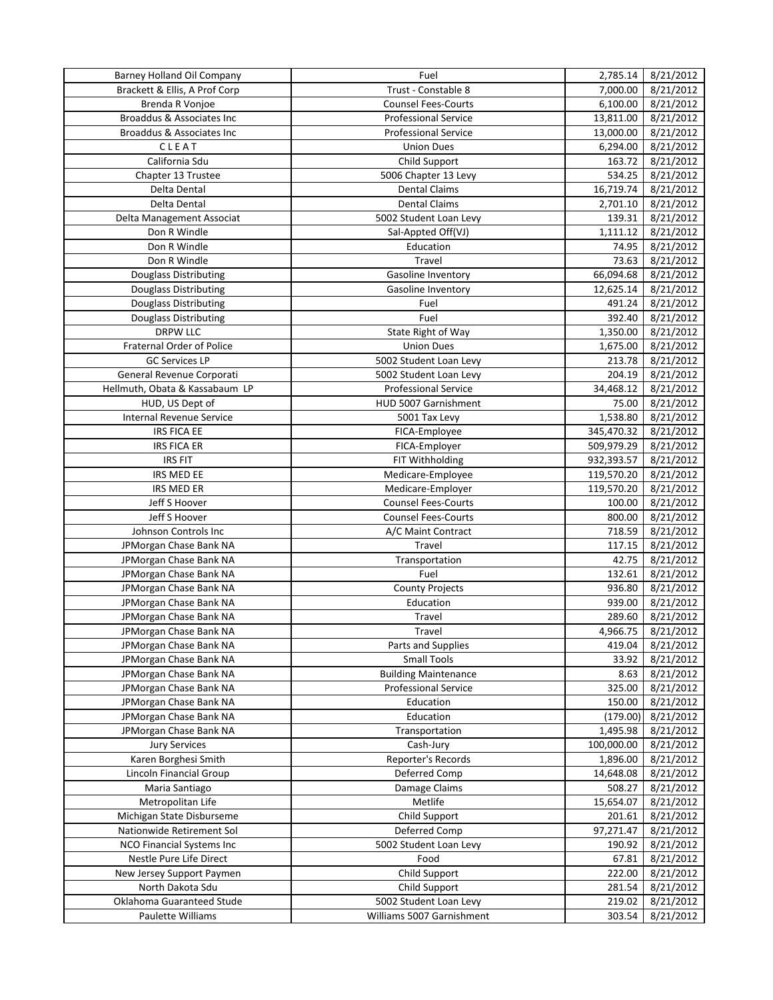| Brackett & Ellis, A Prof Corp<br>Trust - Constable 8<br>7,000.00<br>8/21/2012<br>6,100.00<br>8/21/2012<br>Brenda R Vonjoe<br><b>Counsel Fees-Courts</b><br>8/21/2012<br>Broaddus & Associates Inc<br>13,811.00<br><b>Professional Service</b><br>8/21/2012<br>Broaddus & Associates Inc<br><b>Professional Service</b><br>13,000.00<br>CLEAT<br>6,294.00<br>8/21/2012<br><b>Union Dues</b><br>California Sdu<br>Child Support<br>163.72<br>8/21/2012<br>Chapter 13 Trustee<br>5006 Chapter 13 Levy<br>534.25<br>8/21/2012<br><b>Dental Claims</b><br>16,719.74<br>Delta Dental<br>8/21/2012<br>Delta Dental<br>2,701.10<br>8/21/2012<br><b>Dental Claims</b><br>139.31<br>Delta Management Associat<br>5002 Student Loan Levy<br>8/21/2012<br>Don R Windle<br>8/21/2012<br>Sal-Appted Off(VJ)<br>1,111.12<br>Don R Windle<br>Education<br>8/21/2012<br>74.95<br>8/21/2012<br>Don R Windle<br>Travel<br>73.63<br>66,094.68<br>Douglass Distributing<br>Gasoline Inventory<br>8/21/2012<br>8/21/2012<br><b>Douglass Distributing</b><br><b>Gasoline Inventory</b><br>12,625.14<br>Douglass Distributing<br>8/21/2012<br>491.24<br>Fuel<br>Fuel<br>8/21/2012<br><b>Douglass Distributing</b><br>392.40<br><b>DRPW LLC</b><br>1,350.00<br>State Right of Way<br>8/21/2012<br>Fraternal Order of Police<br>8/21/2012<br><b>Union Dues</b><br>1,675.00<br><b>GC Services LP</b><br>213.78<br>8/21/2012<br>5002 Student Loan Levy<br>8/21/2012<br>General Revenue Corporati<br>204.19<br>5002 Student Loan Levy<br>Hellmuth, Obata & Kassabaum LP<br>8/21/2012<br><b>Professional Service</b><br>34,468.12<br>HUD, US Dept of<br>HUD 5007 Garnishment<br>75.00<br>8/21/2012<br>Internal Revenue Service<br>8/21/2012<br>5001 Tax Levy<br>1,538.80<br><b>IRS FICA EE</b><br>8/21/2012<br>FICA-Employee<br>345,470.32<br><b>IRS FICA ER</b><br>509,979.29<br>8/21/2012<br>FICA-Employer<br>FIT Withholding<br>932,393.57<br>8/21/2012<br><b>IRS FIT</b><br>IRS MED EE<br>119,570.20<br>8/21/2012<br>Medicare-Employee<br>IRS MED ER<br>Medicare-Employer<br>119,570.20<br>8/21/2012<br>Jeff S Hoover<br><b>Counsel Fees-Courts</b><br>8/21/2012<br>100.00<br>Jeff S Hoover<br><b>Counsel Fees-Courts</b><br>800.00<br>8/21/2012<br>Johnson Controls Inc<br>A/C Maint Contract<br>718.59<br>8/21/2012<br>Travel<br>JPMorgan Chase Bank NA<br>117.15<br>8/21/2012<br>42.75<br>8/21/2012<br>JPMorgan Chase Bank NA<br>Transportation<br>JPMorgan Chase Bank NA<br>Fuel<br>132.61<br>8/21/2012<br>936.80<br>8/21/2012<br>JPMorgan Chase Bank NA<br><b>County Projects</b><br>JPMorgan Chase Bank NA<br>939.00<br>8/21/2012<br>Education<br>JPMorgan Chase Bank NA<br>289.60<br>8/21/2012<br>Travel<br>4,966.75<br>8/21/2012<br>JPMorgan Chase Bank NA<br>Travel<br>JPMorgan Chase Bank NA<br>Parts and Supplies<br>8/21/2012<br>419.04<br><b>Small Tools</b><br>JPMorgan Chase Bank NA<br>33.92<br>8/21/2012<br><b>Building Maintenance</b><br>JPMorgan Chase Bank NA<br>8/21/2012<br>8.63<br>JPMorgan Chase Bank NA<br><b>Professional Service</b><br>325.00<br>8/21/2012<br>8/21/2012<br>JPMorgan Chase Bank NA<br>Education<br>150.00<br>8/21/2012<br>JPMorgan Chase Bank NA<br>Education<br>(179.00)<br>8/21/2012<br>JPMorgan Chase Bank NA<br>Transportation<br>1,495.98<br>100,000.00<br>8/21/2012<br><b>Jury Services</b><br>Cash-Jury<br>Karen Borghesi Smith<br>8/21/2012<br>Reporter's Records<br>1,896.00<br>Lincoln Financial Group<br>Deferred Comp<br>14,648.08<br>8/21/2012<br>Damage Claims<br>Maria Santiago<br>508.27<br>8/21/2012<br>Metropolitan Life<br>Metlife<br>15,654.07<br>8/21/2012<br>Child Support<br>8/21/2012<br>Michigan State Disburseme<br>201.61<br>97,271.47<br>8/21/2012<br>Nationwide Retirement Sol<br>Deferred Comp<br>NCO Financial Systems Inc<br>5002 Student Loan Levy<br>190.92<br>8/21/2012<br>Nestle Pure Life Direct<br>Food<br>67.81<br>8/21/2012<br>Child Support<br>New Jersey Support Paymen<br>222.00<br>8/21/2012<br>North Dakota Sdu<br>Child Support<br>8/21/2012<br>281.54<br>Oklahoma Guaranteed Stude<br>5002 Student Loan Levy<br>219.02<br>8/21/2012<br>Paulette Williams<br>Williams 5007 Garnishment<br>303.54<br>8/21/2012 | <b>Barney Holland Oil Company</b> | Fuel | 2,785.14 | 8/21/2012 |
|-------------------------------------------------------------------------------------------------------------------------------------------------------------------------------------------------------------------------------------------------------------------------------------------------------------------------------------------------------------------------------------------------------------------------------------------------------------------------------------------------------------------------------------------------------------------------------------------------------------------------------------------------------------------------------------------------------------------------------------------------------------------------------------------------------------------------------------------------------------------------------------------------------------------------------------------------------------------------------------------------------------------------------------------------------------------------------------------------------------------------------------------------------------------------------------------------------------------------------------------------------------------------------------------------------------------------------------------------------------------------------------------------------------------------------------------------------------------------------------------------------------------------------------------------------------------------------------------------------------------------------------------------------------------------------------------------------------------------------------------------------------------------------------------------------------------------------------------------------------------------------------------------------------------------------------------------------------------------------------------------------------------------------------------------------------------------------------------------------------------------------------------------------------------------------------------------------------------------------------------------------------------------------------------------------------------------------------------------------------------------------------------------------------------------------------------------------------------------------------------------------------------------------------------------------------------------------------------------------------------------------------------------------------------------------------------------------------------------------------------------------------------------------------------------------------------------------------------------------------------------------------------------------------------------------------------------------------------------------------------------------------------------------------------------------------------------------------------------------------------------------------------------------------------------------------------------------------------------------------------------------------------------------------------------------------------------------------------------------------------------------------------------------------------------------------------------------------------------------------------------------------------------------------------------------------------------------------------------------------------------------------------------------------------------------------------------------------------------------------------------------------------------------------------------------------------------------------------------------------------------------------------------------------------------------------------------------------------------------------------------------------------------------------------------------------------------------------------------------------------------------------------------------------------------------|-----------------------------------|------|----------|-----------|
|                                                                                                                                                                                                                                                                                                                                                                                                                                                                                                                                                                                                                                                                                                                                                                                                                                                                                                                                                                                                                                                                                                                                                                                                                                                                                                                                                                                                                                                                                                                                                                                                                                                                                                                                                                                                                                                                                                                                                                                                                                                                                                                                                                                                                                                                                                                                                                                                                                                                                                                                                                                                                                                                                                                                                                                                                                                                                                                                                                                                                                                                                                                                                                                                                                                                                                                                                                                                                                                                                                                                                                                                                                                                                                                                                                                                                                                                                                                                                                                                                                                                                                                                                                               |                                   |      |          |           |
|                                                                                                                                                                                                                                                                                                                                                                                                                                                                                                                                                                                                                                                                                                                                                                                                                                                                                                                                                                                                                                                                                                                                                                                                                                                                                                                                                                                                                                                                                                                                                                                                                                                                                                                                                                                                                                                                                                                                                                                                                                                                                                                                                                                                                                                                                                                                                                                                                                                                                                                                                                                                                                                                                                                                                                                                                                                                                                                                                                                                                                                                                                                                                                                                                                                                                                                                                                                                                                                                                                                                                                                                                                                                                                                                                                                                                                                                                                                                                                                                                                                                                                                                                                               |                                   |      |          |           |
|                                                                                                                                                                                                                                                                                                                                                                                                                                                                                                                                                                                                                                                                                                                                                                                                                                                                                                                                                                                                                                                                                                                                                                                                                                                                                                                                                                                                                                                                                                                                                                                                                                                                                                                                                                                                                                                                                                                                                                                                                                                                                                                                                                                                                                                                                                                                                                                                                                                                                                                                                                                                                                                                                                                                                                                                                                                                                                                                                                                                                                                                                                                                                                                                                                                                                                                                                                                                                                                                                                                                                                                                                                                                                                                                                                                                                                                                                                                                                                                                                                                                                                                                                                               |                                   |      |          |           |
|                                                                                                                                                                                                                                                                                                                                                                                                                                                                                                                                                                                                                                                                                                                                                                                                                                                                                                                                                                                                                                                                                                                                                                                                                                                                                                                                                                                                                                                                                                                                                                                                                                                                                                                                                                                                                                                                                                                                                                                                                                                                                                                                                                                                                                                                                                                                                                                                                                                                                                                                                                                                                                                                                                                                                                                                                                                                                                                                                                                                                                                                                                                                                                                                                                                                                                                                                                                                                                                                                                                                                                                                                                                                                                                                                                                                                                                                                                                                                                                                                                                                                                                                                                               |                                   |      |          |           |
|                                                                                                                                                                                                                                                                                                                                                                                                                                                                                                                                                                                                                                                                                                                                                                                                                                                                                                                                                                                                                                                                                                                                                                                                                                                                                                                                                                                                                                                                                                                                                                                                                                                                                                                                                                                                                                                                                                                                                                                                                                                                                                                                                                                                                                                                                                                                                                                                                                                                                                                                                                                                                                                                                                                                                                                                                                                                                                                                                                                                                                                                                                                                                                                                                                                                                                                                                                                                                                                                                                                                                                                                                                                                                                                                                                                                                                                                                                                                                                                                                                                                                                                                                                               |                                   |      |          |           |
|                                                                                                                                                                                                                                                                                                                                                                                                                                                                                                                                                                                                                                                                                                                                                                                                                                                                                                                                                                                                                                                                                                                                                                                                                                                                                                                                                                                                                                                                                                                                                                                                                                                                                                                                                                                                                                                                                                                                                                                                                                                                                                                                                                                                                                                                                                                                                                                                                                                                                                                                                                                                                                                                                                                                                                                                                                                                                                                                                                                                                                                                                                                                                                                                                                                                                                                                                                                                                                                                                                                                                                                                                                                                                                                                                                                                                                                                                                                                                                                                                                                                                                                                                                               |                                   |      |          |           |
|                                                                                                                                                                                                                                                                                                                                                                                                                                                                                                                                                                                                                                                                                                                                                                                                                                                                                                                                                                                                                                                                                                                                                                                                                                                                                                                                                                                                                                                                                                                                                                                                                                                                                                                                                                                                                                                                                                                                                                                                                                                                                                                                                                                                                                                                                                                                                                                                                                                                                                                                                                                                                                                                                                                                                                                                                                                                                                                                                                                                                                                                                                                                                                                                                                                                                                                                                                                                                                                                                                                                                                                                                                                                                                                                                                                                                                                                                                                                                                                                                                                                                                                                                                               |                                   |      |          |           |
|                                                                                                                                                                                                                                                                                                                                                                                                                                                                                                                                                                                                                                                                                                                                                                                                                                                                                                                                                                                                                                                                                                                                                                                                                                                                                                                                                                                                                                                                                                                                                                                                                                                                                                                                                                                                                                                                                                                                                                                                                                                                                                                                                                                                                                                                                                                                                                                                                                                                                                                                                                                                                                                                                                                                                                                                                                                                                                                                                                                                                                                                                                                                                                                                                                                                                                                                                                                                                                                                                                                                                                                                                                                                                                                                                                                                                                                                                                                                                                                                                                                                                                                                                                               |                                   |      |          |           |
|                                                                                                                                                                                                                                                                                                                                                                                                                                                                                                                                                                                                                                                                                                                                                                                                                                                                                                                                                                                                                                                                                                                                                                                                                                                                                                                                                                                                                                                                                                                                                                                                                                                                                                                                                                                                                                                                                                                                                                                                                                                                                                                                                                                                                                                                                                                                                                                                                                                                                                                                                                                                                                                                                                                                                                                                                                                                                                                                                                                                                                                                                                                                                                                                                                                                                                                                                                                                                                                                                                                                                                                                                                                                                                                                                                                                                                                                                                                                                                                                                                                                                                                                                                               |                                   |      |          |           |
|                                                                                                                                                                                                                                                                                                                                                                                                                                                                                                                                                                                                                                                                                                                                                                                                                                                                                                                                                                                                                                                                                                                                                                                                                                                                                                                                                                                                                                                                                                                                                                                                                                                                                                                                                                                                                                                                                                                                                                                                                                                                                                                                                                                                                                                                                                                                                                                                                                                                                                                                                                                                                                                                                                                                                                                                                                                                                                                                                                                                                                                                                                                                                                                                                                                                                                                                                                                                                                                                                                                                                                                                                                                                                                                                                                                                                                                                                                                                                                                                                                                                                                                                                                               |                                   |      |          |           |
|                                                                                                                                                                                                                                                                                                                                                                                                                                                                                                                                                                                                                                                                                                                                                                                                                                                                                                                                                                                                                                                                                                                                                                                                                                                                                                                                                                                                                                                                                                                                                                                                                                                                                                                                                                                                                                                                                                                                                                                                                                                                                                                                                                                                                                                                                                                                                                                                                                                                                                                                                                                                                                                                                                                                                                                                                                                                                                                                                                                                                                                                                                                                                                                                                                                                                                                                                                                                                                                                                                                                                                                                                                                                                                                                                                                                                                                                                                                                                                                                                                                                                                                                                                               |                                   |      |          |           |
|                                                                                                                                                                                                                                                                                                                                                                                                                                                                                                                                                                                                                                                                                                                                                                                                                                                                                                                                                                                                                                                                                                                                                                                                                                                                                                                                                                                                                                                                                                                                                                                                                                                                                                                                                                                                                                                                                                                                                                                                                                                                                                                                                                                                                                                                                                                                                                                                                                                                                                                                                                                                                                                                                                                                                                                                                                                                                                                                                                                                                                                                                                                                                                                                                                                                                                                                                                                                                                                                                                                                                                                                                                                                                                                                                                                                                                                                                                                                                                                                                                                                                                                                                                               |                                   |      |          |           |
|                                                                                                                                                                                                                                                                                                                                                                                                                                                                                                                                                                                                                                                                                                                                                                                                                                                                                                                                                                                                                                                                                                                                                                                                                                                                                                                                                                                                                                                                                                                                                                                                                                                                                                                                                                                                                                                                                                                                                                                                                                                                                                                                                                                                                                                                                                                                                                                                                                                                                                                                                                                                                                                                                                                                                                                                                                                                                                                                                                                                                                                                                                                                                                                                                                                                                                                                                                                                                                                                                                                                                                                                                                                                                                                                                                                                                                                                                                                                                                                                                                                                                                                                                                               |                                   |      |          |           |
|                                                                                                                                                                                                                                                                                                                                                                                                                                                                                                                                                                                                                                                                                                                                                                                                                                                                                                                                                                                                                                                                                                                                                                                                                                                                                                                                                                                                                                                                                                                                                                                                                                                                                                                                                                                                                                                                                                                                                                                                                                                                                                                                                                                                                                                                                                                                                                                                                                                                                                                                                                                                                                                                                                                                                                                                                                                                                                                                                                                                                                                                                                                                                                                                                                                                                                                                                                                                                                                                                                                                                                                                                                                                                                                                                                                                                                                                                                                                                                                                                                                                                                                                                                               |                                   |      |          |           |
|                                                                                                                                                                                                                                                                                                                                                                                                                                                                                                                                                                                                                                                                                                                                                                                                                                                                                                                                                                                                                                                                                                                                                                                                                                                                                                                                                                                                                                                                                                                                                                                                                                                                                                                                                                                                                                                                                                                                                                                                                                                                                                                                                                                                                                                                                                                                                                                                                                                                                                                                                                                                                                                                                                                                                                                                                                                                                                                                                                                                                                                                                                                                                                                                                                                                                                                                                                                                                                                                                                                                                                                                                                                                                                                                                                                                                                                                                                                                                                                                                                                                                                                                                                               |                                   |      |          |           |
|                                                                                                                                                                                                                                                                                                                                                                                                                                                                                                                                                                                                                                                                                                                                                                                                                                                                                                                                                                                                                                                                                                                                                                                                                                                                                                                                                                                                                                                                                                                                                                                                                                                                                                                                                                                                                                                                                                                                                                                                                                                                                                                                                                                                                                                                                                                                                                                                                                                                                                                                                                                                                                                                                                                                                                                                                                                                                                                                                                                                                                                                                                                                                                                                                                                                                                                                                                                                                                                                                                                                                                                                                                                                                                                                                                                                                                                                                                                                                                                                                                                                                                                                                                               |                                   |      |          |           |
|                                                                                                                                                                                                                                                                                                                                                                                                                                                                                                                                                                                                                                                                                                                                                                                                                                                                                                                                                                                                                                                                                                                                                                                                                                                                                                                                                                                                                                                                                                                                                                                                                                                                                                                                                                                                                                                                                                                                                                                                                                                                                                                                                                                                                                                                                                                                                                                                                                                                                                                                                                                                                                                                                                                                                                                                                                                                                                                                                                                                                                                                                                                                                                                                                                                                                                                                                                                                                                                                                                                                                                                                                                                                                                                                                                                                                                                                                                                                                                                                                                                                                                                                                                               |                                   |      |          |           |
|                                                                                                                                                                                                                                                                                                                                                                                                                                                                                                                                                                                                                                                                                                                                                                                                                                                                                                                                                                                                                                                                                                                                                                                                                                                                                                                                                                                                                                                                                                                                                                                                                                                                                                                                                                                                                                                                                                                                                                                                                                                                                                                                                                                                                                                                                                                                                                                                                                                                                                                                                                                                                                                                                                                                                                                                                                                                                                                                                                                                                                                                                                                                                                                                                                                                                                                                                                                                                                                                                                                                                                                                                                                                                                                                                                                                                                                                                                                                                                                                                                                                                                                                                                               |                                   |      |          |           |
|                                                                                                                                                                                                                                                                                                                                                                                                                                                                                                                                                                                                                                                                                                                                                                                                                                                                                                                                                                                                                                                                                                                                                                                                                                                                                                                                                                                                                                                                                                                                                                                                                                                                                                                                                                                                                                                                                                                                                                                                                                                                                                                                                                                                                                                                                                                                                                                                                                                                                                                                                                                                                                                                                                                                                                                                                                                                                                                                                                                                                                                                                                                                                                                                                                                                                                                                                                                                                                                                                                                                                                                                                                                                                                                                                                                                                                                                                                                                                                                                                                                                                                                                                                               |                                   |      |          |           |
|                                                                                                                                                                                                                                                                                                                                                                                                                                                                                                                                                                                                                                                                                                                                                                                                                                                                                                                                                                                                                                                                                                                                                                                                                                                                                                                                                                                                                                                                                                                                                                                                                                                                                                                                                                                                                                                                                                                                                                                                                                                                                                                                                                                                                                                                                                                                                                                                                                                                                                                                                                                                                                                                                                                                                                                                                                                                                                                                                                                                                                                                                                                                                                                                                                                                                                                                                                                                                                                                                                                                                                                                                                                                                                                                                                                                                                                                                                                                                                                                                                                                                                                                                                               |                                   |      |          |           |
|                                                                                                                                                                                                                                                                                                                                                                                                                                                                                                                                                                                                                                                                                                                                                                                                                                                                                                                                                                                                                                                                                                                                                                                                                                                                                                                                                                                                                                                                                                                                                                                                                                                                                                                                                                                                                                                                                                                                                                                                                                                                                                                                                                                                                                                                                                                                                                                                                                                                                                                                                                                                                                                                                                                                                                                                                                                                                                                                                                                                                                                                                                                                                                                                                                                                                                                                                                                                                                                                                                                                                                                                                                                                                                                                                                                                                                                                                                                                                                                                                                                                                                                                                                               |                                   |      |          |           |
|                                                                                                                                                                                                                                                                                                                                                                                                                                                                                                                                                                                                                                                                                                                                                                                                                                                                                                                                                                                                                                                                                                                                                                                                                                                                                                                                                                                                                                                                                                                                                                                                                                                                                                                                                                                                                                                                                                                                                                                                                                                                                                                                                                                                                                                                                                                                                                                                                                                                                                                                                                                                                                                                                                                                                                                                                                                                                                                                                                                                                                                                                                                                                                                                                                                                                                                                                                                                                                                                                                                                                                                                                                                                                                                                                                                                                                                                                                                                                                                                                                                                                                                                                                               |                                   |      |          |           |
|                                                                                                                                                                                                                                                                                                                                                                                                                                                                                                                                                                                                                                                                                                                                                                                                                                                                                                                                                                                                                                                                                                                                                                                                                                                                                                                                                                                                                                                                                                                                                                                                                                                                                                                                                                                                                                                                                                                                                                                                                                                                                                                                                                                                                                                                                                                                                                                                                                                                                                                                                                                                                                                                                                                                                                                                                                                                                                                                                                                                                                                                                                                                                                                                                                                                                                                                                                                                                                                                                                                                                                                                                                                                                                                                                                                                                                                                                                                                                                                                                                                                                                                                                                               |                                   |      |          |           |
|                                                                                                                                                                                                                                                                                                                                                                                                                                                                                                                                                                                                                                                                                                                                                                                                                                                                                                                                                                                                                                                                                                                                                                                                                                                                                                                                                                                                                                                                                                                                                                                                                                                                                                                                                                                                                                                                                                                                                                                                                                                                                                                                                                                                                                                                                                                                                                                                                                                                                                                                                                                                                                                                                                                                                                                                                                                                                                                                                                                                                                                                                                                                                                                                                                                                                                                                                                                                                                                                                                                                                                                                                                                                                                                                                                                                                                                                                                                                                                                                                                                                                                                                                                               |                                   |      |          |           |
|                                                                                                                                                                                                                                                                                                                                                                                                                                                                                                                                                                                                                                                                                                                                                                                                                                                                                                                                                                                                                                                                                                                                                                                                                                                                                                                                                                                                                                                                                                                                                                                                                                                                                                                                                                                                                                                                                                                                                                                                                                                                                                                                                                                                                                                                                                                                                                                                                                                                                                                                                                                                                                                                                                                                                                                                                                                                                                                                                                                                                                                                                                                                                                                                                                                                                                                                                                                                                                                                                                                                                                                                                                                                                                                                                                                                                                                                                                                                                                                                                                                                                                                                                                               |                                   |      |          |           |
|                                                                                                                                                                                                                                                                                                                                                                                                                                                                                                                                                                                                                                                                                                                                                                                                                                                                                                                                                                                                                                                                                                                                                                                                                                                                                                                                                                                                                                                                                                                                                                                                                                                                                                                                                                                                                                                                                                                                                                                                                                                                                                                                                                                                                                                                                                                                                                                                                                                                                                                                                                                                                                                                                                                                                                                                                                                                                                                                                                                                                                                                                                                                                                                                                                                                                                                                                                                                                                                                                                                                                                                                                                                                                                                                                                                                                                                                                                                                                                                                                                                                                                                                                                               |                                   |      |          |           |
|                                                                                                                                                                                                                                                                                                                                                                                                                                                                                                                                                                                                                                                                                                                                                                                                                                                                                                                                                                                                                                                                                                                                                                                                                                                                                                                                                                                                                                                                                                                                                                                                                                                                                                                                                                                                                                                                                                                                                                                                                                                                                                                                                                                                                                                                                                                                                                                                                                                                                                                                                                                                                                                                                                                                                                                                                                                                                                                                                                                                                                                                                                                                                                                                                                                                                                                                                                                                                                                                                                                                                                                                                                                                                                                                                                                                                                                                                                                                                                                                                                                                                                                                                                               |                                   |      |          |           |
|                                                                                                                                                                                                                                                                                                                                                                                                                                                                                                                                                                                                                                                                                                                                                                                                                                                                                                                                                                                                                                                                                                                                                                                                                                                                                                                                                                                                                                                                                                                                                                                                                                                                                                                                                                                                                                                                                                                                                                                                                                                                                                                                                                                                                                                                                                                                                                                                                                                                                                                                                                                                                                                                                                                                                                                                                                                                                                                                                                                                                                                                                                                                                                                                                                                                                                                                                                                                                                                                                                                                                                                                                                                                                                                                                                                                                                                                                                                                                                                                                                                                                                                                                                               |                                   |      |          |           |
|                                                                                                                                                                                                                                                                                                                                                                                                                                                                                                                                                                                                                                                                                                                                                                                                                                                                                                                                                                                                                                                                                                                                                                                                                                                                                                                                                                                                                                                                                                                                                                                                                                                                                                                                                                                                                                                                                                                                                                                                                                                                                                                                                                                                                                                                                                                                                                                                                                                                                                                                                                                                                                                                                                                                                                                                                                                                                                                                                                                                                                                                                                                                                                                                                                                                                                                                                                                                                                                                                                                                                                                                                                                                                                                                                                                                                                                                                                                                                                                                                                                                                                                                                                               |                                   |      |          |           |
|                                                                                                                                                                                                                                                                                                                                                                                                                                                                                                                                                                                                                                                                                                                                                                                                                                                                                                                                                                                                                                                                                                                                                                                                                                                                                                                                                                                                                                                                                                                                                                                                                                                                                                                                                                                                                                                                                                                                                                                                                                                                                                                                                                                                                                                                                                                                                                                                                                                                                                                                                                                                                                                                                                                                                                                                                                                                                                                                                                                                                                                                                                                                                                                                                                                                                                                                                                                                                                                                                                                                                                                                                                                                                                                                                                                                                                                                                                                                                                                                                                                                                                                                                                               |                                   |      |          |           |
|                                                                                                                                                                                                                                                                                                                                                                                                                                                                                                                                                                                                                                                                                                                                                                                                                                                                                                                                                                                                                                                                                                                                                                                                                                                                                                                                                                                                                                                                                                                                                                                                                                                                                                                                                                                                                                                                                                                                                                                                                                                                                                                                                                                                                                                                                                                                                                                                                                                                                                                                                                                                                                                                                                                                                                                                                                                                                                                                                                                                                                                                                                                                                                                                                                                                                                                                                                                                                                                                                                                                                                                                                                                                                                                                                                                                                                                                                                                                                                                                                                                                                                                                                                               |                                   |      |          |           |
|                                                                                                                                                                                                                                                                                                                                                                                                                                                                                                                                                                                                                                                                                                                                                                                                                                                                                                                                                                                                                                                                                                                                                                                                                                                                                                                                                                                                                                                                                                                                                                                                                                                                                                                                                                                                                                                                                                                                                                                                                                                                                                                                                                                                                                                                                                                                                                                                                                                                                                                                                                                                                                                                                                                                                                                                                                                                                                                                                                                                                                                                                                                                                                                                                                                                                                                                                                                                                                                                                                                                                                                                                                                                                                                                                                                                                                                                                                                                                                                                                                                                                                                                                                               |                                   |      |          |           |
|                                                                                                                                                                                                                                                                                                                                                                                                                                                                                                                                                                                                                                                                                                                                                                                                                                                                                                                                                                                                                                                                                                                                                                                                                                                                                                                                                                                                                                                                                                                                                                                                                                                                                                                                                                                                                                                                                                                                                                                                                                                                                                                                                                                                                                                                                                                                                                                                                                                                                                                                                                                                                                                                                                                                                                                                                                                                                                                                                                                                                                                                                                                                                                                                                                                                                                                                                                                                                                                                                                                                                                                                                                                                                                                                                                                                                                                                                                                                                                                                                                                                                                                                                                               |                                   |      |          |           |
|                                                                                                                                                                                                                                                                                                                                                                                                                                                                                                                                                                                                                                                                                                                                                                                                                                                                                                                                                                                                                                                                                                                                                                                                                                                                                                                                                                                                                                                                                                                                                                                                                                                                                                                                                                                                                                                                                                                                                                                                                                                                                                                                                                                                                                                                                                                                                                                                                                                                                                                                                                                                                                                                                                                                                                                                                                                                                                                                                                                                                                                                                                                                                                                                                                                                                                                                                                                                                                                                                                                                                                                                                                                                                                                                                                                                                                                                                                                                                                                                                                                                                                                                                                               |                                   |      |          |           |
|                                                                                                                                                                                                                                                                                                                                                                                                                                                                                                                                                                                                                                                                                                                                                                                                                                                                                                                                                                                                                                                                                                                                                                                                                                                                                                                                                                                                                                                                                                                                                                                                                                                                                                                                                                                                                                                                                                                                                                                                                                                                                                                                                                                                                                                                                                                                                                                                                                                                                                                                                                                                                                                                                                                                                                                                                                                                                                                                                                                                                                                                                                                                                                                                                                                                                                                                                                                                                                                                                                                                                                                                                                                                                                                                                                                                                                                                                                                                                                                                                                                                                                                                                                               |                                   |      |          |           |
|                                                                                                                                                                                                                                                                                                                                                                                                                                                                                                                                                                                                                                                                                                                                                                                                                                                                                                                                                                                                                                                                                                                                                                                                                                                                                                                                                                                                                                                                                                                                                                                                                                                                                                                                                                                                                                                                                                                                                                                                                                                                                                                                                                                                                                                                                                                                                                                                                                                                                                                                                                                                                                                                                                                                                                                                                                                                                                                                                                                                                                                                                                                                                                                                                                                                                                                                                                                                                                                                                                                                                                                                                                                                                                                                                                                                                                                                                                                                                                                                                                                                                                                                                                               |                                   |      |          |           |
|                                                                                                                                                                                                                                                                                                                                                                                                                                                                                                                                                                                                                                                                                                                                                                                                                                                                                                                                                                                                                                                                                                                                                                                                                                                                                                                                                                                                                                                                                                                                                                                                                                                                                                                                                                                                                                                                                                                                                                                                                                                                                                                                                                                                                                                                                                                                                                                                                                                                                                                                                                                                                                                                                                                                                                                                                                                                                                                                                                                                                                                                                                                                                                                                                                                                                                                                                                                                                                                                                                                                                                                                                                                                                                                                                                                                                                                                                                                                                                                                                                                                                                                                                                               |                                   |      |          |           |
|                                                                                                                                                                                                                                                                                                                                                                                                                                                                                                                                                                                                                                                                                                                                                                                                                                                                                                                                                                                                                                                                                                                                                                                                                                                                                                                                                                                                                                                                                                                                                                                                                                                                                                                                                                                                                                                                                                                                                                                                                                                                                                                                                                                                                                                                                                                                                                                                                                                                                                                                                                                                                                                                                                                                                                                                                                                                                                                                                                                                                                                                                                                                                                                                                                                                                                                                                                                                                                                                                                                                                                                                                                                                                                                                                                                                                                                                                                                                                                                                                                                                                                                                                                               |                                   |      |          |           |
|                                                                                                                                                                                                                                                                                                                                                                                                                                                                                                                                                                                                                                                                                                                                                                                                                                                                                                                                                                                                                                                                                                                                                                                                                                                                                                                                                                                                                                                                                                                                                                                                                                                                                                                                                                                                                                                                                                                                                                                                                                                                                                                                                                                                                                                                                                                                                                                                                                                                                                                                                                                                                                                                                                                                                                                                                                                                                                                                                                                                                                                                                                                                                                                                                                                                                                                                                                                                                                                                                                                                                                                                                                                                                                                                                                                                                                                                                                                                                                                                                                                                                                                                                                               |                                   |      |          |           |
|                                                                                                                                                                                                                                                                                                                                                                                                                                                                                                                                                                                                                                                                                                                                                                                                                                                                                                                                                                                                                                                                                                                                                                                                                                                                                                                                                                                                                                                                                                                                                                                                                                                                                                                                                                                                                                                                                                                                                                                                                                                                                                                                                                                                                                                                                                                                                                                                                                                                                                                                                                                                                                                                                                                                                                                                                                                                                                                                                                                                                                                                                                                                                                                                                                                                                                                                                                                                                                                                                                                                                                                                                                                                                                                                                                                                                                                                                                                                                                                                                                                                                                                                                                               |                                   |      |          |           |
|                                                                                                                                                                                                                                                                                                                                                                                                                                                                                                                                                                                                                                                                                                                                                                                                                                                                                                                                                                                                                                                                                                                                                                                                                                                                                                                                                                                                                                                                                                                                                                                                                                                                                                                                                                                                                                                                                                                                                                                                                                                                                                                                                                                                                                                                                                                                                                                                                                                                                                                                                                                                                                                                                                                                                                                                                                                                                                                                                                                                                                                                                                                                                                                                                                                                                                                                                                                                                                                                                                                                                                                                                                                                                                                                                                                                                                                                                                                                                                                                                                                                                                                                                                               |                                   |      |          |           |
|                                                                                                                                                                                                                                                                                                                                                                                                                                                                                                                                                                                                                                                                                                                                                                                                                                                                                                                                                                                                                                                                                                                                                                                                                                                                                                                                                                                                                                                                                                                                                                                                                                                                                                                                                                                                                                                                                                                                                                                                                                                                                                                                                                                                                                                                                                                                                                                                                                                                                                                                                                                                                                                                                                                                                                                                                                                                                                                                                                                                                                                                                                                                                                                                                                                                                                                                                                                                                                                                                                                                                                                                                                                                                                                                                                                                                                                                                                                                                                                                                                                                                                                                                                               |                                   |      |          |           |
|                                                                                                                                                                                                                                                                                                                                                                                                                                                                                                                                                                                                                                                                                                                                                                                                                                                                                                                                                                                                                                                                                                                                                                                                                                                                                                                                                                                                                                                                                                                                                                                                                                                                                                                                                                                                                                                                                                                                                                                                                                                                                                                                                                                                                                                                                                                                                                                                                                                                                                                                                                                                                                                                                                                                                                                                                                                                                                                                                                                                                                                                                                                                                                                                                                                                                                                                                                                                                                                                                                                                                                                                                                                                                                                                                                                                                                                                                                                                                                                                                                                                                                                                                                               |                                   |      |          |           |
|                                                                                                                                                                                                                                                                                                                                                                                                                                                                                                                                                                                                                                                                                                                                                                                                                                                                                                                                                                                                                                                                                                                                                                                                                                                                                                                                                                                                                                                                                                                                                                                                                                                                                                                                                                                                                                                                                                                                                                                                                                                                                                                                                                                                                                                                                                                                                                                                                                                                                                                                                                                                                                                                                                                                                                                                                                                                                                                                                                                                                                                                                                                                                                                                                                                                                                                                                                                                                                                                                                                                                                                                                                                                                                                                                                                                                                                                                                                                                                                                                                                                                                                                                                               |                                   |      |          |           |
|                                                                                                                                                                                                                                                                                                                                                                                                                                                                                                                                                                                                                                                                                                                                                                                                                                                                                                                                                                                                                                                                                                                                                                                                                                                                                                                                                                                                                                                                                                                                                                                                                                                                                                                                                                                                                                                                                                                                                                                                                                                                                                                                                                                                                                                                                                                                                                                                                                                                                                                                                                                                                                                                                                                                                                                                                                                                                                                                                                                                                                                                                                                                                                                                                                                                                                                                                                                                                                                                                                                                                                                                                                                                                                                                                                                                                                                                                                                                                                                                                                                                                                                                                                               |                                   |      |          |           |
|                                                                                                                                                                                                                                                                                                                                                                                                                                                                                                                                                                                                                                                                                                                                                                                                                                                                                                                                                                                                                                                                                                                                                                                                                                                                                                                                                                                                                                                                                                                                                                                                                                                                                                                                                                                                                                                                                                                                                                                                                                                                                                                                                                                                                                                                                                                                                                                                                                                                                                                                                                                                                                                                                                                                                                                                                                                                                                                                                                                                                                                                                                                                                                                                                                                                                                                                                                                                                                                                                                                                                                                                                                                                                                                                                                                                                                                                                                                                                                                                                                                                                                                                                                               |                                   |      |          |           |
|                                                                                                                                                                                                                                                                                                                                                                                                                                                                                                                                                                                                                                                                                                                                                                                                                                                                                                                                                                                                                                                                                                                                                                                                                                                                                                                                                                                                                                                                                                                                                                                                                                                                                                                                                                                                                                                                                                                                                                                                                                                                                                                                                                                                                                                                                                                                                                                                                                                                                                                                                                                                                                                                                                                                                                                                                                                                                                                                                                                                                                                                                                                                                                                                                                                                                                                                                                                                                                                                                                                                                                                                                                                                                                                                                                                                                                                                                                                                                                                                                                                                                                                                                                               |                                   |      |          |           |
|                                                                                                                                                                                                                                                                                                                                                                                                                                                                                                                                                                                                                                                                                                                                                                                                                                                                                                                                                                                                                                                                                                                                                                                                                                                                                                                                                                                                                                                                                                                                                                                                                                                                                                                                                                                                                                                                                                                                                                                                                                                                                                                                                                                                                                                                                                                                                                                                                                                                                                                                                                                                                                                                                                                                                                                                                                                                                                                                                                                                                                                                                                                                                                                                                                                                                                                                                                                                                                                                                                                                                                                                                                                                                                                                                                                                                                                                                                                                                                                                                                                                                                                                                                               |                                   |      |          |           |
|                                                                                                                                                                                                                                                                                                                                                                                                                                                                                                                                                                                                                                                                                                                                                                                                                                                                                                                                                                                                                                                                                                                                                                                                                                                                                                                                                                                                                                                                                                                                                                                                                                                                                                                                                                                                                                                                                                                                                                                                                                                                                                                                                                                                                                                                                                                                                                                                                                                                                                                                                                                                                                                                                                                                                                                                                                                                                                                                                                                                                                                                                                                                                                                                                                                                                                                                                                                                                                                                                                                                                                                                                                                                                                                                                                                                                                                                                                                                                                                                                                                                                                                                                                               |                                   |      |          |           |
|                                                                                                                                                                                                                                                                                                                                                                                                                                                                                                                                                                                                                                                                                                                                                                                                                                                                                                                                                                                                                                                                                                                                                                                                                                                                                                                                                                                                                                                                                                                                                                                                                                                                                                                                                                                                                                                                                                                                                                                                                                                                                                                                                                                                                                                                                                                                                                                                                                                                                                                                                                                                                                                                                                                                                                                                                                                                                                                                                                                                                                                                                                                                                                                                                                                                                                                                                                                                                                                                                                                                                                                                                                                                                                                                                                                                                                                                                                                                                                                                                                                                                                                                                                               |                                   |      |          |           |
|                                                                                                                                                                                                                                                                                                                                                                                                                                                                                                                                                                                                                                                                                                                                                                                                                                                                                                                                                                                                                                                                                                                                                                                                                                                                                                                                                                                                                                                                                                                                                                                                                                                                                                                                                                                                                                                                                                                                                                                                                                                                                                                                                                                                                                                                                                                                                                                                                                                                                                                                                                                                                                                                                                                                                                                                                                                                                                                                                                                                                                                                                                                                                                                                                                                                                                                                                                                                                                                                                                                                                                                                                                                                                                                                                                                                                                                                                                                                                                                                                                                                                                                                                                               |                                   |      |          |           |
|                                                                                                                                                                                                                                                                                                                                                                                                                                                                                                                                                                                                                                                                                                                                                                                                                                                                                                                                                                                                                                                                                                                                                                                                                                                                                                                                                                                                                                                                                                                                                                                                                                                                                                                                                                                                                                                                                                                                                                                                                                                                                                                                                                                                                                                                                                                                                                                                                                                                                                                                                                                                                                                                                                                                                                                                                                                                                                                                                                                                                                                                                                                                                                                                                                                                                                                                                                                                                                                                                                                                                                                                                                                                                                                                                                                                                                                                                                                                                                                                                                                                                                                                                                               |                                   |      |          |           |
|                                                                                                                                                                                                                                                                                                                                                                                                                                                                                                                                                                                                                                                                                                                                                                                                                                                                                                                                                                                                                                                                                                                                                                                                                                                                                                                                                                                                                                                                                                                                                                                                                                                                                                                                                                                                                                                                                                                                                                                                                                                                                                                                                                                                                                                                                                                                                                                                                                                                                                                                                                                                                                                                                                                                                                                                                                                                                                                                                                                                                                                                                                                                                                                                                                                                                                                                                                                                                                                                                                                                                                                                                                                                                                                                                                                                                                                                                                                                                                                                                                                                                                                                                                               |                                   |      |          |           |
|                                                                                                                                                                                                                                                                                                                                                                                                                                                                                                                                                                                                                                                                                                                                                                                                                                                                                                                                                                                                                                                                                                                                                                                                                                                                                                                                                                                                                                                                                                                                                                                                                                                                                                                                                                                                                                                                                                                                                                                                                                                                                                                                                                                                                                                                                                                                                                                                                                                                                                                                                                                                                                                                                                                                                                                                                                                                                                                                                                                                                                                                                                                                                                                                                                                                                                                                                                                                                                                                                                                                                                                                                                                                                                                                                                                                                                                                                                                                                                                                                                                                                                                                                                               |                                   |      |          |           |
|                                                                                                                                                                                                                                                                                                                                                                                                                                                                                                                                                                                                                                                                                                                                                                                                                                                                                                                                                                                                                                                                                                                                                                                                                                                                                                                                                                                                                                                                                                                                                                                                                                                                                                                                                                                                                                                                                                                                                                                                                                                                                                                                                                                                                                                                                                                                                                                                                                                                                                                                                                                                                                                                                                                                                                                                                                                                                                                                                                                                                                                                                                                                                                                                                                                                                                                                                                                                                                                                                                                                                                                                                                                                                                                                                                                                                                                                                                                                                                                                                                                                                                                                                                               |                                   |      |          |           |
|                                                                                                                                                                                                                                                                                                                                                                                                                                                                                                                                                                                                                                                                                                                                                                                                                                                                                                                                                                                                                                                                                                                                                                                                                                                                                                                                                                                                                                                                                                                                                                                                                                                                                                                                                                                                                                                                                                                                                                                                                                                                                                                                                                                                                                                                                                                                                                                                                                                                                                                                                                                                                                                                                                                                                                                                                                                                                                                                                                                                                                                                                                                                                                                                                                                                                                                                                                                                                                                                                                                                                                                                                                                                                                                                                                                                                                                                                                                                                                                                                                                                                                                                                                               |                                   |      |          |           |
|                                                                                                                                                                                                                                                                                                                                                                                                                                                                                                                                                                                                                                                                                                                                                                                                                                                                                                                                                                                                                                                                                                                                                                                                                                                                                                                                                                                                                                                                                                                                                                                                                                                                                                                                                                                                                                                                                                                                                                                                                                                                                                                                                                                                                                                                                                                                                                                                                                                                                                                                                                                                                                                                                                                                                                                                                                                                                                                                                                                                                                                                                                                                                                                                                                                                                                                                                                                                                                                                                                                                                                                                                                                                                                                                                                                                                                                                                                                                                                                                                                                                                                                                                                               |                                   |      |          |           |
|                                                                                                                                                                                                                                                                                                                                                                                                                                                                                                                                                                                                                                                                                                                                                                                                                                                                                                                                                                                                                                                                                                                                                                                                                                                                                                                                                                                                                                                                                                                                                                                                                                                                                                                                                                                                                                                                                                                                                                                                                                                                                                                                                                                                                                                                                                                                                                                                                                                                                                                                                                                                                                                                                                                                                                                                                                                                                                                                                                                                                                                                                                                                                                                                                                                                                                                                                                                                                                                                                                                                                                                                                                                                                                                                                                                                                                                                                                                                                                                                                                                                                                                                                                               |                                   |      |          |           |
|                                                                                                                                                                                                                                                                                                                                                                                                                                                                                                                                                                                                                                                                                                                                                                                                                                                                                                                                                                                                                                                                                                                                                                                                                                                                                                                                                                                                                                                                                                                                                                                                                                                                                                                                                                                                                                                                                                                                                                                                                                                                                                                                                                                                                                                                                                                                                                                                                                                                                                                                                                                                                                                                                                                                                                                                                                                                                                                                                                                                                                                                                                                                                                                                                                                                                                                                                                                                                                                                                                                                                                                                                                                                                                                                                                                                                                                                                                                                                                                                                                                                                                                                                                               |                                   |      |          |           |
|                                                                                                                                                                                                                                                                                                                                                                                                                                                                                                                                                                                                                                                                                                                                                                                                                                                                                                                                                                                                                                                                                                                                                                                                                                                                                                                                                                                                                                                                                                                                                                                                                                                                                                                                                                                                                                                                                                                                                                                                                                                                                                                                                                                                                                                                                                                                                                                                                                                                                                                                                                                                                                                                                                                                                                                                                                                                                                                                                                                                                                                                                                                                                                                                                                                                                                                                                                                                                                                                                                                                                                                                                                                                                                                                                                                                                                                                                                                                                                                                                                                                                                                                                                               |                                   |      |          |           |
|                                                                                                                                                                                                                                                                                                                                                                                                                                                                                                                                                                                                                                                                                                                                                                                                                                                                                                                                                                                                                                                                                                                                                                                                                                                                                                                                                                                                                                                                                                                                                                                                                                                                                                                                                                                                                                                                                                                                                                                                                                                                                                                                                                                                                                                                                                                                                                                                                                                                                                                                                                                                                                                                                                                                                                                                                                                                                                                                                                                                                                                                                                                                                                                                                                                                                                                                                                                                                                                                                                                                                                                                                                                                                                                                                                                                                                                                                                                                                                                                                                                                                                                                                                               |                                   |      |          |           |